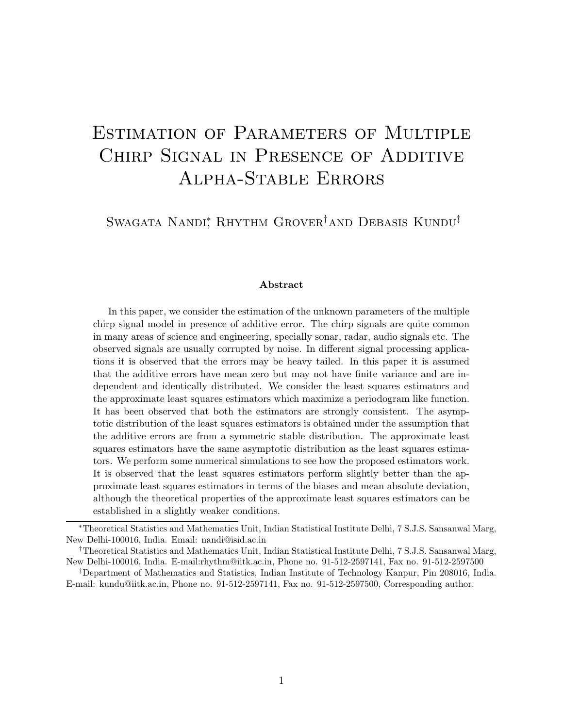# ESTIMATION OF PARAMETERS OF MULTIPLE Chirp Signal in Presence of Additive Alpha-Stable Errors

Swagata Nandi<sup>∗</sup> Rhythm Grover<sup>†</sup>and Debasis Kundu<sup>‡</sup>

#### Abstract

In this paper, we consider the estimation of the unknown parameters of the multiple chirp signal model in presence of additive error. The chirp signals are quite common in many areas of science and engineering, specially sonar, radar, audio signals etc. The observed signals are usually corrupted by noise. In different signal processing applications it is observed that the errors may be heavy tailed. In this paper it is assumed that the additive errors have mean zero but may not have finite variance and are independent and identically distributed. We consider the least squares estimators and the approximate least squares estimators which maximize a periodogram like function. It has been observed that both the estimators are strongly consistent. The asymptotic distribution of the least squares estimators is obtained under the assumption that the additive errors are from a symmetric stable distribution. The approximate least squares estimators have the same asymptotic distribution as the least squares estimators. We perform some numerical simulations to see how the proposed estimators work. It is observed that the least squares estimators perform slightly better than the approximate least squares estimators in terms of the biases and mean absolute deviation, although the theoretical properties of the approximate least squares estimators can be established in a slightly weaker conditions.

<sup>∗</sup>Theoretical Statistics and Mathematics Unit, Indian Statistical Institute Delhi, 7 S.J.S. Sansanwal Marg, New Delhi-100016, India. Email: nandi@isid.ac.in

<sup>†</sup>Theoretical Statistics and Mathematics Unit, Indian Statistical Institute Delhi, 7 S.J.S. Sansanwal Marg, New Delhi-100016, India. E-mail:rhythm@iitk.ac.in, Phone no. 91-512-2597141, Fax no. 91-512-2597500

<sup>‡</sup>Department of Mathematics and Statistics, Indian Institute of Technology Kanpur, Pin 208016, India. E-mail: kundu@iitk.ac.in, Phone no. 91-512-2597141, Fax no. 91-512-2597500, Corresponding author.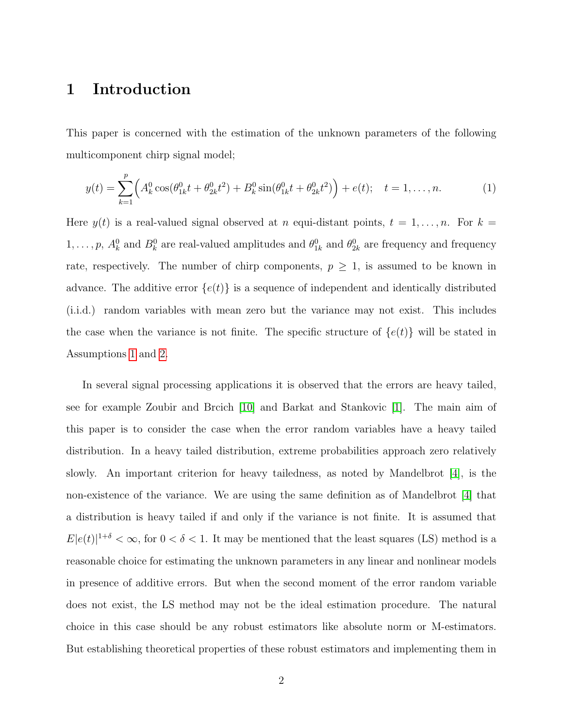#### 1 Introduction

This paper is concerned with the estimation of the unknown parameters of the following multicomponent chirp signal model;

<span id="page-1-0"></span>
$$
y(t) = \sum_{k=1}^{p} \left( A_k^0 \cos(\theta_{1k}^0 t + \theta_{2k}^0 t^2) + B_k^0 \sin(\theta_{1k}^0 t + \theta_{2k}^0 t^2) \right) + e(t); \quad t = 1, \dots, n.
$$
 (1)

Here  $y(t)$  is a real-valued signal observed at n equi-distant points,  $t = 1, \ldots, n$ . For  $k =$  $1, \ldots, p$ ,  $A_k^0$  and  $B_k^0$  are real-valued amplitudes and  $\theta_{1k}^0$  and  $\theta_{2k}^0$  are frequency and frequency rate, respectively. The number of chirp components,  $p \geq 1$ , is assumed to be known in advance. The additive error  $\{e(t)\}\$ is a sequence of independent and identically distributed (i.i.d.) random variables with mean zero but the variance may not exist. This includes the case when the variance is not finite. The specific structure of  $\{e(t)\}\$  will be stated in Assumptions [1](#page-2-0) and [2.](#page-2-1)

In several signal processing applications it is observed that the errors are heavy tailed, see for example Zoubir and Brcich [\[10\]](#page-37-0) and Barkat and Stankovic [\[1\]](#page-37-1). The main aim of this paper is to consider the case when the error random variables have a heavy tailed distribution. In a heavy tailed distribution, extreme probabilities approach zero relatively slowly. An important criterion for heavy tailedness, as noted by Mandelbrot [\[4\]](#page-37-2), is the non-existence of the variance. We are using the same definition as of Mandelbrot [\[4\]](#page-37-2) that a distribution is heavy tailed if and only if the variance is not finite. It is assumed that  $E|e(t)|^{1+\delta} < \infty$ , for  $0 < \delta < 1$ . It may be mentioned that the least squares (LS) method is a reasonable choice for estimating the unknown parameters in any linear and nonlinear models in presence of additive errors. But when the second moment of the error random variable does not exist, the LS method may not be the ideal estimation procedure. The natural choice in this case should be any robust estimators like absolute norm or M-estimators. But establishing theoretical properties of these robust estimators and implementing them in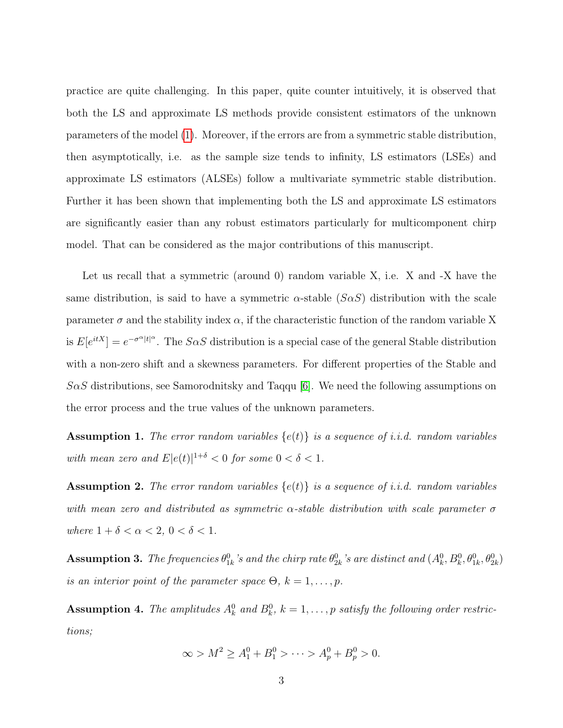practice are quite challenging. In this paper, quite counter intuitively, it is observed that both the LS and approximate LS methods provide consistent estimators of the unknown parameters of the model [\(1\)](#page-1-0). Moreover, if the errors are from a symmetric stable distribution, then asymptotically, i.e. as the sample size tends to infinity, LS estimators (LSEs) and approximate LS estimators (ALSEs) follow a multivariate symmetric stable distribution. Further it has been shown that implementing both the LS and approximate LS estimators are significantly easier than any robust estimators particularly for multicomponent chirp model. That can be considered as the major contributions of this manuscript.

Let us recall that a symmetric (around 0) random variable X, i.e. X and -X have the same distribution, is said to have a symmetric  $\alpha$ -stable ( $S\alpha S$ ) distribution with the scale parameter  $\sigma$  and the stability index  $\alpha$ , if the characteristic function of the random variable X is  $E[e^{itX}] = e^{-\sigma^{\alpha}|t|^{\alpha}}$ . The  $S\alpha S$  distribution is a special case of the general Stable distribution with a non-zero shift and a skewness parameters. For different properties of the Stable and  $S\alpha S$  distributions, see Samorodnitsky and Taqqu [\[6\]](#page-37-3). We need the following assumptions on the error process and the true values of the unknown parameters.

<span id="page-2-0"></span>**Assumption 1.** The error random variables  $\{e(t)\}\$ is a sequence of i.i.d. random variables with mean zero and  $E|e(t)|^{1+\delta} < 0$  for some  $0 < \delta < 1$ .

<span id="page-2-1"></span>**Assumption 2.** The error random variables  $\{e(t)\}\$ is a sequence of i.i.d. random variables with mean zero and distributed as symmetric  $\alpha$ -stable distribution with scale parameter  $\sigma$ where  $1 + \delta < \alpha < 2, 0 < \delta < 1$ .

<span id="page-2-3"></span>**Assumption 3.** The frequencies  $\theta_{1k}^0$ 's and the chirp rate  $\theta_{2k}^0$ 's are distinct and  $(A_k^0, B_k^0, \theta_{1k}^0, \theta_{2k}^0)$ is an interior point of the parameter space  $\Theta$ ,  $k = 1, \ldots, p$ .

<span id="page-2-2"></span>**Assumption 4.** The amplitudes  $A_k^0$  and  $B_k^0$ ,  $k = 1, ..., p$  satisfy the following order restrictions;

$$
\infty > M^2 \ge A_1^0 + B_1^0 > \dots > A_p^0 + B_p^0 > 0.
$$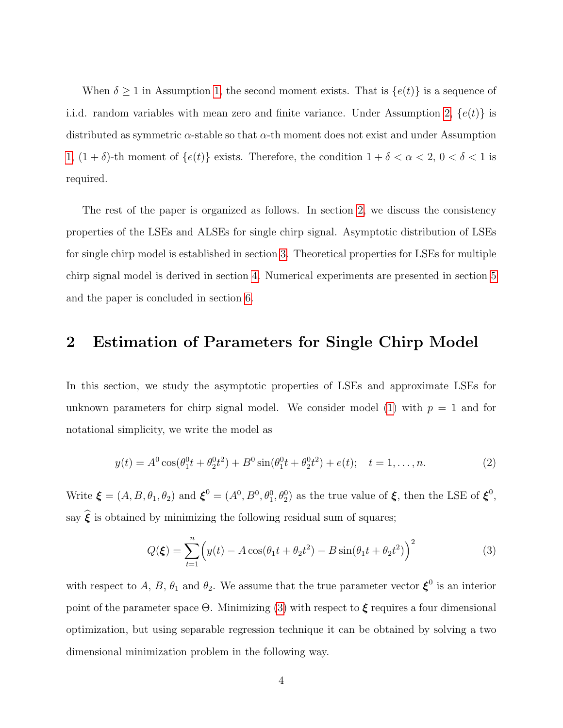When  $\delta \geq 1$  in Assumption [1,](#page-2-0) the second moment exists. That is  $\{e(t)\}\$ is a sequence of i.i.d. random variables with mean zero and finite variance. Under Assumption [2,](#page-2-1)  $\{e(t)\}\$ is distributed as symmetric  $\alpha$ -stable so that  $\alpha$ -th moment does not exist and under Assumption [1,](#page-2-0)  $(1 + \delta)$ -th moment of  $\{e(t)\}$  exists. Therefore, the condition  $1 + \delta < \alpha < 2$ ,  $0 < \delta < 1$  is required.

The rest of the paper is organized as follows. In section [2,](#page-3-0) we discuss the consistency properties of the LSEs and ALSEs for single chirp signal. Asymptotic distribution of LSEs for single chirp model is established in section [3.](#page-6-0) Theoretical properties for LSEs for multiple chirp signal model is derived in section [4.](#page-10-0) Numerical experiments are presented in section [5](#page-14-0) and the paper is concluded in section [6.](#page-17-0)

#### <span id="page-3-0"></span>2 Estimation of Parameters for Single Chirp Model

In this section, we study the asymptotic properties of LSEs and approximate LSEs for unknown parameters for chirp signal model. We consider model [\(1\)](#page-1-0) with  $p = 1$  and for notational simplicity, we write the model as

<span id="page-3-2"></span>
$$
y(t) = A^0 \cos(\theta_1^0 t + \theta_2^0 t^2) + B^0 \sin(\theta_1^0 t + \theta_2^0 t^2) + e(t); \quad t = 1, \dots, n.
$$
 (2)

Write  $\boldsymbol{\xi} = (A, B, \theta_1, \theta_2)$  and  $\boldsymbol{\xi}^0 = (A^0, B^0, \theta_1^0, \theta_2^0)$  as the true value of  $\boldsymbol{\xi}$ , then the LSE of  $\boldsymbol{\xi}^0$ , say  $\widehat{\xi}$  is obtained by minimizing the following residual sum of squares;

<span id="page-3-1"></span>
$$
Q(\xi) = \sum_{t=1}^{n} \left( y(t) - A\cos(\theta_1 t + \theta_2 t^2) - B\sin(\theta_1 t + \theta_2 t^2) \right)^2
$$
 (3)

with respect to A, B,  $\theta_1$  and  $\theta_2$ . We assume that the true parameter vector  $\boldsymbol{\xi}^0$  is an interior point of the parameter space  $\Theta$ . Minimizing [\(3\)](#page-3-1) with respect to  $\xi$  requires a four dimensional optimization, but using separable regression technique it can be obtained by solving a two dimensional minimization problem in the following way.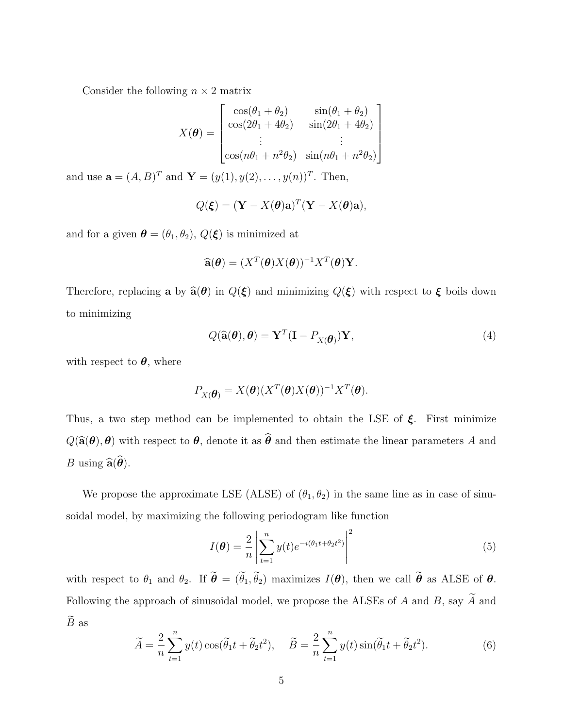Consider the following  $n \times 2$  matrix

$$
X(\boldsymbol{\theta}) = \begin{bmatrix} \cos(\theta_1 + \theta_2) & \sin(\theta_1 + \theta_2) \\ \cos(2\theta_1 + 4\theta_2) & \sin(2\theta_1 + 4\theta_2) \\ \vdots & \vdots \\ \cos(n\theta_1 + n^2\theta_2) & \sin(n\theta_1 + n^2\theta_2) \end{bmatrix}
$$

and use  $\mathbf{a} = (A, B)^T$  and  $\mathbf{Y} = (y(1), y(2), \dots, y(n))^T$ . Then,

$$
Q(\boldsymbol{\xi}) = (\mathbf{Y} - X(\boldsymbol{\theta})\mathbf{a})^T (\mathbf{Y} - X(\boldsymbol{\theta})\mathbf{a}),
$$

and for a given  $\pmb{\theta} = (\theta_1, \theta_2),$   $Q(\pmb{\xi})$  is minimized at

$$
\widehat{\mathbf{a}}(\boldsymbol{\theta}) = (X^T(\boldsymbol{\theta})X(\boldsymbol{\theta}))^{-1}X^T(\boldsymbol{\theta})\mathbf{Y}.
$$

Therefore, replacing a by  $\hat{\mathbf{a}}(\theta)$  in  $Q(\xi)$  and minimizing  $Q(\xi)$  with respect to  $\xi$  boils down to minimizing

$$
Q(\widehat{\mathbf{a}}(\boldsymbol{\theta}), \boldsymbol{\theta}) = \mathbf{Y}^T (\mathbf{I} - P_{X(\boldsymbol{\theta})}) \mathbf{Y},
$$
\n(4)

with respect to  $\theta$ , where

$$
P_{X(\boldsymbol{\theta})} = X(\boldsymbol{\theta}) (X^T(\boldsymbol{\theta}) X(\boldsymbol{\theta}))^{-1} X^T(\boldsymbol{\theta}).
$$

Thus, a two step method can be implemented to obtain the LSE of  $\xi$ . First minimize  $Q(\widehat{\mathbf{a}}(\boldsymbol{\theta}), \boldsymbol{\theta})$  with respect to  $\boldsymbol{\theta}$ , denote it as  $\widehat{\boldsymbol{\theta}}$  and then estimate the linear parameters A and *B* using  $\widehat{\mathbf{a}}(\widehat{\boldsymbol{\theta}})$ .

We propose the approximate LSE (ALSE) of  $(\theta_1, \theta_2)$  in the same line as in case of sinusoidal model, by maximizing the following periodogram like function

<span id="page-4-0"></span>
$$
I(\boldsymbol{\theta}) = \frac{2}{n} \left| \sum_{t=1}^{n} y(t) e^{-i(\theta_1 t + \theta_2 t^2)} \right|^2
$$
\n
$$
(5)
$$

with respect to  $\theta_1$  and  $\theta_2$ . If  $\widetilde{\boldsymbol{\theta}} = (\widetilde{\theta}_1, \widetilde{\theta}_2)$  maximizes  $I(\boldsymbol{\theta})$ , then we call  $\widetilde{\boldsymbol{\theta}}$  as ALSE of  $\boldsymbol{\theta}$ . Following the approach of sinusoidal model, we propose the ALSEs of  $A$  and  $B,$  say  $\widetilde{A}$  and  $\widetilde{B}$  as

<span id="page-4-1"></span>
$$
\widetilde{A} = \frac{2}{n} \sum_{t=1}^{n} y(t) \cos(\widetilde{\theta}_1 t + \widetilde{\theta}_2 t^2), \quad \widetilde{B} = \frac{2}{n} \sum_{t=1}^{n} y(t) \sin(\widetilde{\theta}_1 t + \widetilde{\theta}_2 t^2).
$$
\n(6)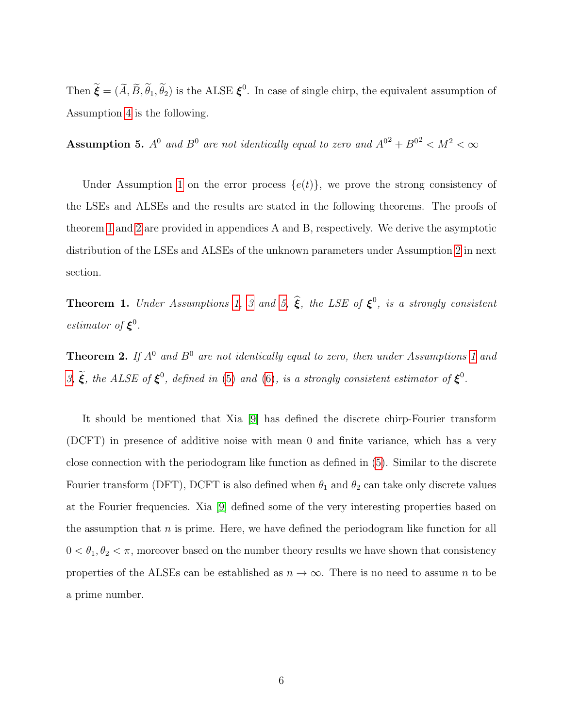Then  $\tilde{\xi} = (\tilde{A}, \tilde{B}, \tilde{\theta}_1, \tilde{\theta}_2)$  is the ALSE  $\xi^0$ . In case of single chirp, the equivalent assumption of Assumption [4](#page-2-2) is the following.

<span id="page-5-2"></span>**Assumption 5.**  $A^0$  and  $B^0$  are not identically equal to zero and  $A^{0^2} + B^{0^2} < M^2 < \infty$ 

Under Assumption [1](#page-2-0) on the error process  $\{e(t)\}\$ , we prove the strong consistency of the LSEs and ALSEs and the results are stated in the following theorems. The proofs of theorem [1](#page-5-0) and [2](#page-5-1) are provided in appendices A and B, respectively. We derive the asymptotic distribution of the LSEs and ALSEs of the unknown parameters under Assumption [2](#page-2-1) in next section.

<span id="page-5-0"></span>**Theorem 1.** Under Assumptions [1,](#page-2-0) [3](#page-2-3) and [5,](#page-5-2)  $\hat{\xi}$ , the LSE of  $\xi^0$ , is a strongly consistent estimator of  $\xi^0$ .

<span id="page-5-1"></span>**Theorem 2.** If  $A^0$  and  $B^0$  are not identically equal to zero, then under Assumptions [1](#page-2-0) and [3,](#page-2-3)  $\tilde{\xi}$ , the ALSE of  $\xi^0$ , defined in [\(5\)](#page-4-0) and [\(6\)](#page-4-1), is a strongly consistent estimator of  $\xi^0$ .

It should be mentioned that Xia [\[9\]](#page-37-4) has defined the discrete chirp-Fourier transform (DCFT) in presence of additive noise with mean 0 and finite variance, which has a very close connection with the periodogram like function as defined in [\(5\)](#page-4-0). Similar to the discrete Fourier transform (DFT), DCFT is also defined when  $\theta_1$  and  $\theta_2$  can take only discrete values at the Fourier frequencies. Xia [\[9\]](#page-37-4) defined some of the very interesting properties based on the assumption that  $n$  is prime. Here, we have defined the periodogram like function for all  $0 < \theta_1, \theta_2 < \pi$ , moreover based on the number theory results we have shown that consistency properties of the ALSEs can be established as  $n \to \infty$ . There is no need to assume n to be a prime number.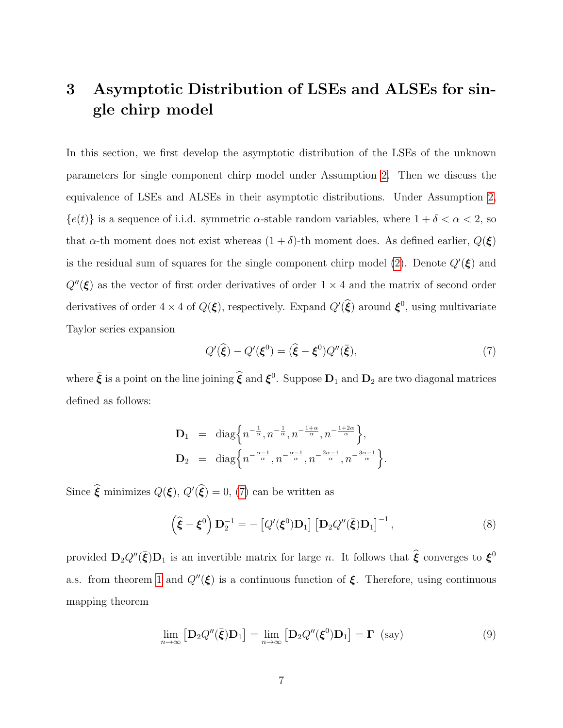## <span id="page-6-0"></span>3 Asymptotic Distribution of LSEs and ALSEs for single chirp model

In this section, we first develop the asymptotic distribution of the LSEs of the unknown parameters for single component chirp model under Assumption [2.](#page-2-1) Then we discuss the equivalence of LSEs and ALSEs in their asymptotic distributions. Under Assumption [2,](#page-2-1)  ${e(t)}$  is a sequence of i.i.d. symmetric  $\alpha$ -stable random variables, where  $1 + \delta < \alpha < 2$ , so that  $\alpha$ -th moment does not exist whereas  $(1 + \delta)$ -th moment does. As defined earlier,  $Q(\xi)$ is the residual sum of squares for the single component chirp model [\(2\)](#page-3-2). Denote  $Q'(\xi)$  and  $Q''(\xi)$  as the vector of first order derivatives of order  $1 \times 4$  and the matrix of second order derivatives of order  $4 \times 4$  of  $Q(\xi)$ , respectively. Expand  $Q'(\widehat{\xi})$  around  $\xi^0$ , using multivariate Taylor series expansion

<span id="page-6-1"></span>
$$
Q'(\hat{\xi}) - Q'(\xi^0) = (\hat{\xi} - \xi^0)Q''(\bar{\xi}),\tag{7}
$$

where  $\bar{\xi}$  is a point on the line joining  $\hat{\xi}$  and  $\xi^0$ . Suppose  $D_1$  and  $D_2$  are two diagonal matrices defined as follows:

$$
\mathbf{D}_1 = \text{diag}\left\{ n^{-\frac{1}{\alpha}}, n^{-\frac{1}{\alpha}}, n^{-\frac{1+\alpha}{\alpha}}, n^{-\frac{1+2\alpha}{\alpha}} \right\},
$$
  

$$
\mathbf{D}_2 = \text{diag}\left\{ n^{-\frac{\alpha-1}{\alpha}}, n^{-\frac{\alpha-1}{\alpha}}, n^{-\frac{2\alpha-1}{\alpha}}, n^{-\frac{3\alpha-1}{\alpha}} \right\}.
$$

Since  $\hat{\xi}$  minimizes  $Q(\xi)$ ,  $Q(\hat{\xi}) = 0$ , [\(7\)](#page-6-1) can be written as

$$
\left(\hat{\boldsymbol{\xi}} - \boldsymbol{\xi}^0\right) \mathbf{D}_2^{-1} = -\left[Q'(\boldsymbol{\xi}^0) \mathbf{D}_1\right] \left[\mathbf{D}_2 Q''(\bar{\boldsymbol{\xi}}) \mathbf{D}_1\right]^{-1},\tag{8}
$$

provided  $D_2Q''(\bar{\xi})D_1$  is an invertible matrix for large *n*. It follows that  $\hat{\xi}$  converges to  $\xi^0$ a.s. from theorem [1](#page-5-0) and  $Q''(\xi)$  is a continuous function of  $\xi$ . Therefore, using continuous mapping theorem

$$
\lim_{n \to \infty} \left[ \mathbf{D}_2 Q''(\bar{\boldsymbol{\xi}}) \mathbf{D}_1 \right] = \lim_{n \to \infty} \left[ \mathbf{D}_2 Q''(\boldsymbol{\xi}^0) \mathbf{D}_1 \right] = \boldsymbol{\Gamma} \quad \text{(say)} \tag{9}
$$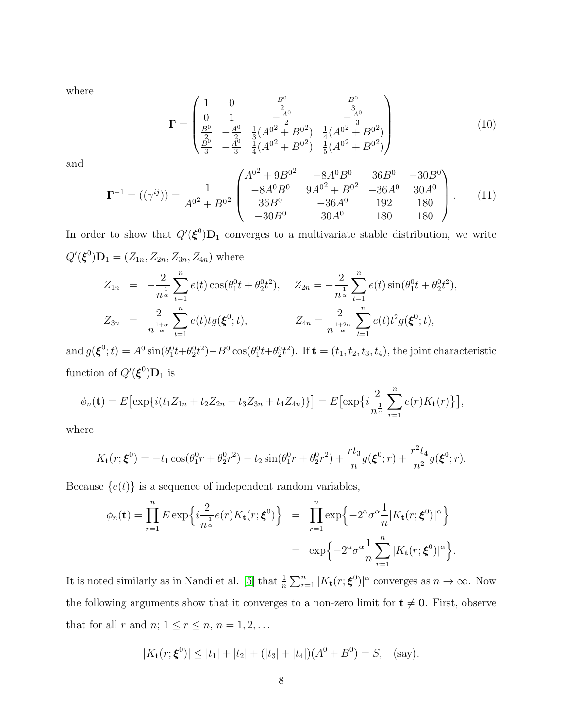where

<span id="page-7-0"></span>
$$
\mathbf{\Gamma} = \begin{pmatrix} 1 & 0 & \frac{B^0}{2} & \frac{B^0}{3} \\ 0 & 1 & -\frac{A^0}{2} & -\frac{A^0}{3} \\ \frac{B^0}{2} & -\frac{A^0}{2} & \frac{1}{3}(A^{02} + B^{02}) & \frac{1}{4}(A^{02} + B^{02}) \\ \frac{B^0}{3} & -\frac{A^0}{3} & \frac{1}{4}(A^{02} + B^{02}) & \frac{1}{5}(A^{02} + B^{02}) \end{pmatrix}
$$
(10)

and

$$
\Gamma^{-1} = ((\gamma^{ij})) = \frac{1}{A^{0^2} + B^{0^2}} \begin{pmatrix} A^{0^2} + 9B^{0^2} & -8A^0B^0 & 36B^0 & -30B^0 \\ -8A^0B^0 & 9A^{0^2} + B^{0^2} & -36A^0 & 30A^0 \\ 36B^0 & -36A^0 & 192 & 180 \\ -30B^0 & 30A^0 & 180 & 180 \end{pmatrix}.
$$
 (11)

In order to show that  $Q'(\xi^0)D_1$  converges to a multivariate stable distribution, we write  $Q'(\xi^0)D_1 = (Z_{1n}, Z_{2n}, Z_{3n}, Z_{4n})$  where

$$
Z_{1n} = -\frac{2}{n^{\frac{1}{\alpha}}} \sum_{t=1}^{n} e(t) \cos(\theta_1^0 t + \theta_2^0 t^2), \quad Z_{2n} = -\frac{2}{n^{\frac{1}{\alpha}}} \sum_{t=1}^{n} e(t) \sin(\theta_1^0 t + \theta_2^0 t^2),
$$
  

$$
Z_{3n} = \frac{2}{n^{\frac{1+\alpha}{\alpha}}} \sum_{t=1}^{n} e(t) t g(\boldsymbol{\xi}^0; t), \qquad Z_{4n} = \frac{2}{n^{\frac{1+2\alpha}{\alpha}}} \sum_{t=1}^{n} e(t) t^2 g(\boldsymbol{\xi}^0; t),
$$

and  $g(\boldsymbol{\xi}^0;t) = A^0 \sin(\theta_1^0 t + \theta_2^0 t^2) - B^0 \cos(\theta_1^0 t + \theta_2^0 t^2)$ . If  $\mathbf{t} = (t_1, t_2, t_3, t_4)$ , the joint characteristic function of  $Q'(\boldsymbol{\xi}^0)\mathbf{D}_1$  is

$$
\phi_n(\mathbf{t}) = E \big[ \exp\{i(t_1 Z_{1n} + t_2 Z_{2n} + t_3 Z_{3n} + t_4 Z_{4n})\} \big] = E \big[ \exp\{i\frac{2}{n^{\frac{1}{\alpha}}} \sum_{r=1}^n e(r) K_{\mathbf{t}}(r) \} \big],
$$

where

$$
K_{\mathbf{t}}(r; \xi^0) = -t_1 \cos(\theta_1^0 r + \theta_2^0 r^2) - t_2 \sin(\theta_1^0 r + \theta_2^0 r^2) + \frac{rt_3}{n} g(\xi^0; r) + \frac{r^2 t_4}{n^2} g(\xi^0; r).
$$

Because  ${e(t)}$  is a sequence of independent random variables,

$$
\phi_n(\mathbf{t}) = \prod_{r=1}^n E \exp\left\{i\frac{2}{n^{\frac{1}{\alpha}}}e(r)K_{\mathbf{t}}(r;\boldsymbol{\xi}^0)\right\} = \prod_{r=1}^n \exp\left\{-2^{\alpha}\sigma^{\alpha}\frac{1}{n}|K_{\mathbf{t}}(r;\boldsymbol{\xi}^0)|^{\alpha}\right\}
$$

$$
= \exp\left\{-2^{\alpha}\sigma^{\alpha}\frac{1}{n}\sum_{r=1}^n |K_{\mathbf{t}}(r;\boldsymbol{\xi}^0)|^{\alpha}\right\}.
$$

It is noted similarly as in Nandi et al. [\[5\]](#page-37-5) that  $\frac{1}{n} \sum_{r=1}^{n} |K_t(r; \boldsymbol{\xi}^0)|^{\alpha}$  converges as  $n \to \infty$ . Now the following arguments show that it converges to a non-zero limit for  $t \neq 0$ . First, observe that for all r and  $n; 1 \le r \le n, n = 1, 2, \ldots$ 

$$
|K_{\mathbf{t}}(r; \xi^{0})| \leq |t_1| + |t_2| + (|t_3| + |t_4|)(A^0 + B^0) = S, \quad \text{(say)}.
$$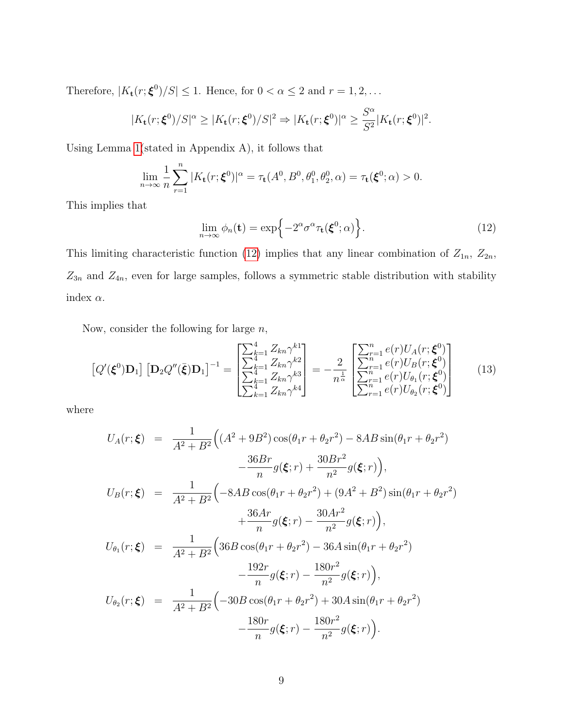Therefore,  $|K_{\mathbf{t}}(r; \boldsymbol{\xi}^0)/S| \leq 1$ . Hence, for  $0 < \alpha \leq 2$  and  $r = 1, 2, \dots$ 

$$
|K_{\mathbf{t}}(r;\boldsymbol{\xi}^{0})/S|^{\alpha} \geq |K_{\mathbf{t}}(r;\boldsymbol{\xi}^{0})/S|^2 \Rightarrow |K_{\mathbf{t}}(r;\boldsymbol{\xi}^{0})|^{\alpha} \geq \frac{S^{\alpha}}{S^2}|K_{\mathbf{t}}(r;\boldsymbol{\xi}^{0})|^2.
$$

Using Lemma [1\(](#page-27-0)stated in Appendix A), it follows that

$$
\lim_{n\to\infty}\frac{1}{n}\sum_{r=1}^n|K_{\mathbf{t}}(r;\boldsymbol{\xi}^0)|^{\alpha}=\tau_{\mathbf{t}}(A^0,B^0,\theta_1^0,\theta_2^0,\alpha)=\tau_{\mathbf{t}}(\boldsymbol{\xi}^0;\alpha)>0.
$$

This implies that

<span id="page-8-0"></span>
$$
\lim_{n \to \infty} \phi_n(\mathbf{t}) = \exp\left\{-2^{\alpha} \sigma^{\alpha} \tau_{\mathbf{t}}(\boldsymbol{\xi}^0; \alpha)\right\}.
$$
\n(12)

This limiting characteristic function [\(12\)](#page-8-0) implies that any linear combination of  $Z_{1n}$ ,  $Z_{2n}$ ,  $Z_{3n}$  and  $Z_{4n}$ , even for large samples, follows a symmetric stable distribution with stability index  $\alpha$ .

Now, consider the following for large  $n$ ,

$$
\left[Q'(\boldsymbol{\xi}^{0})\mathbf{D}_{1}\right]\left[\mathbf{D}_{2}Q''(\bar{\boldsymbol{\xi}})\mathbf{D}_{1}\right]^{-1} = \begin{bmatrix} \sum_{k=1}^{4} Z_{kn} \gamma^{k1} \\ \sum_{k=1}^{4} Z_{kn} \gamma^{k2} \\ \sum_{k=1}^{4} Z_{kn} \gamma^{k3} \\ \sum_{k=1}^{4} Z_{kn} \gamma^{k4} \end{bmatrix} = -\frac{2}{n^{\frac{1}{\alpha}}} \begin{bmatrix} \sum_{r=1}^{n} e(r)U_{A}(r;\boldsymbol{\xi}^{0}) \\ \sum_{r=1}^{n} e(r)U_{B}(r;\boldsymbol{\xi}^{0}) \\ \sum_{r=1}^{n} e(r)U_{\theta_{1}}(r;\boldsymbol{\xi}^{0}) \\ \sum_{r=1}^{n} e(r)U_{\theta_{2}}(r;\boldsymbol{\xi}^{0}) \end{bmatrix}
$$
(13)

where

$$
U_A(r; \xi) = \frac{1}{A^2 + B^2} \Big( (A^2 + 9B^2) \cos(\theta_1 r + \theta_2 r^2) - 8AB \sin(\theta_1 r + \theta_2 r^2) - \frac{36Br}{n} g(\xi; r) + \frac{30Br^2}{n^2} g(\xi; r) \Big),
$$
  
\n
$$
U_B(r; \xi) = \frac{1}{A^2 + B^2} \Big( -8AB \cos(\theta_1 r + \theta_2 r^2) + (9A^2 + B^2) \sin(\theta_1 r + \theta_2 r^2) + \frac{36Ar}{n} g(\xi; r) - \frac{30Ar^2}{n^2} g(\xi; r) \Big),
$$
  
\n
$$
U_{\theta_1}(r; \xi) = \frac{1}{A^2 + B^2} \Big( 36B \cos(\theta_1 r + \theta_2 r^2) - 36A \sin(\theta_1 r + \theta_2 r^2) - \frac{192r}{n} g(\xi; r) - \frac{180r^2}{n^2} g(\xi; r) \Big),
$$
  
\n
$$
U_{\theta_2}(r; \xi) = \frac{1}{A^2 + B^2} \Big( -30B \cos(\theta_1 r + \theta_2 r^2) + 30A \sin(\theta_1 r + \theta_2 r^2) - \frac{180r}{n^2} g(\xi; r) - \frac{180r}{n^2} g(\xi; r) - \frac{180r^2}{n^2} g(\xi; r) \Big).
$$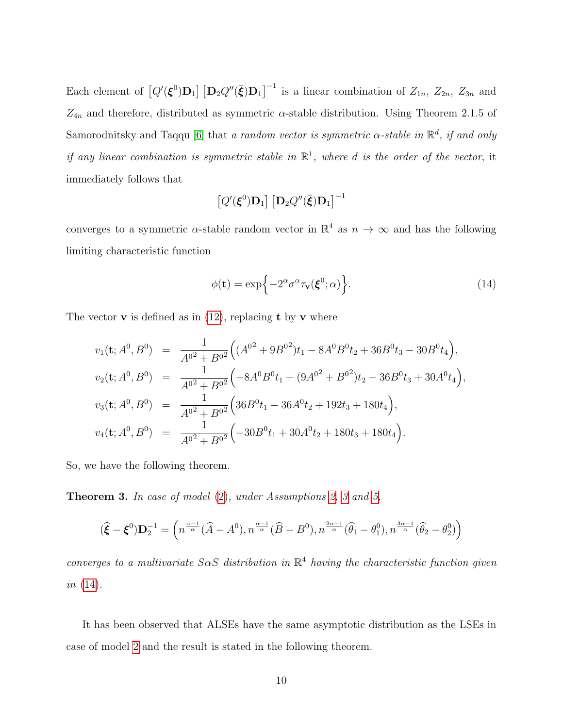Each element of  $[Q'(\xi^0)D_1] [D_2 Q''(\bar{\xi})D_1]^{-1}$  is a linear combination of  $Z_{1n}$ ,  $Z_{2n}$ ,  $Z_{3n}$  and  $Z_{4n}$  and therefore, distributed as symmetric  $\alpha$ -stable distribution. Using Theorem 2.1.5 of Samorodnitsky and Taqqu [\[6\]](#page-37-3) that a random vector is symmetric  $\alpha$ -stable in  $\mathbb{R}^d$ , if and only if any linear combination is symmetric stable in  $\mathbb{R}^1$ , where d is the order of the vector, it immediately follows that

$$
\left[Q'(\boldsymbol{\xi}^{0})\mathbf{D}_{1}\right]\left[\mathbf{D}_{2}Q''(\bar{\boldsymbol{\xi}})\mathbf{D}_{1}\right]^{-1}
$$

converges to a symmetric  $\alpha$ -stable random vector in  $\mathbb{R}^4$  as  $n \to \infty$  and has the following limiting characteristic function

<span id="page-9-0"></span>
$$
\phi(\mathbf{t}) = \exp\{-2^{\alpha}\sigma^{\alpha}\tau_{\mathbf{v}}(\boldsymbol{\xi}^{0};\alpha)\}.
$$
\n(14)

The vector **v** is defined as in  $(12)$ , replacing **t** by **v** where

$$
v_1(\mathbf{t}; A^0, B^0) = \frac{1}{A^{0^2} + B^{0^2}} \Big( (A^{0^2} + 9B^{0^2})t_1 - 8A^0B^0t_2 + 36B^0t_3 - 30B^0t_4 \Big),
$$
  
\n
$$
v_2(\mathbf{t}; A^0, B^0) = \frac{1}{A^{0^2} + B^{0^2}} \Big( -8A^0B^0t_1 + (9A^{0^2} + B^{0^2})t_2 - 36B^0t_3 + 30A^0t_4 \Big),
$$
  
\n
$$
v_3(\mathbf{t}; A^0, B^0) = \frac{1}{A^{0^2} + B^{0^2}} \Big( 36B^0t_1 - 36A^0t_2 + 192t_3 + 180t_4 \Big),
$$
  
\n
$$
v_4(\mathbf{t}; A^0, B^0) = \frac{1}{A^{0^2} + B^{0^2}} \Big( -30B^0t_1 + 30A^0t_2 + 180t_3 + 180t_4 \Big).
$$

So, we have the following theorem.

Theorem 3. In case of model [\(2\)](#page-3-2), under Assumptions [2,](#page-2-1) [3](#page-2-3) and [5,](#page-5-2)

$$
(\widehat{\boldsymbol{\xi}}-\boldsymbol{\xi}^0)\mathbf{D}_2^{-1}=\left(n^{\frac{\alpha-1}{\alpha}}(\widehat{A}-A^0),n^{\frac{\alpha-1}{\alpha}}(\widehat{B}-B^0),n^{\frac{2\alpha-1}{\alpha}}(\widehat{\theta}_1-\theta_1^0),n^{\frac{3\alpha-1}{\alpha}}(\widehat{\theta}_2-\theta_2^0)\right)
$$

converges to a multivariate  $S \alpha S$  distribution in  $\mathbb{R}^4$  having the characteristic function given *in*  $(14)$ .

It has been observed that ALSEs have the same asymptotic distribution as the LSEs in case of model [2](#page-3-2) and the result is stated in the following theorem.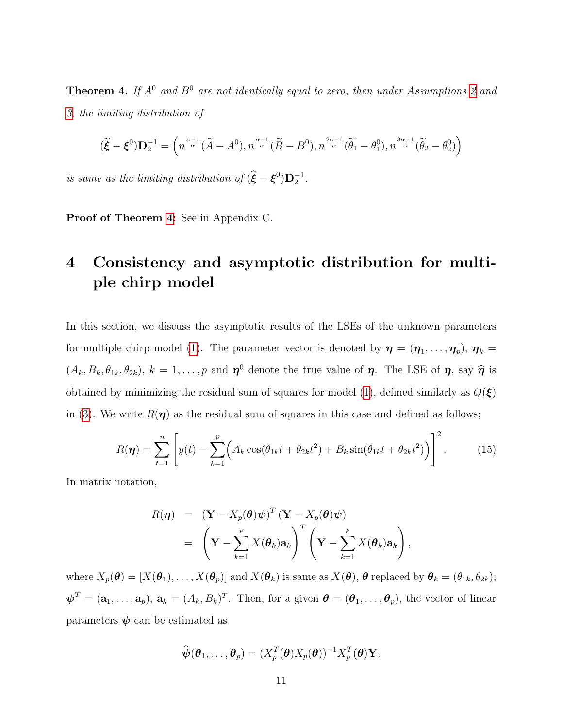<span id="page-10-1"></span>**Theorem 4.** If  $A^0$  and  $B^0$  are not identically equal to zero, then under Assumptions [2](#page-2-1) and [3,](#page-2-3) the limiting distribution of

$$
(\widetilde{\boldsymbol{\xi}}-\boldsymbol{\xi}^0)\mathbf{D}_2^{-1}=\left(n^{\frac{\alpha-1}{\alpha}}(\widetilde{A}-A^0),n^{\frac{\alpha-1}{\alpha}}(\widetilde{B}-B^0),n^{\frac{2\alpha-1}{\alpha}}(\widetilde{\theta}_1-\theta_1^0),n^{\frac{3\alpha-1}{\alpha}}(\widetilde{\theta}_2-\theta_2^0)\right)
$$

is same as the limiting distribution of  $(\hat{\boldsymbol{\xi}} - \boldsymbol{\xi}^0) \mathbf{D}_2^{-1}$ .

Proof of Theorem [4:](#page-10-1) See in Appendix C.

## <span id="page-10-0"></span>4 Consistency and asymptotic distribution for multiple chirp model

In this section, we discuss the asymptotic results of the LSEs of the unknown parameters for multiple chirp model [\(1\)](#page-1-0). The parameter vector is denoted by  $\boldsymbol{\eta} = (\boldsymbol{\eta}_1, \dots, \boldsymbol{\eta}_p), \, \boldsymbol{\eta}_k =$  $(A_k, B_k, \theta_{1k}, \theta_{2k}), k = 1, \ldots, p$  and  $\eta^0$  denote the true value of  $\eta$ . The LSE of  $\eta$ , say  $\hat{\eta}$  is obtained by minimizing the residual sum of squares for model [\(1\)](#page-1-0), defined similarly as  $Q(\xi)$ in [\(3\)](#page-3-1). We write  $R(\eta)$  as the residual sum of squares in this case and defined as follows;

$$
R(\boldsymbol{\eta}) = \sum_{t=1}^{n} \left[ y(t) - \sum_{k=1}^{p} \left( A_k \cos(\theta_{1k} t + \theta_{2k} t^2) + B_k \sin(\theta_{1k} t + \theta_{2k} t^2) \right) \right]^2.
$$
 (15)

In matrix notation,

$$
R(\boldsymbol{\eta}) = (\mathbf{Y} - X_p(\boldsymbol{\theta})\boldsymbol{\psi})^T (\mathbf{Y} - X_p(\boldsymbol{\theta})\boldsymbol{\psi})
$$
  
= 
$$
\left(\mathbf{Y} - \sum_{k=1}^p X(\boldsymbol{\theta}_k) \mathbf{a}_k\right)^T \left(\mathbf{Y} - \sum_{k=1}^p X(\boldsymbol{\theta}_k) \mathbf{a}_k\right),
$$

where  $X_p(\boldsymbol{\theta}) = [X(\boldsymbol{\theta}_1), \dots, X(\boldsymbol{\theta}_p)]$  and  $X(\boldsymbol{\theta}_k)$  is same as  $X(\boldsymbol{\theta}), \boldsymbol{\theta}$  replaced by  $\boldsymbol{\theta}_k = (\theta_{1k}, \theta_{2k});$  $\boldsymbol{\psi}^T = (\mathbf{a}_1, \dots, \mathbf{a}_p), \, \mathbf{a}_k = (A_k, B_k)^T$ . Then, for a given  $\boldsymbol{\theta} = (\boldsymbol{\theta}_1, \dots, \boldsymbol{\theta}_p)$ , the vector of linear parameters  $\psi$  can be estimated as

$$
\widehat{\boldsymbol{\psi}}(\boldsymbol{\theta}_1,\ldots,\boldsymbol{\theta}_p)=(X_p^T(\boldsymbol{\theta})X_p(\boldsymbol{\theta}))^{-1}X_p^T(\boldsymbol{\theta})\mathbf{Y}.
$$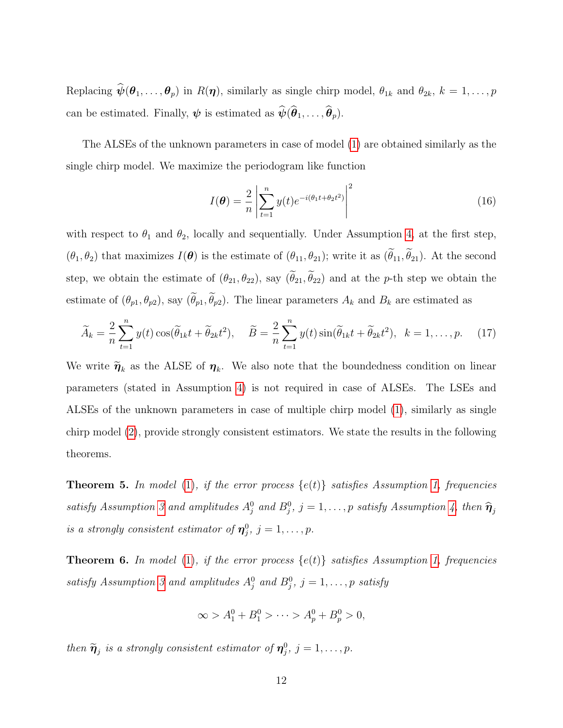Replacing  $\hat{\psi}(\theta_1,\ldots,\theta_p)$  in  $R(\eta)$ , similarly as single chirp model,  $\theta_{1k}$  and  $\theta_{2k}$ ,  $k=1,\ldots,p$ can be estimated. Finally,  $\psi$  is estimated as  $\widehat{\psi}(\widehat{\theta}_1, \ldots, \widehat{\theta}_p)$ .

The ALSEs of the unknown parameters in case of model [\(1\)](#page-1-0) are obtained similarly as the single chirp model. We maximize the periodogram like function

$$
I(\boldsymbol{\theta}) = \frac{2}{n} \left| \sum_{t=1}^{n} y(t) e^{-i(\theta_1 t + \theta_2 t^2)} \right|^2
$$
 (16)

with respect to  $\theta_1$  and  $\theta_2$ , locally and sequentially. Under Assumption [4,](#page-2-2) at the first step,  $(\theta_1, \theta_2)$  that maximizes  $I(\boldsymbol{\theta})$  is the estimate of  $(\theta_{11}, \theta_{21})$ ; write it as  $(\tilde{\theta}_{11}, \tilde{\theta}_{21})$ . At the second step, we obtain the estimate of  $(\theta_{21}, \theta_{22})$ , say  $(\widetilde{\theta}_{21}, \widetilde{\theta}_{22})$  and at the p-th step we obtain the estimate of  $(\theta_{p1}, \theta_{p2})$ , say  $(\widetilde{\theta}_{p1}, \widetilde{\theta}_{p2})$ . The linear parameters  $A_k$  and  $B_k$  are estimated as

$$
\widetilde{A}_k = \frac{2}{n} \sum_{t=1}^n y(t) \cos(\widetilde{\theta}_{1k}t + \widetilde{\theta}_{2k}t^2), \quad \widetilde{B} = \frac{2}{n} \sum_{t=1}^n y(t) \sin(\widetilde{\theta}_{1k}t + \widetilde{\theta}_{2k}t^2), \quad k = 1, \dots, p. \tag{17}
$$

We write  $\widetilde{\eta}_k$  as the ALSE of  $\eta_k$ . We also note that the boundedness condition on linear parameters (stated in Assumption [4\)](#page-2-2) is not required in case of ALSEs. The LSEs and ALSEs of the unknown parameters in case of multiple chirp model [\(1\)](#page-1-0), similarly as single chirp model [\(2\)](#page-3-2), provide strongly consistent estimators. We state the results in the following theorems.

<span id="page-11-0"></span>**Theorem 5.** In model [\(1\)](#page-1-0), if the error process  $\{e(t)\}\$  satisfies Assumption [1,](#page-2-0) frequencies satisfy Assumption [3](#page-2-3) and amplitudes  $A_j^0$  and  $B_j^0$ ,  $j = 1, \ldots, p$  satisfy Assumption [4,](#page-2-2) then  $\hat{\eta}_j$ is a strongly consistent estimator of  $\boldsymbol{\eta}_j^0$ ,  $j = 1, \ldots, p$ .

<span id="page-11-1"></span>**Theorem 6.** In model [\(1\)](#page-1-0), if the error process  $\{e(t)\}\$  satisfies Assumption [1,](#page-2-0) frequencies satisfy Assumption [3](#page-2-3) and amplitudes  $A_j^0$  and  $B_j^0$ ,  $j = 1, \ldots, p$  satisfy

$$
\infty > A_1^0 + B_1^0 > \cdots > A_p^0 + B_p^0 > 0,
$$

then  $\widetilde{\boldsymbol{\eta}}_j$  is a strongly consistent estimator of  $\boldsymbol{\eta}_j^0$ ,  $j = 1, \ldots, p$ .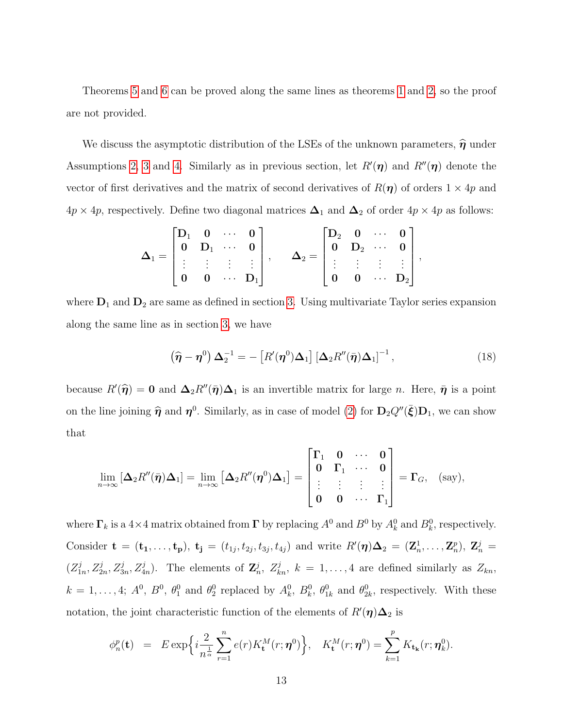Theorems [5](#page-11-0) and [6](#page-11-1) can be proved along the same lines as theorems [1](#page-5-0) and [2,](#page-5-1) so the proof are not provided.

We discuss the asymptotic distribution of the LSEs of the unknown parameters,  $\widehat{\boldsymbol{\eta}}$  under Assumptions [2,](#page-2-1) [3](#page-2-3) and [4.](#page-2-2) Similarly as in previous section, let  $R'(\eta)$  and  $R''(\eta)$  denote the vector of first derivatives and the matrix of second derivatives of  $R(\eta)$  of orders  $1 \times 4p$  and  $4p \times 4p$ , respectively. Define two diagonal matrices  $\Delta_1$  and  $\Delta_2$  of order  $4p \times 4p$  as follows:

$$
\bm{\Delta}_1 = \begin{bmatrix} \bm{\mathrm{D}}_1 & \bm{0} & \cdots & \bm{0} \\ \bm{0} & \bm{\mathrm{D}}_1 & \cdots & \bm{0} \\ \vdots & \vdots & \vdots & \vdots \\ \bm{0} & \bm{0} & \cdots & \bm{\mathrm{D}}_1 \end{bmatrix}, \qquad \bm{\Delta}_2 = \begin{bmatrix} \bm{\mathrm{D}}_2 & \bm{0} & \cdots & \bm{0} \\ \bm{0} & \bm{\mathrm{D}}_2 & \cdots & \bm{0} \\ \vdots & \vdots & \vdots & \vdots \\ \bm{0} & \bm{0} & \cdots & \bm{\mathrm{D}}_2 \end{bmatrix},
$$

where  $D_1$  and  $D_2$  are same as defined in section [3.](#page-6-0) Using multivariate Taylor series expansion along the same line as in section [3,](#page-6-0) we have

$$
\left(\widehat{\boldsymbol{\eta}} - \boldsymbol{\eta}^0\right) \boldsymbol{\Delta}_2^{-1} = -\left[R'(\boldsymbol{\eta}^0) \boldsymbol{\Delta}_1\right] \left[\boldsymbol{\Delta}_2 R''(\bar{\boldsymbol{\eta}}) \boldsymbol{\Delta}_1\right]^{-1},\tag{18}
$$

because  $R'(\hat{\eta}) = 0$  and  $\Delta_2 R''(\bar{\eta})\Delta_1$  is an invertible matrix for large *n*. Here,  $\bar{\eta}$  is a point on the line joining  $\hat{\eta}$  and  $\eta^0$ . Similarly, as in case of model [\(2\)](#page-3-2) for  $D_2Q''(\bar{\xi})D_1$ , we can show that

$$
\lim_{n\to\infty} \left[\Delta_2 R''(\bar{\boldsymbol{\eta}})\Delta_1\right] = \lim_{n\to\infty} \left[\Delta_2 R''(\boldsymbol{\eta}^0)\Delta_1\right] = \begin{bmatrix} \Gamma_1 & 0 & \cdots & 0 \\ 0 & \Gamma_1 & \cdots & 0 \\ \vdots & \vdots & \vdots & \vdots \\ 0 & 0 & \cdots & \Gamma_1 \end{bmatrix} = \Gamma_G, \quad \text{(say)},
$$

where  $\Gamma_k$  is a 4×4 matrix obtained from  $\Gamma$  by replacing  $A^0$  and  $B^0$  by  $A^0_k$  and  $B^0_k$ , respectively. Consider  $\mathbf{t} = (\mathbf{t}_1, ..., \mathbf{t}_p), \mathbf{t}_j = (t_{1j}, t_{2j}, t_{3j}, t_{4j})$  and write  $R'(\eta) \Delta_2 = (\mathbf{Z}_n^1, ..., \mathbf{Z}_n^p), \mathbf{Z}_n^j =$  $(Z_1^j$  $I_n^j, Z_{2n}^j, Z_{3n}^j, Z_{4n}^j$ . The elements of  $\mathbb{Z}_n^j$ ,  $Z_{kn}^j$ ,  $k = 1, ..., 4$  are defined similarly as  $Z_{kn}$ ,  $k = 1, \ldots, 4; A^0, B^0, \theta_1^0$  and  $\theta_2^0$  replaced by  $A_k^0, B_k^0, \theta_{1k}^0$  and  $\theta_{2k}^0$ , respectively. With these notation, the joint characteristic function of the elements of  $R'(\eta)\Delta_2$  is

$$
\phi_n^p(\mathbf{t}) = E \exp\left\{i\frac{2}{n^{\frac{1}{\alpha}}}\sum_{r=1}^n e(r)K_\mathbf{t}^M(r;\boldsymbol{\eta}^0)\right\}, \quad K_\mathbf{t}^M(r;\boldsymbol{\eta}^0) = \sum_{k=1}^p K_{\mathbf{t_k}}(r;\boldsymbol{\eta}_k^0).
$$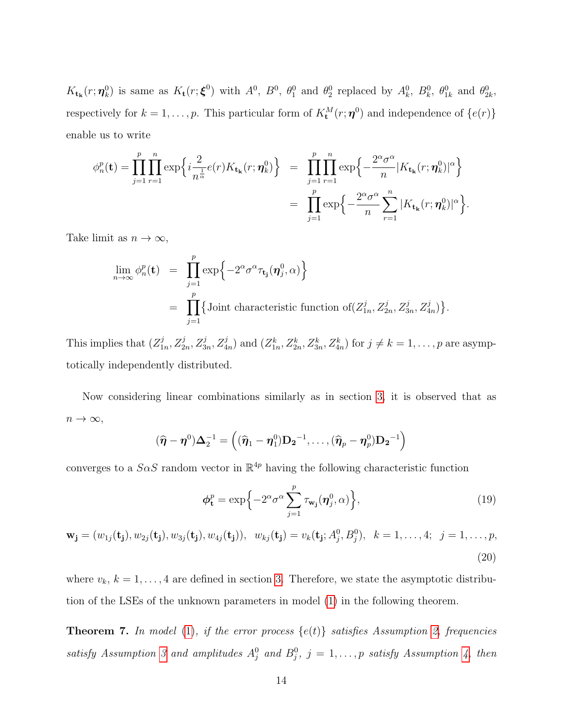$K_{t_k}(r; \eta_k^0)$  is same as  $K_t(r; \xi^0)$  with  $A^0$ ,  $B^0$ ,  $\theta_1^0$  and  $\theta_2^0$  replaced by  $A_k^0$ ,  $B_k^0$ ,  $\theta_{1k}^0$  and  $\theta_{2k}^0$ , respectively for  $k = 1, ..., p$ . This particular form of  $K_t^M(r; \eta^0)$  and independence of  $\{e(r)\}$ enable us to write

$$
\phi_n^p(\mathbf{t}) = \prod_{j=1}^p \prod_{r=1}^n \exp\left\{i\frac{2}{n^{\frac{1}{\alpha}}}e(r)K_{\mathbf{t}_{\mathbf{k}}}(r;\boldsymbol{\eta}_k^0)\right\} = \prod_{j=1}^p \prod_{r=1}^n \exp\left\{-\frac{2^{\alpha}\sigma^{\alpha}}{n}|K_{\mathbf{t}_{\mathbf{k}}}(r;\boldsymbol{\eta}_k^0)|^{\alpha}\right\}
$$

$$
= \prod_{j=1}^p \exp\left\{-\frac{2^{\alpha}\sigma^{\alpha}}{n}\sum_{r=1}^n |K_{\mathbf{t}_{\mathbf{k}}}(r;\boldsymbol{\eta}_k^0)|^{\alpha}\right\}.
$$

Take limit as  $n \to \infty$ ,

$$
\lim_{n \to \infty} \phi_n^p(\mathbf{t}) = \prod_{j=1}^p \exp \left\{-2^{\alpha} \sigma^{\alpha} \tau_{\mathbf{t}_j}(\boldsymbol{\eta}_j^0, \alpha) \right\}
$$
  
= 
$$
\prod_{j=1}^p \left\{ \text{Joint characteristic function of } (Z_{1n}^j, Z_{2n}^j, Z_{3n}^j, Z_{4n}^j) \right\}.
$$

This implies that  $(Z_1^j)$  $I_{1n}^j, Z_{2n}^j, Z_{3n}^j, Z_{4n}^j$  and  $(Z_{1n}^k, Z_{2n}^k, Z_{3n}^k, Z_{4n}^k)$  for  $j \neq k = 1, \ldots, p$  are asymptotically independently distributed.

Now considering linear combinations similarly as in section [3,](#page-6-0) it is observed that as  $n \to \infty$ ,

$$
(\widehat{\boldsymbol{\eta}} - \boldsymbol{\eta}^0) \boldsymbol{\Delta}_2^{-1} = ((\widehat{\boldsymbol{\eta}}_1 - \boldsymbol{\eta}_1^0) \mathbf{D_2}^{-1}, \dots, (\widehat{\boldsymbol{\eta}}_p - \boldsymbol{\eta}_p^0) \mathbf{D_2}^{-1})
$$

converges to a  $S \alpha S$  random vector in  $\mathbb{R}^{4p}$  having the following characteristic function

$$
\phi_{\mathbf{t}}^p = \exp\left\{-2^{\alpha}\sigma^{\alpha}\sum_{j=1}^p \tau_{\mathbf{w}_j}(\boldsymbol{\eta}_j^0,\alpha)\right\},\tag{19}
$$

<span id="page-13-0"></span>
$$
\mathbf{w}_{\mathbf{j}} = (w_{1j}(\mathbf{t}_{\mathbf{j}}), w_{2j}(\mathbf{t}_{\mathbf{j}}), w_{3j}(\mathbf{t}_{\mathbf{j}}), w_{4j}(\mathbf{t}_{\mathbf{j}})), w_{kj}(\mathbf{t}_{\mathbf{j}}) = v_k(\mathbf{t}_{\mathbf{j}}; A_j^0, B_j^0), k = 1, ..., 4; j = 1, ..., p,
$$
\n(20)

where  $v_k$ ,  $k = 1, \ldots, 4$  are defined in section [3.](#page-6-0) Therefore, we state the asymptotic distribution of the LSEs of the unknown parameters in model [\(1\)](#page-1-0) in the following theorem.

**Theorem 7.** In model [\(1\)](#page-1-0), if the error process  $\{e(t)\}\$  satisfies Assumption [2,](#page-2-1) frequencies satisfy Assumption [3](#page-2-3) and amplitudes  $A_j^0$  and  $B_j^0$ ,  $j = 1, \ldots, p$  satisfy Assumption [4,](#page-2-2) then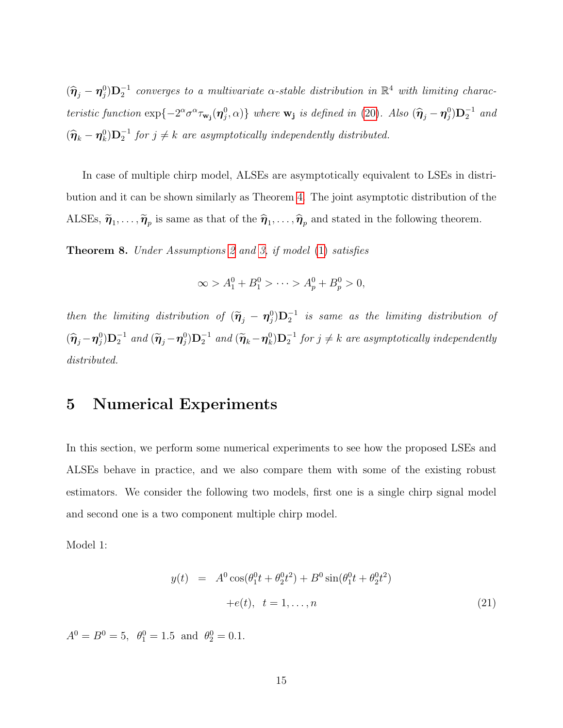$(\widehat{\pmb{\eta}}_j - \pmb{\eta}_j^0) \mathbf{D}_2^{-1}$  converges to a multivariate  $\alpha$ -stable distribution in  $\mathbb{R}^4$  with limiting characteristic function  $\exp\{-2^{\alpha}\sigma^{\alpha}\tau_{\mathbf{w_j}}(\boldsymbol{\eta}_{j}^{0}, \alpha)\}\$  where  $\mathbf{w_j}$  is defined in [\(20\)](#page-13-0). Also  $(\widehat{\boldsymbol{\eta}}_j - \boldsymbol{\eta}_j^{0})\mathbf{D}_2^{-1}$  and  $(\hat{\boldsymbol{\eta}}_k - \boldsymbol{\eta}_k^0) \mathbf{D}_2^{-1}$  for  $j \neq k$  are asymptotically independently distributed.

In case of multiple chirp model, ALSEs are asymptotically equivalent to LSEs in distribution and it can be shown similarly as Theorem [4.](#page-10-1) The joint asymptotic distribution of the ALSEs,  $\tilde{\pmb{\eta}}_1, \ldots, \tilde{\pmb{\eta}}_p$  is same as that of the  $\hat{\pmb{\eta}}_1, \ldots, \hat{\pmb{\eta}}_p$  and stated in the following theorem.

Theorem 8. Under Assumptions [2](#page-2-1) and [3,](#page-2-3) if model [\(1\)](#page-1-0) satisfies

$$
\infty > A_1^0 + B_1^0 > \cdots > A_p^0 + B_p^0 > 0,
$$

then the limiting distribution of  $(\tilde{\pmb{\eta}}_j - \pmb{\eta}_j^0) \mathbf{D}_2^{-1}$  is same as the limiting distribution of  $(\widehat{\boldsymbol{\eta}}_j - \boldsymbol{\eta}_j^0) \mathbf{D}_2^{-1}$  and  $(\widetilde{\boldsymbol{\eta}}_j - \boldsymbol{\eta}_j^0) \mathbf{D}_2^{-1}$  and  $(\widetilde{\boldsymbol{\eta}}_k - \boldsymbol{\eta}_k^0) \mathbf{D}_2^{-1}$  for  $j \neq k$  are asymptotically independently distributed.

#### <span id="page-14-0"></span>5 Numerical Experiments

In this section, we perform some numerical experiments to see how the proposed LSEs and ALSEs behave in practice, and we also compare them with some of the existing robust estimators. We consider the following two models, first one is a single chirp signal model and second one is a two component multiple chirp model.

Model 1:

<span id="page-14-1"></span>
$$
y(t) = A^{0} \cos(\theta_{1}^{0}t + \theta_{2}^{0}t^{2}) + B^{0} \sin(\theta_{1}^{0}t + \theta_{2}^{0}t^{2})
$$
  
+
$$
e(t), t = 1,...,n
$$
 (21)

 $A^0 = B^0 = 5$ ,  $\theta_1^0 = 1.5$  and  $\theta_2^0 = 0.1$ .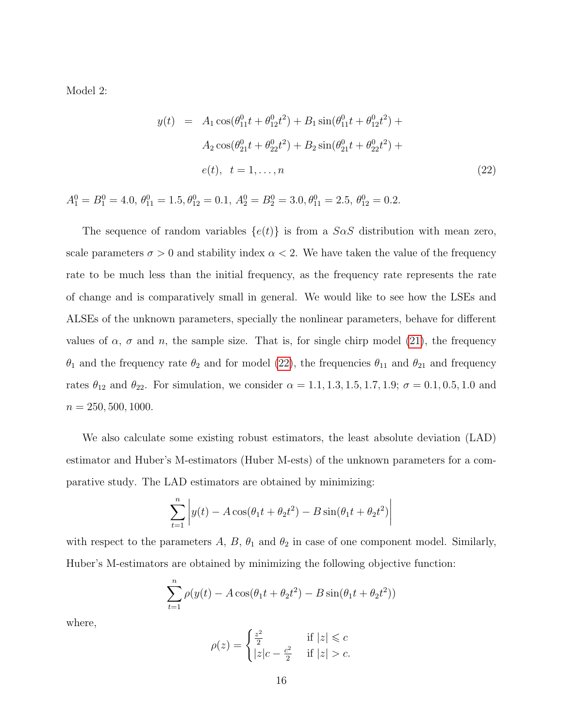Model 2:

<span id="page-15-0"></span>
$$
y(t) = A_1 \cos(\theta_{11}^0 t + \theta_{12}^0 t^2) + B_1 \sin(\theta_{11}^0 t + \theta_{12}^0 t^2) + A_2 \cos(\theta_{21}^0 t + \theta_{22}^0 t^2) + B_2 \sin(\theta_{21}^0 t + \theta_{22}^0 t^2) +
$$
  

$$
e(t), \quad t = 1, ..., n
$$
 (22)

 $A_1^0 = B_1^0 = 4.0, \ \theta_{11}^0 = 1.5, \theta_{12}^0 = 0.1, \ A_2^0 = B_2^0 = 3.0, \theta_{11}^0 = 2.5, \ \theta_{12}^0 = 0.2.$ 

The sequence of random variables  $\{e(t)\}\$ is from a SaS distribution with mean zero, scale parameters  $\sigma > 0$  and stability index  $\alpha < 2$ . We have taken the value of the frequency rate to be much less than the initial frequency, as the frequency rate represents the rate of change and is comparatively small in general. We would like to see how the LSEs and ALSEs of the unknown parameters, specially the nonlinear parameters, behave for different values of  $\alpha$ ,  $\sigma$  and n, the sample size. That is, for single chirp model [\(21\)](#page-14-1), the frequency  $\theta_1$  and the frequency rate  $\theta_2$  and for model [\(22\)](#page-15-0), the frequencies  $\theta_{11}$  and  $\theta_{21}$  and frequency rates  $\theta_{12}$  and  $\theta_{22}$ . For simulation, we consider  $\alpha = 1.1, 1.3, 1.5, 1.7, 1.9; \sigma = 0.1, 0.5, 1.0$  and  $n = 250, 500, 1000.$ 

We also calculate some existing robust estimators, the least absolute deviation (LAD) estimator and Huber's M-estimators (Huber M-ests) of the unknown parameters for a comparative study. The LAD estimators are obtained by minimizing:

$$
\sum_{t=1}^{n} \left| y(t) - A\cos(\theta_1 t + \theta_2 t^2) - B\sin(\theta_1 t + \theta_2 t^2) \right|
$$

with respect to the parameters A, B,  $\theta_1$  and  $\theta_2$  in case of one component model. Similarly, Huber's M-estimators are obtained by minimizing the following objective function:

$$
\sum_{t=1}^{n} \rho(y(t) - A\cos(\theta_1 t + \theta_2 t^2) - B\sin(\theta_1 t + \theta_2 t^2))
$$

where,

$$
\rho(z) = \begin{cases} \frac{z^2}{2} & \text{if } |z| \leqslant c \\ |z|c - \frac{c^2}{2} & \text{if } |z| > c. \end{cases}
$$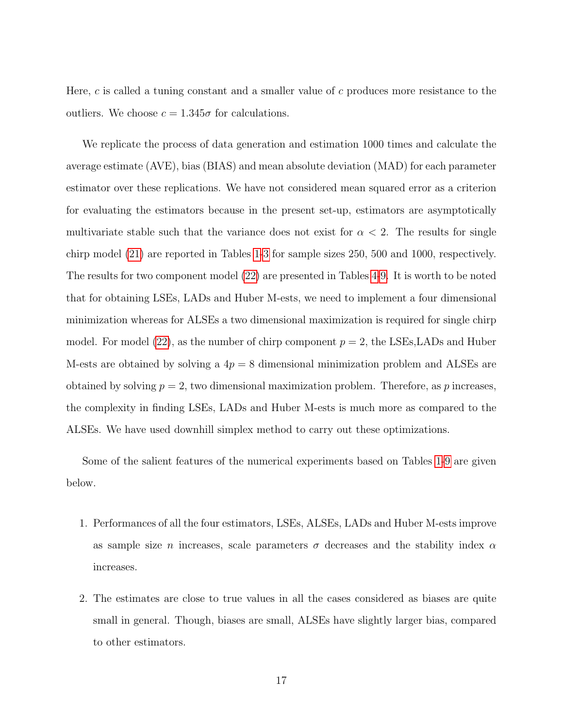Here, c is called a tuning constant and a smaller value of c produces more resistance to the outliers. We choose  $c = 1.345\sigma$  for calculations.

We replicate the process of data generation and estimation 1000 times and calculate the average estimate (AVE), bias (BIAS) and mean absolute deviation (MAD) for each parameter estimator over these replications. We have not considered mean squared error as a criterion for evaluating the estimators because in the present set-up, estimators are asymptotically multivariate stable such that the variance does not exist for  $\alpha < 2$ . The results for single chirp model [\(21\)](#page-14-1) are reported in Tables [1-](#page-18-0)[3](#page-20-0) for sample sizes 250, 500 and 1000, respectively. The results for two component model [\(22\)](#page-15-0) are presented in Tables [4-](#page-21-0)[9.](#page-26-0) It is worth to be noted that for obtaining LSEs, LADs and Huber M-ests, we need to implement a four dimensional minimization whereas for ALSEs a two dimensional maximization is required for single chirp model. For model [\(22\)](#page-15-0), as the number of chirp component  $p = 2$ , the LSEs, LADs and Huber M-ests are obtained by solving a  $4p = 8$  dimensional minimization problem and ALSEs are obtained by solving  $p = 2$ , two dimensional maximization problem. Therefore, as p increases, the complexity in finding LSEs, LADs and Huber M-ests is much more as compared to the ALSEs. We have used downhill simplex method to carry out these optimizations.

Some of the salient features of the numerical experiments based on Tables [1-](#page-18-0)[9](#page-26-0) are given below.

- 1. Performances of all the four estimators, LSEs, ALSEs, LADs and Huber M-ests improve as sample size *n* increases, scale parameters  $\sigma$  decreases and the stability index  $\alpha$ increases.
- 2. The estimates are close to true values in all the cases considered as biases are quite small in general. Though, biases are small, ALSEs have slightly larger bias, compared to other estimators.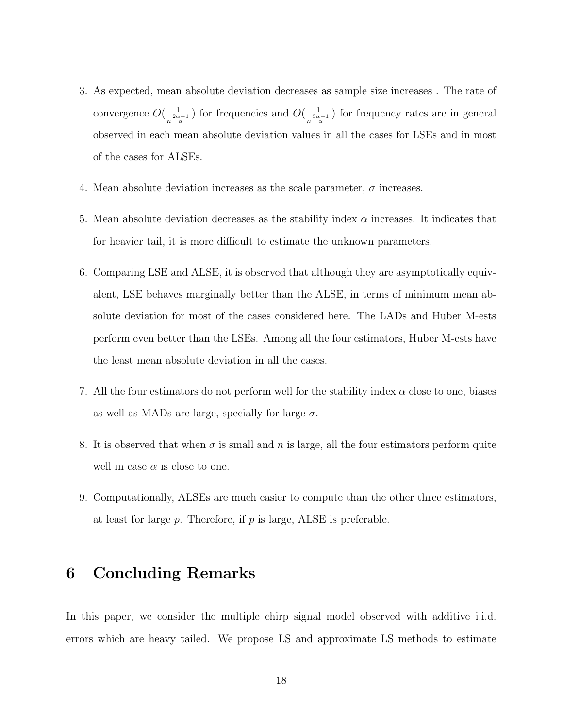- 3. As expected, mean absolute deviation decreases as sample size increases . The rate of convergence  $O(\frac{1}{2\alpha})$  $\frac{1}{n^{\frac{2\alpha-1}{\alpha}}}$ ) for frequencies and  $O(\frac{1}{n^{\frac{3\alpha}{\alpha}}}$  $\frac{1}{n^{\frac{3\alpha-1}{\alpha}}}$ ) for frequency rates are in general observed in each mean absolute deviation values in all the cases for LSEs and in most of the cases for ALSEs.
- 4. Mean absolute deviation increases as the scale parameter,  $\sigma$  increases.
- 5. Mean absolute deviation decreases as the stability index  $\alpha$  increases. It indicates that for heavier tail, it is more difficult to estimate the unknown parameters.
- 6. Comparing LSE and ALSE, it is observed that although they are asymptotically equivalent, LSE behaves marginally better than the ALSE, in terms of minimum mean absolute deviation for most of the cases considered here. The LADs and Huber M-ests perform even better than the LSEs. Among all the four estimators, Huber M-ests have the least mean absolute deviation in all the cases.
- 7. All the four estimators do not perform well for the stability index  $\alpha$  close to one, biases as well as MADs are large, specially for large  $\sigma$ .
- 8. It is observed that when  $\sigma$  is small and n is large, all the four estimators perform quite well in case  $\alpha$  is close to one.
- 9. Computationally, ALSEs are much easier to compute than the other three estimators, at least for large  $p$ . Therefore, if  $p$  is large, ALSE is preferable.

### <span id="page-17-0"></span>6 Concluding Remarks

In this paper, we consider the multiple chirp signal model observed with additive i.i.d. errors which are heavy tailed. We propose LS and approximate LS methods to estimate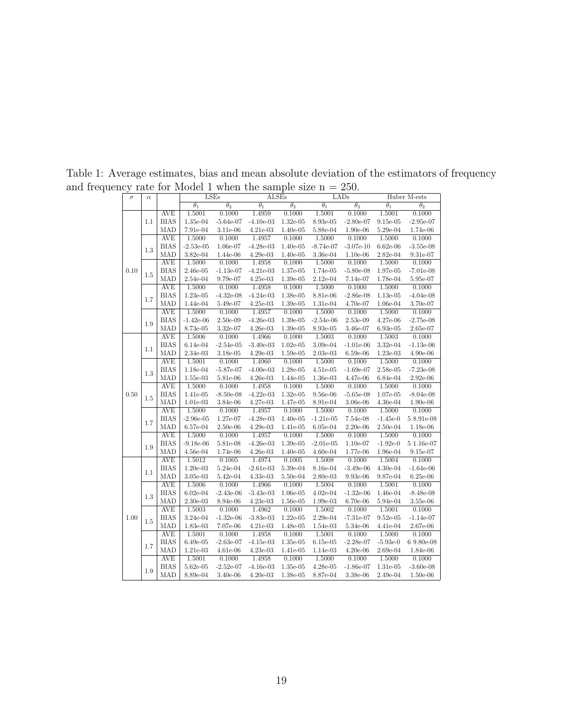<span id="page-18-0"></span>

| $\sigma$ | $\alpha$ |                    |                      | LSEs                  | <b>ALSEs</b>            |                              |                    | LADs                         |                       | Huber M-ests                 |
|----------|----------|--------------------|----------------------|-----------------------|-------------------------|------------------------------|--------------------|------------------------------|-----------------------|------------------------------|
|          |          |                    | $\theta_1$           | $\overline{\theta_2}$ | $\theta_1$              | $\overline{\theta_2}$        | $\theta_1$         | $\overline{\theta_2}$        | $\overline{\theta_1}$ | $\overline{\theta_2}$        |
|          |          | <b>AVE</b>         | 1.5001               | 0.1000                | 1.4959                  | 0.1000                       | 1.5001             | 0.1000                       | 1.5001                | 0.1000                       |
|          | 1.1      | <b>BIAS</b>        | 1.35e-04             | $-5.64e-07$           | $-4.10e-03$             | $1.32e-05$                   | 8.93e-05           | $-2.80e-07$                  | $9.15e-05$            | $-2.95e-07$                  |
|          |          | MAD                | 7.91e-04             | 3.11e-06              | $4.21e-03$              | 1.40e-05                     | 5.88e-04           | 1.90e-06                     | 5.29e-04              | 1.74e-06                     |
|          |          | <b>AVE</b>         | 1.5000               | 0.1000                | 1.4957                  | 0.1000                       | 1.5000             | 0.1000                       | 1.5000                | 0.1000                       |
|          | 1.3      | <b>BIAS</b>        | $-2.53e-05$          | 1.06e-07              | $-4.28e-03$             | $1.40e-05$                   | $-8.74e-07$        | $-3.07e-10$                  | $6.62e-06$            | $-3.55e-08$                  |
|          |          | MAD                | 3.82e-04             | 1.44e-06              | $4.29e-03$              | $1.40e-05$                   | 3.36e-04           | $1.10e-06$                   | 2.82e-04              | 9.31e-07                     |
| 0.10     |          | <b>AVE</b>         | 1.5000               | 0.1000                | 1.4958                  | 0.1000                       | 1.5000             | 0.1000                       | 1.5000                | 0.1000                       |
|          | 1.5      | <b>BIAS</b>        | 2.46e-05             | $-1.13e-07$           | $-4.21e-03$             | 1.37e-05                     | 1.74e-05           | $-5.80e-08$                  | 1.97e-05              | $-7.01e-08$                  |
|          |          | MAD                | 2.54e-04             | 9.79e-07              | $4.25e-03$              | $1.39e-05$                   | 2.12e-04           | 7.14e-07                     | 1.78e-04              | 5.95e-07                     |
|          |          | <b>AVE</b>         | 1.5000               | 0.1000                | 1.4958                  | 0.1000                       | 1.5000             | 0.1000                       | 1.5000                | 0.1000                       |
|          | 1.7      | <b>BIAS</b>        | $1.23e-05$           | $-4.32e-08$           | $-4.24e-03$             | 1.38e-05                     | 8.81e-06           | $-2.86e-08$                  | 1.13e-05              | $-4.04e-08$                  |
|          |          | MAD                | 1.44e-04             | 5.49e-07              | $4.25e-03$              | $1.39\mathrm{e}{\text{-}}05$ | 1.31e-04           | 4.70e-07                     | $1.06e-04$            | 3.70e-07                     |
|          |          | <b>AVE</b>         | 1.5000               | 0.1000                | 1.4957                  | 0.1000                       | 1.5000             | 0.1000                       | 1.5000                | 0.1000                       |
|          | 1.9      | <b>BIAS</b>        | $-1.42e-06$          | 2.50e-09              | $-4.26e-03$             | $1.39e-05$                   | $-2.54e-06$        | 2.53e-09                     | 4.27e-06              | $-2.75e-08$                  |
|          |          | MAD                | 8.73e-05             | 3.32e-07              | $4.26e-03$              | $1.39e-05$                   | 8.93e-05           | 3.46e-07                     | 6.93e-05              | $2.65\mathrm{e}{\text{-}07}$ |
|          |          | <b>AVE</b>         | 1.5006               | 0.1000                | 1.4966                  | 0.1000                       | 1.5003             | 0.1000                       | 1.5003                | 0.1000                       |
|          | 1.1      | <b>BIAS</b>        | $6.14e-04$           | $-2.54e-05$           | $-3.40e-03$             | $1.02e-05$                   | 3.09e-04           | $-1.01e-06$                  | 3.32e-04              | $-1.13e-06$                  |
|          |          | MAD                | 2.34e-03             | 3.18e-05              | 4.29e-03                | 1.59e-05                     | 2.03e-03           | $6.59e-06$                   | 1.23e-03              | 4.90e-06                     |
| 0.50     | 1.3      | <b>AVE</b>         | 1.5001               | 0.1000                | 1.4960                  | 0.1000                       | 1.5000             | 0.1000                       | 1.5000                | 0.1000                       |
|          |          | <b>BIAS</b>        | 1.18e-04             | $-5.87e-07$           | $-4.00e-03$             | 1.28e-05                     | $4.51e-05$         | $-1.69e-07$                  | 2.58e-05              | $-7.23e-08$                  |
|          |          | MAD                | 1.55e-03             | 5.81e-06              | $4.26e-03$              | 1.44e-05                     | 1.36e-03           | 4.47e-06                     | 6.84e-04              | 2.92e-06                     |
|          |          | <b>AVE</b>         | 1.5000               | 0.1000                | 1.4958                  | 0.1000                       | 1.5000             | 0.1000                       | 1.5000                | 0.1000                       |
|          | 1.5      | <b>BIAS</b>        | 1.41e-05             | $-8.50e-08$           | $-4.22e-03$             | $1.32e-05$                   | 9.56e-06           | $-5.65e-08$                  | 1.07e-05              | $-8.04e-08$                  |
|          |          | MAD                | $1.01e-03$           | $3.84e-06$            | 4.27e-03                | 1.47e-05                     | 8.91e-04           | 3.06e-06                     | 4.36e-04              | 1.90e-06                     |
|          |          | <b>AVE</b>         | 1.5000               | 0.1000                | 1.4957                  | 0.1000                       | 1.5000             | 0.1000                       | 1.5000                | 0.1000                       |
|          | 1.7      | <b>BIAS</b>        | $-2.96e-05$          | 1.27e-07              | $-4.28e-03$             | $1.40e-05$                   | $-1.21e-0.5$       | 7.54e-08                     | $-1.45e-0$            | 58.91e-08                    |
|          |          | MAD                | 6.57e-04             | $2.50e-06$            | $4.29e-03$              | 1.41e-05                     | $6.05e-04$         | $2.20e-06$                   | $2.50e-04$            | 1.18e-06                     |
|          |          | <b>AVE</b>         | 1.5000               | 0.1000                | 1.4957                  | 0.1000                       | 1.5000             | 0.1000                       | 1.5000                | 0.1000                       |
|          | 1.9      | <b>BIAS</b>        | $-9.18e-06$          | 5.81e-08              | $-4.26e-03$             | 1.39e-05                     | $-2.01e-05$        | 1.10e-07                     | $-1.92e-0$            | $51.16e-07$                  |
|          |          | MAD                | $4.56e-04$           | 1.74e-06              | $4.26e-03$              | $1.40e-05$                   | $4.60e-04$         | 1.77e-06                     | 1.96e-04              | $9.15e-07$                   |
|          |          | <b>AVE</b>         | 1.5012               | 0.1005                | 1.4974                  | 0.1005                       | 1.5008             | 0.1000                       | 1.5004                | 0.1000                       |
|          | 1.1      | <b>BIAS</b>        | $1.20e-03$           | 5.24e-04              | $-2.61e-03$             | 5.39e-04                     | 8.16e-04           | $-3.49e-06$                  | $4.30e-04$            | $-1.64e-06$                  |
|          |          | MAD                | 3.05e-03             | 5.42e-04              | 4.33e-03                | 5.50e-04                     | 2.80e-03           | 9.93e-06                     | 9.87e-04              | $6.25e-06$                   |
|          |          | <b>AVE</b>         | 1.5006<br>$6.02e-04$ | 0.1000                | 1.4966                  | 0.1000                       | 1.5004             | 0.1000                       | 1.5001                | 0.1000                       |
|          | 1.3      | <b>BIAS</b><br>MAD |                      | $-2.43e-06$           | $-3.43e-03$<br>4.23e-03 | 1.06e-05                     | $4.02e-04$         | $-1.32e-06$                  | 1.46e-04<br>5.94e-04  | $-8.48e-08$                  |
|          |          | <b>AVE</b>         | $2.30e-03$<br>1.5003 | 8.94e-06<br>0.1000    | 1.4962                  | $1.56e-05$<br>0.1000         | 1.99e-03<br>1.5002 | $6.70e-06$<br>0.1000         | 1.5001                | 3.55e-06<br>0.1000           |
| 1.00     |          | <b>BIAS</b>        | 3.24e-04             | $-1.32e-06$           | $-3.83e-03$             | $1.22e-05$                   | 2.29e-04           | $-7.31e-07$                  | $9.52e-05$            | $-1.14e-07$                  |
|          | 1.5      | MAD                | 1.83e-03             | 7.07e-06              | $4.21e-03$              | 1.48e-05                     | 1.54e-03           | 5.34e-06                     | 4.41e-04              | 2.67e-06                     |
|          |          | <b>AVE</b>         | 1.5001               | 0.1000                | 1.4958                  | 0.1000                       | 1.5001             | 0.1000                       | 1.5000                | 0.1000                       |
|          |          | <b>BIAS</b>        | $6.49e-05$           | $-2.63e-07$           | $-4.15e-03$             | 1.35e-05                     | $6.15e-05$         | $-2.28e-07$                  | $-5.93e-0$            | 6 9.80e-08                   |
|          | 1.7      | MAD                | 1.21e-03             | 4.61e-06              | 4.23e-03                | 1.41e-05                     | 1.14e-03           | $4.20\mathrm{e}{\text{-}}06$ | 2.69e-04              | 1.84e-06                     |
|          |          | <b>AVE</b>         | 1.5001               | 0.1000                | 1.4958                  | 0.1000                       | 1.5000             | 0.1000                       | 1.5000                | 0.1000                       |
|          |          | <b>BIAS</b>        | 5.62e-05             | $-2.52e-07$           | $-4.16e-03$             | 1.35e-05                     | 4.28e-05           | $-1.86e-07$                  | 1.31e-05              | $-3.60e-08$                  |
|          | 1.9      | MAD                | 8.89e-04             | 3.40e-06              | $4.20e-03$              | 1.38e-05                     | 8.87e-04           | 3.38e-06                     | 2.49e-04              | $1.50e-06$                   |
|          |          |                    |                      |                       |                         |                              |                    |                              |                       |                              |

Table 1: Average estimates, bias and mean absolute deviation of the estimators of frequency and frequency rate for Model 1 when the sample size  $n = 250$ .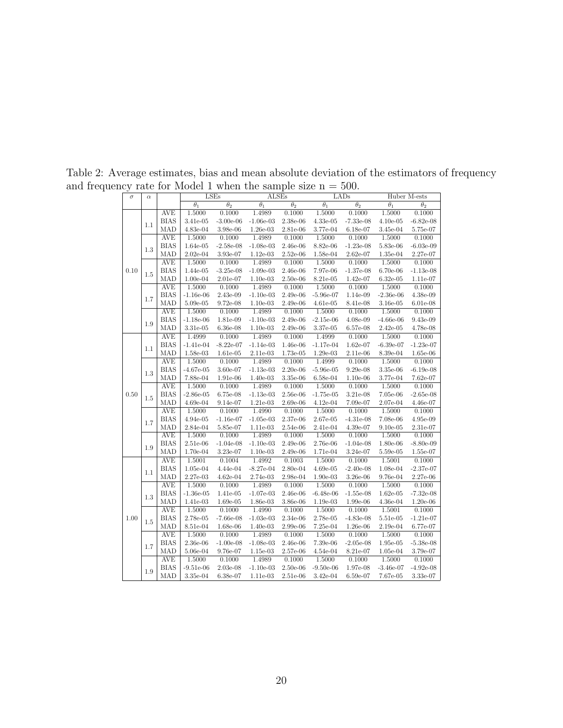| $\sigma$ | $\alpha$ |                   |                       | <b>LSEs</b>           | ALSEs                 |                       |                       | LADs                  |                       | Huber M-ests          |
|----------|----------|-------------------|-----------------------|-----------------------|-----------------------|-----------------------|-----------------------|-----------------------|-----------------------|-----------------------|
|          |          |                   | $\overline{\theta_1}$ | $\overline{\theta_2}$ | $\overline{\theta_1}$ | $\overline{\theta_2}$ | $\overline{\theta_1}$ | $\overline{\theta_2}$ | $\overline{\theta_1}$ | $\overline{\theta_2}$ |
|          |          | <b>AVE</b>        | 1.5000                | 0.1000                | 1.4989                | 0.1000                | 1.5000                | 0.1000                | 1.5000                | 0.1000                |
|          | 1.1      | <b>BIAS</b>       | 3.41e-05              | $-3.00e-06$           | $-1.06e-03$           | 2.38e-06              | 4.33e-05              | $-7.33e-08$           | $4.10e-05$            | $-6.82e-08$           |
|          |          | MAD               | 4.83e-04              | 3.98e-06              | $1.26e-03$            | 2.81e-06              | 3.77e-04              | 6.18e-07              | 3.45e-04              | 5.75e-07              |
|          |          | <b>AVE</b>        | 1.5000                | 0.1000                | 1.4989                | 0.1000                | 1.5000                | 0.1000                | 1.5000                | 0.1000                |
|          | 1.3      | <b>BIAS</b>       | 1.64e-05              | $-2.58e-08$           | $-1.08e-03$           | 2.46e-06              | 8.82e-06              | $-1.23e-08$           | 5.83e-06              | $-6.03e-09$           |
|          |          | MAD               | $2.02e-04$            | 3.93e-07              | $1.12e-03$            | $2.52e-06$            | 1.58e-04              | $2.62e-07$            | 1.35e-04              | 2.27e-07              |
| 0.10     |          | <b>AVE</b>        | 1.5000                | 0.1000                | 1.4989                | 0.1000                | 1.5000                | 0.1000                | 1.5000                | 0.1000                |
|          | 1.5      | <b>BIAS</b>       | 1.44e-05              | $-3.25e-08$           | $-1.09e-03$           | 2.46e-06              | 7.97e-06              | $-1.37e-08$           | $6.70e-06$            | $-1.13e-08$           |
|          |          | MAD               | $1.00e-04$            | $2.01e-07$            | $1.10e-03$            | $2.50e-06$            | 8.21e-05              | 1.42e-07              | $6.32e-05$            | $1.11e-07$            |
|          |          | <b>AVE</b>        | 1.5000                | 0.1000                | 1.4989                | 0.1000                | 1.5000                | 0.1000                | 1.5000                | 0.1000                |
|          | 1.7      | <b>BIAS</b>       | $-1.16e-06$           | 2.43e-09              | $-1.10e-03$           | 2.49e-06              | $-5.96e-07$           | 1.14e-09              | $-2.36e-06$           | 4.38e-09              |
|          |          | MAD               | 5.09e-05              | $9.72e-08$            | $1.10e-03$            | 2.49e-06              | $4.61e-05$            | 8.41e-08              | $3.16e-05$            | $6.01e-08$            |
|          |          | <b>AVE</b>        | 1.5000                | 0.1000                | 1.4989                | 0.1000                | 1.5000                | 0.1000                | 1.5000                | 0.1000                |
|          | $1.9\,$  | <b>BIAS</b>       | $-1.18e-06$           | 1.81e-09              | $-1.10e-03$           | 2.49e-06              | $-2.15e-06$           | 4.08e-09              | $-4.66e-06$           | 9.43e-09              |
|          |          | MAD               | 3.31e-05              | $6.36e-08$            | $1.10e-03$            | 2.49e-06              | 3.37e-05              | 6.57e-08              | $2.42e-05$            | 4.78e-08              |
|          |          | <b>AVE</b>        | 1.4999                | 0.1000                | 1.4989                | 0.1000                | 1.4999                | 0.1000                | 1.5000                | 0.1000                |
|          | 1.1      | <b>BIAS</b>       | $-1.41e-04$           | $-8.22e-07$           | $-1.14e-03$           | 1.46e-06              | $-1.17e-04$           | 1.62e-07              | $-6.39e-07$           | $-1.23e-07$           |
|          |          | MAD               | 1.58e-03              | 1.61e-05              | 2.11e-03              | 1.73e-05              | 1.29e-03              | 2.11e-06              | 8.39e-04              | 1.65e-06              |
|          |          | <b>AVE</b>        | 1.5000                | 0.1000                | 1.4989                | 0.1000                | 1.4999                | 0.1000                | 1.5000                | 0.1000                |
|          | 1.3      | <b>BIAS</b>       | $-4.67e-05$           | 3.60e-07              | $-1.13e-03$           | 2.20e-06              | $-5.96e-05$           | $9.29e-08$            | 3.35e-06              | $-6.19e-08$           |
|          |          | MAD               | 7.88e-04              | 1.91e-06              | $1.40e-03$            | 3.35e-06              | 6.58e-04              | $1.10e-06$            | 3.77e-04              | 7.62e-07              |
|          |          | <b>AVE</b>        | 1.5000                | 0.1000                | 1.4989                | 0.1000                | 1.5000                | 0.1000                | 1.5000                | 0.1000                |
| 0.50     | 1.5      | <b>BIAS</b>       | $-2.86e-05$           | $6.75e-08$            | $-1.13e-03$           | 2.56e-06              | $-1.75e-05$           | 3.21e-08              | 7.05e-06              | $-2.65e-08$           |
|          |          | MAD               | $4.69e-04$            | 9.14e-07              | 1.21e-03              | 2.69e-06              | $4.12e-04$            | 7.09e-07              | 2.07e-04              | 4.46e-07              |
|          |          | <b>AVE</b>        | 1.5000                | 0.1000                | 1.4990                | 0.1000                | 1.5000                | 0.1000                | 1.5000                | 0.1000                |
|          | 1.7      | <b>BIAS</b>       | 4.94e-05              | $-1.16e-07$           | $-1.05e-03$           | 2.37e-06              | 2.67e-05              | $-4.31e-08$           | 7.08e-06              | 4.95e-09              |
|          |          | MAD               | 2.84e-04              | 5.85e-07              | 1.11e-03              | $2.54e-06$            | 2.41e-04              | 4.39e-07              | $9.10e-05$            | 2.31e-07              |
|          |          | <b>AVE</b>        | 1.5000                | 0.1000                | 1.4989                | 0.1000                | 1.5000                | 0.1000                | 1.5000                | 0.1000                |
|          | 1.9      | <b>BIAS</b>       | 2.51e-06              | $-1.04e-08$           | $-1.10e-03$           | 2.49e-06              | 2.76e-06              | $-1.04e-08$           | 1.80e-06              | $-8.80e-09$           |
|          |          | MAD               | 1.70e-04              | 3.23e-07              | $1.10e-03$            | $2.49e-06$            | 1.71e-04              | 3.24e-07              | 5.59e-05              | 1.55e-07              |
|          |          | <b>AVE</b>        | 1.5001                | 0.1004                | 1.4992                | 0.1003                | 1.5000                | 0.1000                | 1.5001                | 0.1000                |
|          | 1.1      | <b>BIAS</b>       | 1.05e-04              | 4.44e-04              | $-8.27e-04$           | 2.80e-04              | $4.69e-05$            | $-2.40e-08$           | 1.08e-04              | $-2.37e-07$           |
|          |          | MAD<br><b>AVE</b> | 2.27e-03<br>1.5000    | $4.62e-04$<br>0.1000  | $2.74e-03$<br>1.4989  | 2.98e-04<br>0.1000    | $1.90e-03$<br>1.5000  | 3.26e-06<br>0.1000    | 9.76e-04<br>1.5000    | 2.27e-06<br>0.1000    |
|          |          | <b>BIAS</b>       | $-1.36e-05$           | 1.41e-05              | $-1.07e-03$           | 2.46e-06              | $-6.48e-06$           | $-1.55e-08$           | $1.62e-05$            | $-7.32e-08$           |
|          | 1.3      | MAD               |                       | 1.69e-05              | 1.86e-03              | 3.86e-06              | 1.19e-03              |                       | 4.36e-04              | 1.20e-06              |
|          |          | <b>AVE</b>        | 1.41e-03<br>1.5000    | 0.1000                | 1.4990                | 0.1000                | 1.5000                | $1.99e-06$<br>0.1000  | 1.5001                | 0.1000                |
| 1.00     |          | <b>BIAS</b>       | 2.78e-05              | $-7.66e-08$           | $-1.03e-03$           | 2.34e-06              | 2.78e-05              | $-4.83e-08$           | 5.51e-05              | $-1.21e-07$           |
|          | 1.5      | MAD               | $8.51e-04$            | 1.68e-06              | $1.40e-03$            | $2.99e-06$            | $7.25e-04$            | $1.26e-06$            | 2.19e-04              | $6.77e-07$            |
|          |          | <b>AVE</b>        | 1.5000                | 0.1000                | 1.4989                | 0.1000                | 1.5000                | 0.1000                | 1.5000                | 0.1000                |
|          |          | <b>BIAS</b>       | 2.36e-06              | $-1.00e-08$           | $-1.08e-03$           | 2.46e-06              | 7.39e-06              | $-2.05e-08$           | 1.95e-05              | $-5.38e-08$           |
|          | 1.7      | MAD               | 5.06e-04              | 9.76e-07              | 1.15e-03              | 2.57e-06              | 4.54e-04              | 8.21e-07              | 1.05e-04              | 3.79e-07              |
|          |          | <b>AVE</b>        | 1.5000                | 0.1000                | 1.4989                | 0.1000                | 1.5000                | 0.1000                | 1.5000                | 0.1000                |
|          |          | <b>BIAS</b>       | $-9.51e-06$           | $2.03e-08$            | $-1.10e-03$           | $2.50e-06$            | $-9.50e-06$           | 1.97e-08              | $-3.46e-07$           | $-4.92e-08$           |
|          | 1.9      | MAD               | 3.35e-04              | 6.38e-07              | $1.11e-03$            | 2.51e-06              | 3.42e-04              | $6.59e-07$            | 7.67e-05              | 3.33e-07              |
|          |          |                   |                       |                       |                       |                       |                       |                       |                       |                       |

Table 2: Average estimates, bias and mean absolute deviation of the estimators of frequency and frequency rate for Model 1 when the sample size  $n = 500$ .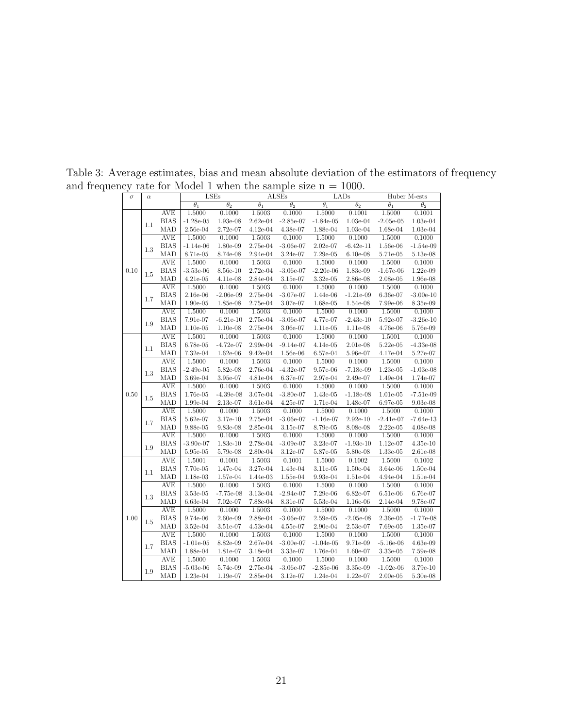<span id="page-20-0"></span>

| $\sigma$ | $\alpha$ |                           |                       | <b>LSEs</b>           |                       | ALSEs                 |                       | LADs                  |                       | Huber M-ests                 |
|----------|----------|---------------------------|-----------------------|-----------------------|-----------------------|-----------------------|-----------------------|-----------------------|-----------------------|------------------------------|
|          |          |                           | $\overline{\theta_1}$ | $\overline{\theta_2}$ | $\overline{\theta_1}$ | $\overline{\theta_2}$ | $\overline{\theta_1}$ | $\overline{\theta_2}$ | $\overline{\theta_1}$ | $\overline{\theta_2}$        |
|          |          | <b>AVE</b>                | 1.5000                | 0.1000                | 1.5003                | 0.1000                | 1.5000                | 0.1001                | 1.5000                | 0.1001                       |
|          | 1.1      | <b>BIAS</b>               | $-1.28e-05$           | 1.93e-08              | $2.62e-04$            | $-2.85e-07$           | $-1.84e-05$           | 1.03e-04              | $-2.05e-05$           | 1.03e-04                     |
| 0.10     |          | MAD                       | 2.56e-04              | 2.72e-07              | 4.12e-04              | 4.38e-07              | 1.88e-04              | 1.03e-04              | 1.68e-04              | $1.03e-04$                   |
|          |          | <b>AVE</b>                | 1.5000                | 0.1000                | 1.5003                | 0.1000                | 1.5000                | 0.1000                | 1.5000                | 0.1000                       |
|          | 1.3      | <b>BIAS</b>               | $-1.14e-06$           | 1.80e-09              | 2.75e-04              | $-3.06e-07$           | 2.02e-07              | $-6.42e-11$           | 1.56e-06              | $-1.54e-09$                  |
|          |          | MAD                       | 8.71e-05              | 8.74e-08              | 2.94e-04              | 3.24e-07              | $7.29e-05$            | $6.10e-08$            | 5.71e-05              | 5.13e-08                     |
|          |          | <b>AVE</b>                | 1.5000                | 0.1000                | 1.5003                | 0.1000                | 1.5000                | 0.1000                | 1.5000                | 0.1000                       |
|          | 1.5      | <b>BIAS</b>               | $-3.53e-06$           | 8.56e-10              | 2.72e-04              | $-3.06e-07$           | $-2.20e-06$           | 1.83e-09              | $-1.67e-06$           | $1.22e-09$                   |
|          |          | MAD                       | 4.21e-05              | 4.11e-08              | 2.84e-04              | 3.15e-07              | 3.32e-05              | 2.86e-08              | 2.08e-05              | 1.96e-08                     |
|          |          | <b>AVE</b>                | 1.5000                | 0.1000                | 1.5003                | 0.1000                | 1.5000                | 0.1000                | 1.5000                | 0.1000                       |
|          | 1.7      | <b>BIAS</b>               | 2.16e-06              | $-2.06e-09$           | 2.75e-04              | $-3.07e-07$           | 1.44e-06              | $-1.21e-09$           | 6.36e-07              | $-3.00e-10$                  |
|          |          | <b>MAD</b>                | $1.90e-05$            | 1.85e-08              | $2.75e-04$            | 3.07e-07              | 1.68e-05              | 1.54e-08              | $7.99e-06$            | 8.35e-09                     |
|          |          | <b>AVE</b>                | 1.5000                | 0.1000                | 1.5003                | 0.1000                | 1.5000                | 0.1000                | 1.5000                | 0.1000                       |
|          | 1.9      | <b>BIAS</b>               | 7.91e-07              | $-6.21e-10$           | 2.75e-04              | $-3.06e-07$           | 4.77e-07              | $-2.43e-10$           | 5.92e-07              | $-3.26e-10$                  |
|          |          | MAD                       | $1.10e-05$            | $1.10e-08$            | 2.75e-04              | $3.06e-07$            | 1.11e-05              | $1.11e-08$            | 4.76e-06              | $5.76\mathrm{e}{\text{-}}09$ |
|          |          | <b>AVE</b>                | 1.5001                | 0.1000                | 1.5003                | 0.1000                | 1.5000                | 0.1000                | 1.5001                | 0.1000                       |
|          | 1.1      | <b>BIAS</b>               | 6.78e-05              | $-4.72e-07$           | 2.99e-04              | $-9.14e-07$           | 4.14e-05              | 2.01e-08              | $5.22e-05$            | $-4.33e-08$                  |
|          |          | MAD                       | 7.32e-04              | $1.62e-06$            | 9.42e-04              | 1.56e-06              | 6.57e-04              | 5.96e-07              | 4.17e-04              | 5.27e-07                     |
| 0.50     |          | <b>AVE</b>                | 1.5000                | 0.1000                | 1.5003                | 0.1000                | 1.5000                | 0.1000                | 1.5000                | 0.1000                       |
|          | 1.3      | <b>BIAS</b>               | $-2.49e-05$           | 5.82e-08              | 2.76e-04              | $-4.32e-07$           | 9.57e-06              | $-7.18e-09$           | $1.23e-05$            | $-1.03e-08$                  |
|          |          | MAD                       | 3.69e-04              | 3.95e-07              | $4.81e-04$            | 6.37e-07              | 2.97e-04              | 2.49e-07              | $1.49e-04$            | 1.74e-07                     |
|          |          | <b>AVE</b>                | 1.5000                | 0.1000                | 1.5003                | 0.1000                | 1.5000                | 0.1000                | 1.5000                | 0.1000                       |
|          | 1.5      | <b>BIAS</b>               | 1.76e-05              | $-4.39e-08$           | 3.07e-04              | $-3.80e-07$           | 1.43e-05              | $-1.18e-08$           | $1.01e-05$            | $-7.51e-09$                  |
|          |          | MAD                       | 1.99e-04              | $2.13e-07$            | 3.61e-04              | 4.25e-07              | 1.71e-04              | 1.48e-07              | 6.97e-05              | $9.03e-08$                   |
|          |          | <b>AVE</b>                | 1.5000                | 0.1000                | 1.5003                | 0.1000                | 1.5000                | 0.1000                | 1.5000                | 0.1000                       |
|          | 1.7      | <b>BIAS</b>               | 5.62e-07              | $3.17e-10$            | 2.75e-04              | $-3.06e-07$           | $-1.16e-07$           | $2.92e-10$            | $-2.41e-07$           | $-7.64e-13$                  |
|          |          | MAD                       | $9.88e-05$            | $9.83e-08$            | 2.85e-04              | 3.15e-07              | 8.79e-05              | $8.08e-08$            | $2.22e-05$            | $4.08e-08$                   |
|          |          | <b>AVE</b><br><b>BIAS</b> | 1.5000                | 0.1000                | 1.5003                | 0.1000                | 1.5000                | 0.1000                | 1.5000                | 0.1000                       |
|          | 1.9      |                           | $-3.90e-07$           | 1.83e-10              | 2.78e-04              | $-3.09e-07$           | 3.23e-07              | $-1.93e-10$           | $1.12e-07$            | $4.35e-10$                   |
|          |          | MAD                       | 5.95e-05              | 5.79e-08              | $2.80e-04$<br>1.5003  | 3.12e-07              | 5.87e-05              | 5.80e-08              | $1.33e-05$            | $2.61e-08$                   |
|          |          | <b>AVE</b><br><b>BIAS</b> | 1.5001                | 0.1001                |                       | 0.1001                | 1.5000                | 0.1002                | 1.5000                | 0.1002                       |
|          | 1.1      | MAD                       | 7.70e-05              | 1.47e-04              | 3.27e-04<br>1.44e-03  | 1.43e-04              | 3.11e-05              | $1.50e-04$            | 3.64e-06              | $1.50e-04$                   |
|          |          | <b>AVE</b>                | 1.18e-03<br>1.5000    | 1.57e-04<br>0.1000    | 1.5003                | $1.55e-04$<br>0.1000  | $9.93e-04$<br>1.5000  | $1.51e-04$<br>0.1000  | 4.94e-04<br>1.5000    | 1.51e-04<br>0.1000           |
|          |          | <b>BIAS</b>               | 3.53e-05              | $-7.75e-08$           | 3.13e-04              | $-2.94e-07$           | 7.29e-06              | 6.82e-07              | $6.51e-06$            | 6.76e-07                     |
|          | 1.3      | MAD                       | 6.63e-04              |                       | 7.88e-04              | 8.31e-07              | 5.53e-04              | 1.16e-06              | $2.14e-04$            | 9.78e-07                     |
|          |          | <b>AVE</b>                | 1.5000                | 7.02e-07<br>0.1000    | 1.5003                | 0.1000                | 1.5000                | 0.1000                | 1.5000                | 0.1000                       |
| 1.00     |          | <b>BIAS</b>               | 9.74e-06              | $2.60e-09$            | 2.88e-04              | $-3.06e-07$           | 2.59e-05              | $-2.05e-08$           | 2.36e-05              | $-1.77e-08$                  |
|          | $1.5\,$  | MAD                       | 3.52e-04              | 3.51e-07              | 4.53e-04              | 4.55e-07              | 2.90e-04              | 2.53e-07              | 7.69e-05              | 1.35e-07                     |
|          |          | <b>AVE</b>                | 1.5000                | 0.1000                | 1.5003                | 0.1000                | 1.5000                | 0.1000                | 1.5000                | 0.1000                       |
|          |          | <b>BIAS</b>               | $-1.01e-05$           | 8.82e-09              | 2.67e-04              | $-3.00e-07$           | $-1.04e-05$           | 9.71e-09              | $-5.16e-06$           | 4.63e-09                     |
|          | 1.7      | MAD                       | 1.88e-04              | 1.81e-07              | 3.18e-04              | 3.33e-07              | 1.76e-04              | $1.60e-07$            | 3.33e-05              | 7.59e-08                     |
|          |          | <b>AVE</b>                | 1.5000                | 0.1000                | 1.5003                | 0.1000                | 1.5000                | 0.1000                | 1.5000                | 0.1000                       |
|          |          | <b>BIAS</b>               | $-5.03e-06$           | 5.74e-09              | 2.75e-04              | $-3.06e-07$           | $-2.85e-06$           | 3.35e-09              | $-1.02e-06$           | 3.79e-10                     |
|          | 1.9      | MAD                       | $1.23e-04$            | 1.19e-07              | 2.85e-04              | $3.12e-07$            | 1.24e-04              | $1.22e-07$            | $2.00e-05$            | 5.30e-08                     |
|          |          |                           |                       |                       |                       |                       |                       |                       |                       |                              |

Table 3: Average estimates, bias and mean absolute deviation of the estimators of frequency and frequency rate for Model 1 when the sample size  $n = 1000$ .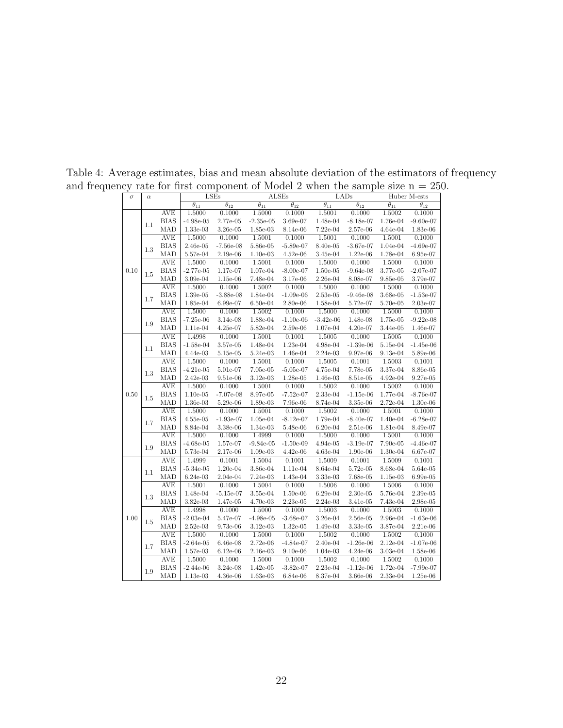<span id="page-21-0"></span>

| $\sigma$ | $\alpha$ |                           |                          | <b>LSEs</b>                  |                          | <b>ALSEs</b>                 |                          | LADs                                   |                          | Huber M-ests                 |
|----------|----------|---------------------------|--------------------------|------------------------------|--------------------------|------------------------------|--------------------------|----------------------------------------|--------------------------|------------------------------|
|          |          |                           | $\overline{\theta_{11}}$ | $\overline{\theta_{12}}$     | $\overline{\theta_{11}}$ | $\overline{\theta_{12}}$     | $\overline{\theta_{11}}$ | $\overline{\theta_{12}}$               | $\overline{\theta_{11}}$ | $\overline{\theta_{12}}$     |
|          |          | <b>AVE</b>                | 1.5000                   | 0.1000                       | 1.5000                   | 0.1000                       | 1.5001                   | 0.1000                                 | 1.5002                   | 0.1000                       |
|          | 1.1      | <b>BIAS</b>               | $-4.98e-05$              | 2.77e-05                     | $-2.35e-05$              | 3.69e-07                     | 1.48e-04                 | $-8.18e-07$                            | 1.76e-04                 | $-9.60e-07$                  |
|          |          | MAD                       | 1.33e-03                 | $3.26e-05$                   | 1.85e-03                 | 8.14e-06                     | 7.22e-04                 | 2.57e-06                               | 4.64e-04                 | $1.83\mathrm{e}{\text{-}}06$ |
|          |          | <b>AVE</b>                | 1.5000                   | 0.1000                       | 1.5001                   | 0.1000                       | 1.5001                   | 0.1000                                 | 1.5001                   | 0.1000                       |
|          | 1.3      | <b>BIAS</b>               | 2.46e-05                 | $-7.56e-08$                  | 5.86e-05                 | $-5.89e-07$                  | 8.40e-05                 | $-3.67e-07$                            | 1.04e-04                 | $-4.69e-07$                  |
|          |          | MAD                       | 5.57e-04                 | 2.19e-06                     | $1.10e-03$               | $4.52e-06$                   | 3.45e-04                 | $1.22e-06$                             | 1.78e-04                 | 6.95e-07                     |
| 0.10     |          | <b>AVE</b>                | 1.5000                   | 0.1000                       | 1.5001                   | 0.1000                       | 1.5000                   | 0.1000                                 | 1.5000                   | 0.1000                       |
|          | 1.5      | <b>BIAS</b>               | $-2.77e-05$              | 1.17e-07                     | 1.07e-04                 | $-8.00e-07$                  | $1.50e-05$               | $-9.64e-08$                            | 3.77e-05                 | $-2.07e-07$                  |
|          |          | MAD                       | 3.09e-04                 | $1.15e-06$                   | 7.48e-04                 | 3.17e-06                     | 2.26e-04                 | 8.08e-07                               | 9.85e-05                 | 3.79e-07                     |
|          |          | <b>AVE</b>                | 1.5000                   | 0.1000                       | 1.5002                   | 0.1000                       | 1.5000                   | 0.1000                                 | 1.5000                   | 0.1000                       |
|          | 1.7      | <b>BIAS</b>               | 1.39e-05                 | $-3.88e-08$                  | $1.84e-04$               | $-1.09e-06$                  | $2.53e-05$               | $-9.46e-08$                            | 3.68e-05                 | $-1.53e-07$                  |
|          |          | <b>MAD</b>                | 1.85e-04                 | 6.99e-07                     | $6.50e-04$               | 2.80e-06                     | 1.58e-04                 | 5.72e-07                               | 5.70e-05                 | 2.03e-07                     |
|          |          | <b>AVE</b>                | 1.5000                   | 0.1000                       | 1.5002                   | 0.1000                       | 1.5000                   | 0.1000                                 | 1.5000                   | 0.1000                       |
|          | 1.9      | <b>BIAS</b>               | $-7.25e-06$              | 3.14e-08                     | 1.88e-04                 | $-1.10e-06$                  | $-3.42e-06$              | 1.48e-08                               | 1.75e-05                 | $-9.22e-08$                  |
|          |          | MAD                       | 1.11e-04                 | 4.25e-07                     | 5.82e-04                 | $2.59\mathrm{e}{\text{-}}06$ | 1.07e-04                 | 4.20e-07                               | 3.44e-05                 | 1.46e-07                     |
|          |          | <b>AVE</b>                | 1.4998                   | 0.1000                       | 1.5001                   | 0.1001                       | 1.5005                   | 0.1000                                 | 1.5005                   | 0.1000                       |
|          | 1.1      | <b>BIAS</b>               | $-1.58e-04$              | 3.57e-05                     | 1.48e-04                 | 1.23e-04                     | 4.98e-04                 | $-1.39e-06$                            | 5.15e-04                 | $-1.45e-06$                  |
|          |          | MAD                       | 4.44e-03                 | 5.15e-05                     | 5.24e-03                 | 1.46e-04                     | 2.24e-03                 | 9.97e-06                               | $9.13e-04$               | 5.89e-06                     |
|          |          | <b>AVE</b>                | 1.5000                   | 0.1000                       | 1.5001                   | 0.1000                       | 1.5005                   | 0.1001                                 | 1.5003                   | 0.1001                       |
|          | 1.3      | <b>BIAS</b>               | $-4.21e-05$              | 5.01e-07                     | 7.05e-05                 | $-5.05e-07$                  | 4.75e-04                 | 7.78e-05                               | 3.37e-04                 | 8.86e-05                     |
|          |          | MAD                       | $2.42e-03$               | 9.51e-06                     | $3.12e-03$               | 1.28e-05                     | $1.46e-03$               | 8.51e-05                               | $4.92e-04$               | 9.27e-05                     |
|          |          | <b>AVE</b>                | 1.5000                   | 0.1000                       | 1.5001                   | 0.1000                       | 1.5002                   | 0.1000                                 | 1.5002                   | 0.1000                       |
| 0.50     | 1.5      | <b>BIAS</b>               | $1.10e-05$               | $-7.07e-08$                  | 8.97e-05                 | $-7.52e-07$                  | 2.33e-04                 | $-1.15e-06$                            | 1.77e-04                 | $-8.76e-07$                  |
|          |          | MAD                       | 1.36e-03                 | $5.29\mathrm{e}{\text{-}}06$ | 1.89e-03                 | 7.96e-06                     | 8.74e-04                 | 3.35e-06                               | 2.72e-04                 | 1.30e-06                     |
|          |          | <b>AVE</b><br><b>BIAS</b> | 1.5000                   | 0.1000                       | 1.5001                   | 0.1000                       | 1.5002<br>1.79e-04       | 0.1000                                 | 1.5001                   | 0.1000                       |
|          | 1.7      | MAD                       | $4.55e-05$               | $-1.93e-07$                  | 1.05e-04                 | $-8.12e-07$                  |                          | $-8.40e-07$                            | 1.40e-04                 | $-6.28e-07$                  |
|          |          | <b>AVE</b>                | 8.84e-04                 | 3.38e-06<br>0.1000           | 1.34e-03<br>1.4999       | $5.48e-06$<br>0.1000         | $6.20e-04$<br>1.5000     | $2.51\mathrm{e}{\text{-}}06$<br>0.1000 | 1.81e-04<br>1.5001       | 8.49e-07<br>0.1000           |
|          |          | <b>BIAS</b>               | 1.5000<br>$-4.68e-05$    | 1.57e-07                     | $-9.84e-05$              | $-1.50e-09$                  | 4.94e-05                 | $-3.19e-07$                            | 7.90e-05                 | $-4.46e-07$                  |
|          | 1.9      | MAD                       | 5.73e-04                 | 2.17e-06                     | $1.09e-03$               | 4.42e-06                     | 4.63e-04                 | $1.90e-06$                             | 1.30e-04                 | 6.67e-07                     |
|          |          | <b>AVE</b>                | 1.4999                   | 0.1001                       | 1.5004                   | 0.1001                       | 1.5009                   | 0.1001                                 | 1.5009                   | 0.1001                       |
|          |          | <b>BIAS</b>               | $-5.34e-05$              | 1.20e-04                     | 3.86e-04                 | 1.11e-04                     | 8.64e-04                 | 5.72e-05                               | 8.68e-04                 | 5.64e-05                     |
|          | 1.1      | MAD                       | $6.24e-03$               | $2.04e-04$                   | 7.24e-03                 | 1.43e-04                     | 3.33e-03                 | 7.68e-05                               | $1.15e-03$               | $6.99e-05$                   |
|          |          | <b>AVE</b>                | 1.5001                   | 0.1000                       | 1.5004                   | 0.1000                       | 1.5006                   | 0.1000                                 | 1.5006                   | 0.1000                       |
|          |          | <b>BIAS</b>               | $1.48e-04$               | $-5.15e-07$                  | 3.55e-04                 | $1.50e-06$                   | $6.29e-04$               | $2.30e-05$                             | 5.76e-04                 | $2.39e-05$                   |
|          | 1.3      | MAD                       | 3.82e-03                 | 1.47e-05                     | 4.70e-03                 | 2.23e-05                     | 2.24e-03                 | 3.41e-05                               | 7.43e-04                 | $2.98e-05$                   |
|          |          | <b>AVE</b>                | 1.4998                   | 0.1000                       | 1.5000                   | 0.1000                       | 1.5003                   | 0.1000                                 | 1.5003                   | 0.1000                       |
| 1.00     |          | <b>BIAS</b>               | $-2.03e-04$              | 5.47e-07                     | $-4.98e-05$              | $-3.68e-07$                  | $3.26e-04$               | $2.56e-05$                             | 2.96e-04                 | $-1.63e-06$                  |
|          | 1.5      | MAD                       | $2.52e-03$               | 9.73e-06                     | $3.12e-03$               | $1.32e-05$                   | 1.49e-03                 | 3.33e-05                               | 3.87e-04                 | 2.21e-06                     |
|          |          | <b>AVE</b>                | 1.5000                   | 0.1000                       | 1.5000                   | 0.1000                       | 1.5002                   | 0.1000                                 | 1.5002                   | 0.1000                       |
|          |          | <b>BIAS</b>               | $-2.64e-05$              | $6.46e-08$                   | 2.72e-06                 | $-4.84e-07$                  | $2.40e-04$               | $-1.26e-06$                            | $2.12e-04$               | $-1.07e-06$                  |
|          | 1.7      | MAD                       | 1.57e-03                 | $6.12e-06$                   | 2.16e-03                 | $9.10e-06$                   | 1.04e-03                 | 4.24e-06                               | 3.03e-04                 | 1.58e-06                     |
|          |          | <b>AVE</b>                | 1.5000                   | 0.1000                       | 1.5000                   | 0.1000                       | 1.5002                   | 0.1000                                 | 1.5002                   | 0.1000                       |
|          |          | <b>BIAS</b>               | $-2.44e-06$              | 3.24e-08                     | $1.42e-05$               | $-3.82e-07$                  | 2.23e-04                 | $-1.12e-06$                            | 1.72e-04                 | $-7.99e-07$                  |
|          | 1.9      | MAD                       | $1.13e-03$               | $4.36e-06$                   | $1.63e-03$               | 6.84e-06                     | 8.37e-04                 | 3.66e-06                               | 2.33e-04                 | $1.25e-06$                   |
|          |          |                           |                          |                              |                          |                              |                          |                                        |                          |                              |

Table 4: Average estimates, bias and mean absolute deviation of the estimators of frequency and frequency rate for first component of Model 2 when the sample size  $n = 250$ .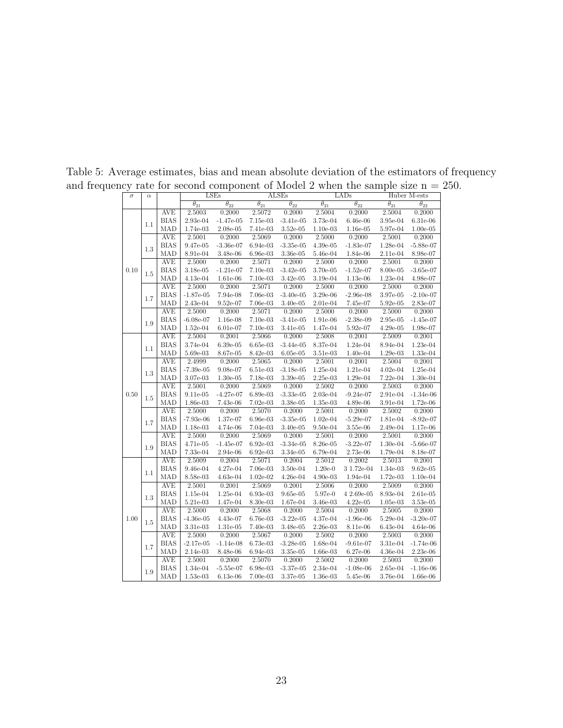| $\sigma$ | $\alpha$ |             |                          | LSEs                     |                              | <b>ALSEs</b>                 |                          | LADs                         |                          | Huber M-ests             |
|----------|----------|-------------|--------------------------|--------------------------|------------------------------|------------------------------|--------------------------|------------------------------|--------------------------|--------------------------|
|          |          |             | $\overline{\theta_{21}}$ | $\overline{\theta_{22}}$ | $\overline{\theta_{21}}$     | $\overline{\theta_{22}}$     | $\overline{\theta_{21}}$ | $\overline{\theta_{22}}$     | $\overline{\theta_{21}}$ | $\overline{\theta_{22}}$ |
|          |          | <b>AVE</b>  | 2.5003                   | 0.2000                   | 2.5072                       | 0.2000                       | 2.5004                   | 0.2000                       | 2.5004                   | 0.2000                   |
| 0.10     | 1.1      | <b>BIAS</b> | 2.93e-04                 | $-1.47e-05$              | $7.15e-03$                   | $-3.41e-05$                  | 3.73e-04                 | $6.46e-06$                   | 3.95e-04                 | $6.31e-06$               |
|          |          | MAD         | 1.74e-03                 | $2.08e-05$               | 7.41e-03                     | $3.52e-05$                   | $1.10e-03$               | $1.16e-05$                   | 5.97e-04                 | $1.00e-05$               |
|          |          | <b>AVE</b>  | 2.5001                   | 0.2000                   | 2.5069                       | 0.2000                       | 2.5000                   | 0.2000                       | 2.5001                   | 0.2000                   |
|          | $1.3\,$  | <b>BIAS</b> | 9.47e-05                 | $-3.36e-07$              | $6.94e-03$                   | $-3.35e-05$                  | $4.39e-05$               | $-1.83e-07$                  | 1.28e-04                 | $-5.88e-07$              |
|          |          | MAD         | 8.91e-04                 | 3.48e-06                 | $6.96e-03$                   | 3.36e-05                     | 5.46e-04                 | 1.84e-06                     | 2.11e-04                 | 8.98e-07                 |
|          |          | <b>AVE</b>  | 2.5000                   | 0.2000                   | 2.5071                       | 0.2000                       | 2.5000                   | 0.2000                       | 2.5001                   | 0.2000                   |
|          | 1.5      | <b>BIAS</b> | 3.18e-05                 | $-1.21e-07$              | $7.10e-03$                   | $-3.42e-05$                  | 3.70e-05                 | $-1.52e-07$                  | 8.00e-05                 | $-3.65e-07$              |
|          |          | MAD         | 4.13e-04                 | 1.61e-06                 | $7.10e-03$                   | $3.42e-05$                   | 3.19e-04                 | 1.13e-06                     | 1.23e-04                 | 4.98e-07                 |
|          |          | <b>AVE</b>  | 2.5000                   | 0.2000                   | 2.5071                       | 0.2000                       | 2.5000                   | 0.2000                       | 2.5000                   | 0.2000                   |
|          | 1.7      | <b>BIAS</b> | $-1.87e-05$              | 7.94e-08                 | 7.06e-03                     | $-3.40e-05$                  | 3.29e-06                 | $-2.96e-08$                  | 3.97e-05                 | $-2.10e-07$              |
|          |          | MAD         | 2.43e-04                 | 9.52e-07                 | 7.06e-03                     | $3.40e-05$                   | $2.01e-04$               | 7.45e-07                     | $5.92e-05$               | 2.83e-07                 |
|          |          | <b>AVE</b>  | 2.5000                   | 0.2000                   | 2.5071                       | 0.2000                       | 2.5000                   | 0.2000                       | 2.5000                   | 0.2000                   |
|          | 1.9      | <b>BIAS</b> | $-6.08e-07$              | $1.16e-08$               | $7.10e-03$                   | $-3.41e-05$                  | 1.91e-06                 | $-2.38e-09$                  | 2.95e-05                 | $-1.45e-07$              |
|          |          | MAD         | $1.52e-04$               | $6.01e-07$               | $7.10e-03$                   | 3.41e-05                     | 1.47e-04                 | 5.92e-07                     | $4.29e-05$               | 1.98e-07                 |
|          |          | <b>AVE</b>  | 2.5004                   | 0.2001                   | 2.5066                       | 0.2000                       | 2.5008                   | 0.2001                       | 2.5009                   | 0.2001                   |
|          | 1.1      | <b>BIAS</b> | 3.74e-04                 | $6.39e-05$               | $6.65e-03$                   | $-3.44e-05$                  | 8.37e-04                 | 1.24e-04                     | 8.94e-04                 | 1.23e-04                 |
|          |          | MAD         | 5.69e-03                 | 8.67e-05                 | 8.42e-03                     | $6.05e-05$                   | $3.51e-03$               | $1.40e-04$                   | 1.29e-03                 | 1.33e-04                 |
| 0.50     | 1.3      | AVE         | 2.4999                   | 0.2000                   | 2.5065                       | 0.2000                       | 2.5001                   | 0.2001                       | 2.5004                   | 0.2001                   |
|          |          | <b>BIAS</b> | $-7.39e-05$              | $9.08e-07$               | $6.51\mathrm{e}{\text{-}}03$ | $-3.18e-05$                  | $1.25e-04$               | $1.21\mathrm{e}{\text{-}}04$ | $4.02e-04$               | 1.25e-04                 |
|          |          | MAD         | 3.07e-03                 | $1.30e-05$               | 7.18e-03                     | 3.39e-05                     | $2.25e-03$               | 1.29e-04                     | 7.22e-04                 | $1.30e-04$               |
|          |          | <b>AVE</b>  | 2.5001                   | 0.2000                   | 2.5069                       | 0.2000                       | 2.5002                   | 0.2000                       | 2.5003                   | 0.2000                   |
|          | 1.5      | <b>BIAS</b> | $9.11e-05$               | $-4.27e-07$              | $6.89e-03$                   | $-3.33e-05$                  | 2.03e-04                 | $-9.24e-07$                  | 2.91e-04                 | $-1.34e-06$              |
|          |          | MAD         | 1.86e-03                 | 7.43e-06                 | 7.02e-03                     | 3.38e-05                     | 1.35e-03                 | 4.89e-06                     | 3.91e-04                 | $1.72e-06$               |
|          |          | <b>AVE</b>  | 2.5000                   | 0.2000                   | 2.5070                       | 0.2000                       | 2.5001                   | 0.2000                       | 2.5002                   | 0.2000                   |
|          | 1.7      | <b>BIAS</b> | $-7.93e-06$              | 1.37e-07                 | 6.96e-03                     | $-3.35e-05$                  | $1.02e-04$               | $-5.29e-07$                  | 1.81e-04                 | $-8.92e-07$              |
|          |          | MAD         | 1.18e-03                 | $4.74e-06$               | 7.04e-03                     | 3.40e-05                     | $9.50e-04$               | $3.55e-06$                   | 2.49e-04                 | 1.17e-06                 |
|          |          | <b>AVE</b>  | 2.5000                   | 0.2000                   | 2.5069                       | 0.2000                       | 2.5001                   | 0.2000                       | 2.5001                   | 0.2000                   |
|          | 1.9      | <b>BIAS</b> | 4.71e-05                 | $-1.45e-07$              | $6.92e-03$                   | $-3.34e-05$                  | 8.26e-05                 | $-3.22e-07$                  | 1.30e-04                 | $-5.66e-07$              |
|          |          | MAD         | 7.33e-04                 | 2.94e-06                 | $6.92e-03$                   | 3.34e-05                     | 6.79e-04                 | 2.73e-06                     | 1.79e-04                 | 8.18e-07                 |
|          |          | <b>AVE</b>  | 2.5009                   | 0.2004                   | 2.5071                       | 0.2004                       | 2.5012                   | 0.2002                       | 2.5013                   | 0.2001                   |
|          | 1.1      | <b>BIAS</b> | 9.46e-04                 | 4.27e-04                 | 7.06e-03                     | $3.50e-04$                   | $1.20e-0$                | 3 1.72e-04                   | 1.34e-03                 | $9.62e-05$               |
|          |          | MAD         | 8.58e-03                 | $4.63e-04$               | $1.02e-02$                   | $4.26e-04$                   | 4.90e-03                 | 1.94e-04                     | 1.72e-03                 | $1.10e-04$               |
|          |          | <b>AVE</b>  | 2.5001                   | 0.2001                   | 2.5069                       | 0.2001                       | 2.5006                   | 0.2000                       | 2.5009                   | 0.2000                   |
|          | 1.3      | <b>BIAS</b> | 1.15e-04                 | 1.25e-04                 | 6.93e-03                     | $9.65e-05$                   | 5.97e-0                  | $42.69e-05$                  | 8.93e-04                 | $2.61e-05$               |
|          |          | MAD         | 5.21e-03                 | 1.47e-04                 | 8.30e-03                     | 1.67e-04                     | 3.46e-03                 | $4.22e-05$                   | $1.05e-03$               | $3.53e-05$               |
|          |          | AVE         | 2.5000                   | 0.2000                   | 2.5068                       | 0.2000                       | 2.5004                   | 0.2000                       | 2.5005                   | 0.2000                   |
| 1.00     | $1.5\,$  | <b>BIAS</b> | $-4.36e-05$              | 4.43e-07                 | 6.76e-03                     | $-3.22e-05$                  | 4.37e-04                 | $-1.96e-06$                  | 5.29e-04                 | $-3.20e-07$              |
|          |          | MAD         | 3.31e-03                 | 1.31e-05                 | 7.40e-03                     | 3.48e-05                     | $2.26e-03$               | 8.11e-06                     | 6.43e-04                 | $4.64e-06$               |
|          |          | <b>AVE</b>  | 2.5000                   | 0.2000                   | 2.5067                       | 0.2000                       | 2.5002                   | 0.2000                       | 2.5003                   | 0.2000                   |
|          | 1.7      | <b>BIAS</b> | $-2.17e-05$              | $-1.14e-08$              | 6.73e-03                     | $-3.28e-05$                  | 1.68e-04                 | $-9.61e-07$                  | 3.31e-04                 | $-1.74e-06$              |
|          |          | MAD         | 2.14e-03                 | 8.48e-06                 | 6.94e-03                     | $3.35\mathrm{e}{\text{-}}05$ | 1.66e-03                 | 6.27e-06                     | $4.36e-04$               | $2.23e-06$               |
|          |          | AVE         | 2.5001                   | 0.2000                   | 2.5070                       | 0.2000                       | 2.5002                   | 0.2000                       | 2.5003                   | 0.2000                   |
|          | 1.9      | <b>BIAS</b> | 1.34e-04                 | $-5.55e-07$              | 6.98e-03                     | $-3.37e-05$                  | 2.34e-04                 | $-1.08e-06$                  | 2.65e-04                 | $-1.16e-06$              |
|          |          | MAD         | $1.53e-03$               | $6.13e-06$               | 7.00e-03                     | 3.37e-05                     | 1.36e-03                 | 5.45e-06                     | 3.76e-04                 | $1.66e-06$               |

Table 5: Average estimates, bias and mean absolute deviation of the estimators of frequency and frequency rate for second component of Model 2 when the sample size  $n = 250$ .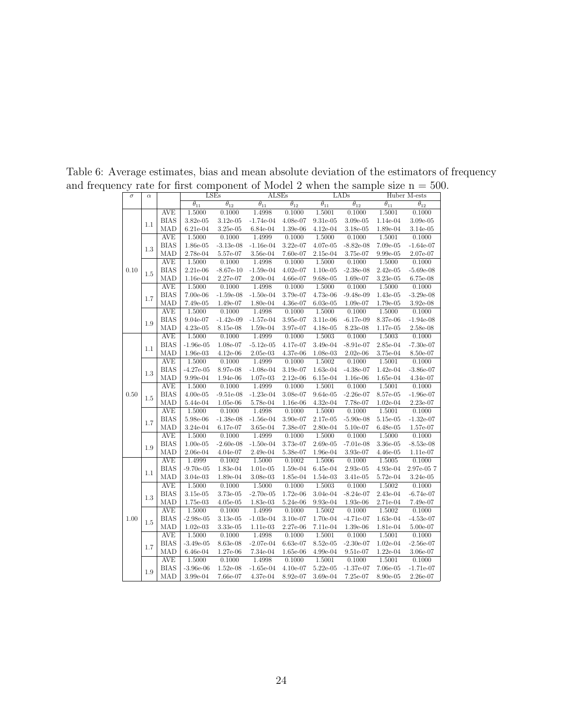| $\sigma$ | $\alpha$ |                           |                          | LSEs                         | <b>ALSEs</b>             |                          |                          | LADs                      |                          | Huber M-ests              |
|----------|----------|---------------------------|--------------------------|------------------------------|--------------------------|--------------------------|--------------------------|---------------------------|--------------------------|---------------------------|
|          |          |                           | $\overline{\theta_{11}}$ | $\overline{\theta_{12}}$     | $\overline{\theta_{11}}$ | $\overline{\theta_{12}}$ | $\overline{\theta_{11}}$ | $\overline{\theta_{12}}$  | $\overline{\theta_{11}}$ | $\overline{\theta_{12}}$  |
|          |          | <b>AVE</b>                | 1.5000                   | 0.1000                       | 1.4998                   | 0.1000                   | 1.5001                   | 0.1000                    | 1.5001                   | 0.1000                    |
| 0.10     | 1.1      | <b>BIAS</b>               | 3.82e-05                 | $3.12e-05$                   | $-1.74e-04$              | 4.08e-07                 | $9.31e-05$               | 3.09e-05                  | 1.14e-04                 | 3.09e-05                  |
|          |          | MAD                       | $6.21e-04$               | $3.25\mathrm{e}{\text{-}}05$ | 6.84e-04                 | 1.39e-06                 | $4.12e-04$               | 3.18e-05                  | 1.89e-04                 | 3.14e-05                  |
|          |          | <b>AVE</b>                | 1.5000                   | 0.1000                       | 1.4999                   | 0.1000                   | 1.5000                   | 0.1000                    | 1.5001                   | 0.1000                    |
|          | 1.3      | <b>BIAS</b>               | 1.86e-05                 | $-3.13e-08$                  | $-1.16e-04$              | 3.22e-07                 | 4.07e-05                 | $-8.82e-08$               | 7.09e-05                 | $-1.64e-07$               |
|          |          | MAD                       | 2.78e-04                 | 5.57e-07                     | 3.56e-04                 | 7.60e-07                 | 2.15e-04                 | 3.75e-07                  | 9.99e-05                 | 2.07e-07                  |
|          |          | <b>AVE</b>                | 1.5000                   | 0.1000                       | 1.4998                   | 0.1000                   | 1.5000                   | 0.1000                    | 1.5000                   | 0.1000                    |
|          | 1.5      | <b>BIAS</b>               | $2.21e-06$               | $-8.67e-10$                  | $-1.59e-04$              | $4.02e-07$               | $1.10e-05$               | $-2.38e-08$               | $2.42e-05$               | $-5.69e-08$               |
|          |          | MAD                       | 1.16e-04                 | 2.27e-07                     | $2.00e-04$               | 4.66e-07                 | 9.68e-05                 | 1.69e-07                  | 3.23e-05                 | 6.75e-08                  |
|          |          | <b>AVE</b>                | 1.5000                   | 0.1000                       | 1.4998                   | 0.1000                   | 1.5000                   | 0.1000                    | 1.5000                   | 0.1000                    |
|          | 1.7      | <b>BIAS</b>               | 7.00e-06                 | $-1.59e-08$                  | $-1.50e-04$              | 3.79e-07                 | 4.73e-06                 | $-9.48e-09$               | 1.43e-05                 | $-3.29e-08$               |
|          |          | MAD                       | 7.49e-05                 | 1.49e-07                     | 1.80e-04                 | 4.36e-07                 | $6.03e-05$               | 1.09e-07                  | 1.79e-05                 | 3.92e-08                  |
|          |          | <b>AVE</b>                | 1.5000                   | 0.1000                       | 1.4998                   | 0.1000                   | 1.5000                   | 0.1000                    | 1.5000                   | 0.1000                    |
|          | 1.9      | <b>BIAS</b>               | 9.04e-07                 | $-1.42e-09$                  | $-1.57e-04$              | 3.95e-07                 | 3.11e-06                 | $-6.17e-09$               | 8.37e-06                 | $-1.94e-08$               |
|          |          | MAD                       | $4.23e-05$               | $8.15e-08$                   | $1.59e-04$               | 3.97e-07                 | $4.18e-05$               | 8.23e-08                  | 1.17e-05                 | 2.58e-08                  |
|          |          | <b>AVE</b>                | 1.5000                   | 0.1000                       | 1.4999                   | 0.1000                   | 1.5003                   | 0.1000                    | 1.5003                   | 0.1000                    |
|          | 1.1      | <b>BIAS</b>               | $-1.96e-05$              | 1.08e-07                     | $-5.12e-05$              | 4.17e-07                 | 3.49e-04                 | $-8.91e-07$               | 2.85e-04                 | $-7.30e-07$               |
|          |          | MAD                       | 1.96e-03                 | $4.12e-06$                   | $2.05e-03$               | 4.37e-06                 | 1.08e-03                 | $2.02e-06$                | 3.75e-04                 | 8.50e-07                  |
| 0.50     |          | <b>AVE</b>                | 1.5000                   | 0.1000                       | 1.4999                   | 0.1000                   | 1.5002                   | 0.1000                    | 1.5001                   | 0.1000                    |
|          | 1.3      | <b>BIAS</b>               | $-4.27e-05$              | 8.97e-08                     | $-1.08e-04$              | 3.19e-07                 | 1.63e-04                 | $-4.38e-07$               | 1.42e-04                 | $-3.86e-07$               |
|          |          | MAD                       | 9.99e-04                 | 1.94e-06                     | $1.07e-03$               | $2.12e-06$               | $6.15e-04$               | $1.16e-06$                | 1.65e-04                 | 4.34e-07                  |
|          |          | <b>AVE</b>                | 1.5000                   | 0.1000                       | 1.4999                   | 0.1000                   | 1.5001                   | 0.1000                    | 1.5001                   | 0.1000                    |
|          | 1.5      | <b>BIAS</b>               | $4.00e-05$               | $-9.51e-08$                  | $-1.23e-04$              | 3.08e-07                 | $9.64e-05$               | $-2.26e-07$               | 8.57e-05                 | $-1.96e-07$               |
|          |          | MAD                       | 5.44e-04                 | $1.05e-06$                   | 5.78e-04                 | 1.16e-06                 | $4.32e-04$               | 7.78e-07                  | $1.02e-04$               | 2.23e-07                  |
|          |          | <b>AVE</b>                | 1.5000                   | 0.1000                       | 1.4998                   | 0.1000                   | 1.5000                   | 0.1000                    | 1.5001                   | 0.1000                    |
|          | 1.7      | <b>BIAS</b>               | 5.98e-06                 | $-1.38e-08$                  | $-1.56e-04$              | 3.90e-07                 | 2.17e-05                 | $-5.90e-08$               | 5.15e-05                 | $-1.32e-07$               |
|          |          | MAD                       | 3.24e-04                 | 6.17e-07                     | $3.65e-04$               | 7.38e-07                 | 2.80e-04                 | 5.10e-07                  | 6.48e-05                 | 1.57e-07                  |
|          |          | <b>AVE</b><br><b>BIAS</b> | 1.5000                   | 0.1000                       | 1.4999                   | 0.1000                   | 1.5000                   | 0.1000                    | 1.5000                   | 0.1000                    |
|          | 1.9      | MAD                       | $1.00e-05$               | $-2.60e-08$                  | $-1.50e-04$<br>2.49e-04  | 3.73e-07<br>5.38e-07     | $2.69e-05$               | $-7.01e-08$<br>$3.93e-07$ | 3.36e-05                 | $-8.53e-08$<br>$1.11e-07$ |
|          |          | <b>AVE</b>                | $2.06e-04$<br>1.4999     | $4.04e-07$<br>0.1002         | 1.5000                   | 0.1002                   | 1.96e-04<br>1.5006       | 0.1000                    | $4.46e-05$<br>1.5005     | 0.1000                    |
|          |          | <b>BIAS</b>               | $-9.70e-05$              | 1.83e-04                     | $1.01e-05$               | 1.59e-04                 | $6.45e-04$               | 2.93e-05                  | 4.93e-04                 | 2.97e-057                 |
|          | 1.1      | MAD                       | $3.04e-03$               | $1.89e-04$                   | 3.08e-03                 | 1.85e-04                 | 1.54e-03                 | 3.41e-05                  | 5.72e-04                 | $3.24e-05$                |
|          |          | <b>AVE</b>                | 1.5000                   | 0.1000                       | 1.5000                   | 0.1000                   | 1.5003                   | 0.1000                    | 1.5002                   | 0.1000                    |
|          |          | <b>BIAS</b>               | $3.15e-05$               | 3.73e-05                     | $-2.70e-05$              | 1.72e-06                 | 3.04e-04                 | $-8.24e-07$               | 2.43e-04                 | $-6.74e-07$               |
|          | 1.3      | MAD                       | 1.75e-03                 | $4.05\mathrm{e}{\text{-}}05$ | 1.83e-03                 | 5.24e-06                 | 9.93e-04                 | $1.93e-06$                | 2.71e-04                 | 7.49e-07                  |
|          |          | <b>AVE</b>                | 1.5000                   | 0.1000                       | 1.4999                   | 0.1000                   | 1.5002                   | 0.1000                    | 1.5002                   | 0.1000                    |
| 1.00     |          | <b>BIAS</b>               | $-2.98e-05$              | $3.13e-05$                   | $-1.03e-04$              | $3.10e-07$               | 1.70e-04                 | $-4.71e-07$               | $1.63e-04$               | $-4.53e-07$               |
|          | 1.5      | MAD                       | $1.02e-03$               | 3.33e-05                     | 1.11e-03                 | 2.27e-06                 | 7.11e-04                 | 1.39e-06                  | 1.81e-04                 | 5.00e-07                  |
|          |          | <b>AVE</b>                | 1.5000                   | 0.1000                       | 1.4998                   | 0.1000                   | 1.5001                   | 0.1000                    | 1.5001                   | 0.1000                    |
|          |          | <b>BIAS</b>               | $-3.49e-05$              | 8.63e-08                     | $-2.07e-04$              | 6.63e-07                 | 8.52e-05                 | $-2.30e-07$               | $1.02e-04$               | $-2.56e-07$               |
|          | 1.7      | MAD                       | $6.46e-04$               | 1.27e-06                     | 7.34e-04                 | 1.65e-06                 | $4.99e-04$               | 9.51e-07                  | $1.22e-04$               | 3.06e-07                  |
|          |          | <b>AVE</b>                | 1.5000                   | 0.1000                       | 1.4998                   | 0.1000                   | 1.5001                   | 0.1000                    | 1.5001                   | 0.1000                    |
|          |          | <b>BIAS</b>               | $-3.96e-06$              | 1.52e-08                     | $-1.65e-04$              | $4.10e-07$               | $5.22e-05$               | $-1.37e-07$               | 7.06e-05                 | $-1.71e-07$               |
|          | 1.9      | MAD                       | $3.99e-04$               | 7.66e-07                     | $4.37e-04$               | 8.92e-07                 | 3.69e-04                 | 7.25e-07                  | 8.90e-05                 | 2.26e-07                  |

Table 6: Average estimates, bias and mean absolute deviation of the estimators of frequency and frequency rate for first component of Model 2 when the sample size  $n = 500$ .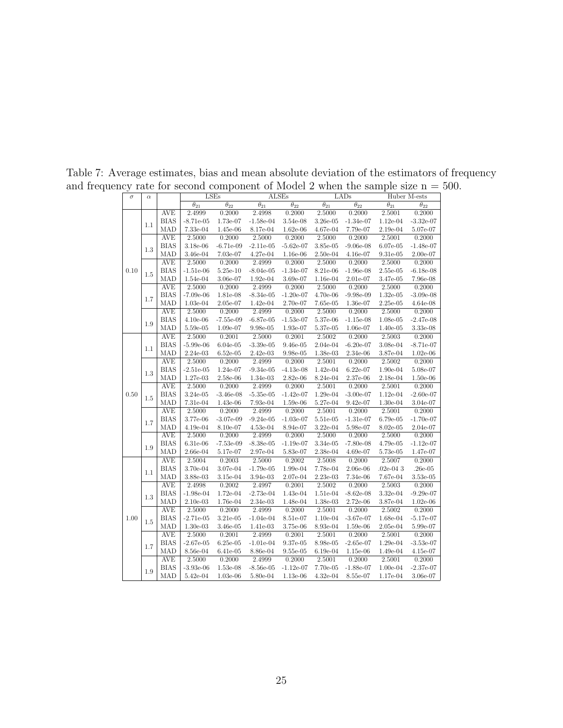| $\sigma$ | $\alpha$ |             |                          | <b>LSEs</b>                  |                          | <b>ALSEs</b>                 |                          | LADs                     |                              | Huber M-ests             |
|----------|----------|-------------|--------------------------|------------------------------|--------------------------|------------------------------|--------------------------|--------------------------|------------------------------|--------------------------|
|          |          |             | $\overline{\theta_{21}}$ | $\overline{\theta_{22}}$     | $\overline{\theta_{21}}$ | $\overline{\theta_{22}}$     | $\overline{\theta_{21}}$ | $\overline{\theta_{22}}$ | $\overline{\theta_{21}}$     | $\overline{\theta_{22}}$ |
|          |          | <b>AVE</b>  | 2.4999                   | 0.2000                       | 2.4998                   | 0.2000                       | 2.5000                   | 0.2000                   | 2.5001                       | 0.2000                   |
| 0.10     |          | <b>BIAS</b> | $-8.71e-05$              | 1.73e-07                     | $-1.58e-04$              | 3.54e-08                     | 3.26e-05                 | $-1.34e-07$              | $1.12e-04$                   | $-3.32e-07$              |
|          | 1.1      | MAD         | 7.33e-04                 | $1.45\mathrm{e}{\text{-}}06$ | 8.17e-04                 | $1.62e-06$                   | 4.67e-04                 | 7.79e-07                 | 2.19e-04                     | 5.07e-07                 |
|          |          | <b>AVE</b>  | 2.5000                   | 0.2000                       | 2.5000                   | 0.2000                       | 2.5000                   | 0.2000                   | 2.5001                       | 0.2000                   |
|          |          | <b>BIAS</b> | 3.18e-06                 | $-6.71e-09$                  | $-2.11e-05$              | $-5.62e-07$                  | $3.85e-05$               | $-9.06e-08$              | $6.07e-05$                   | $-1.48e-07$              |
|          | 1.3      | MAD         | 3.46e-04                 | $7.03e-07$                   | 4.27e-04                 | 1.16e-06                     | $2.50e-04$               | $4.16e-07$               | $9.31e-05$                   | $2.00e-07$               |
|          |          | <b>AVE</b>  | 2.5000                   | 0.2000                       | 2.4999                   | 0.2000                       | 2.5000                   | 0.2000                   | 2.5000                       | 0.2000                   |
|          | 1.5      | <b>BIAS</b> | $-1.51e-06$              | $5.25e-10$                   | $-8.04e-05$              | $-1.34e-07$                  | 8.21e-06                 | $-1.96e-08$              | $2.55e-05$                   | $-6.18e-08$              |
|          |          | MAD         | 1.54e-04                 | $3.06\mathrm{e}{\text{-}07}$ | $1.92e-04$               | 3.69e-07                     | 1.16e-04                 | 2.01e-07                 | 3.47e-05                     | 7.96e-08                 |
|          |          | <b>AVE</b>  | 2.5000                   | 0.2000                       | 2.4999                   | 0.2000                       | 2.5000                   | 0.2000                   | 2.5000                       | 0.2000                   |
|          | 1.7      | <b>BIAS</b> | $-7.09e-06$              | 1.81e-08                     | $-8.34e-05$              | $-1.20e-07$                  | 4.70e-06                 | $-9.98e-09$              | $1.32e-05$                   | $-3.09e-08$              |
|          |          | MAD         | 1.03e-04                 | $2.05e-07$                   | $1.42e-04$               | $2.70e-07$                   | 7.65e-05                 | 1.36e-07                 | $2.25\mathrm{e}{\text{-}}05$ | $4.64e-08$               |
|          |          | <b>AVE</b>  | 2.5000                   | 0.2000                       | 2.4999                   | 0.2000                       | 2.5000                   | 0.2000                   | 2.5000                       | 0.2000                   |
|          | 1.9      | <b>BIAS</b> | $4.10e-06$               | $-7.55e-09$                  | $-6.87e-05$              | $-1.53e-07$                  | 5.37e-06                 | $-1.15e-08$              | $1.08e-05$                   | $-2.47e-08$              |
|          |          | MAD         | 5.59e-05                 | 1.09e-07                     | 9.98e-05                 | 1.93e-07                     | 5.37e-05                 | 1.06e-07                 | $1.40e-05$                   | 3.33e-08                 |
|          |          | <b>AVE</b>  | 2.5000                   | 0.2001                       | 2.5000                   | 0.2001                       | 2.5002                   | 0.2000                   | 2.5003                       | 0.2000                   |
|          |          | <b>BIAS</b> | $-5.99e-06$              | $6.04e-05$                   | $-3.39e-05$              | $9.46\mathrm{e}{\text{-}}05$ | 2.04e-04                 | $-6.20e-07$              | 3.08e-04                     | $-8.71e-07$              |
|          | 1.1      | MAD         | 2.24e-03                 | $6.52e-05$                   | $2.42e-03$               | 9.98e-05                     | 1.38e-03                 | 2.34e-06                 | 3.87e-04                     | $1.02e-06$               |
| 0.50     | 1.3      | <b>AVE</b>  | 2.5000                   | 0.2000                       | 2.4999                   | 0.2000                       | 2.5001                   | 0.2000                   | 2.5002                       | 0.2000                   |
|          |          | <b>BIAS</b> | $-2.51e-05$              | 1.24e-07                     | $-9.34e-05$              | $-4.13e-08$                  | $1.42e-04$               | $6.22e-07$               | 1.90e-04                     | 5.08e-07                 |
|          |          | MAD         | $1.27e-03$               | 2.58e-06                     | 1.34e-03                 | 2.82e-06                     | 8.24e-04                 | 2.37e-06                 | 2.18e-04                     | $1.50e-06$               |
|          |          | <b>AVE</b>  | 2.5000                   | 0.2000                       | 2.4999                   | 0.2000                       | 2.5001                   | 0.2000                   | 2.5001                       | 0.2000                   |
|          | 1.5      | <b>BIAS</b> | 3.24e-05                 | $-3.46e-08$                  | $-5.35e-05$              | $-1.42e-07$                  | 1.29e-04                 | $-3.00e-07$              | 1.12e-04                     | $-2.60e-07$              |
|          |          | MAD         | 7.31e-04                 | 1.43e-06                     | 7.93e-04                 | $1.59\mathrm{e}{\text{-}}06$ | $5.27e-04$               | 9.42e-07                 | 1.30e-04                     | 3.04e-07                 |
|          |          | <b>AVE</b>  | 2.5000                   | 0.2000                       | 2.4999                   | 0.2000                       | 2.5001                   | 0.2000                   | 2.5001                       | 0.2000                   |
|          | 1.7      | <b>BIAS</b> | 3.77e-06                 | $-3.07e-09$                  | $-9.24e-05$              | $-1.03e-07$                  | 5.51e-05                 | $-1.31e-07$              | 6.79e-05                     | $-1.70e-07$              |
|          |          | MAD         | $4.19e-04$               | 8.10e-07                     | $4.53e-04$               | 8.94e-07                     | 3.22e-04                 | 5.98e-07                 | 8.02e-05                     | 2.04e-07                 |
|          |          | <b>AVE</b>  | 2.5000                   | 0.2000                       | 2.4999                   | 0.2000                       | 2.5000                   | 0.2000                   | 2.5000                       | 0.2000                   |
|          | 1.9      | <b>BIAS</b> | $6.31e-06$               | $-7.53e-09$                  | $-8.38e-05$              | $-1.19e-07$                  | 3.34e-05                 | $-7.80e-08$              | 4.79e-05                     | $-1.12e-07$              |
|          |          | MAD         | 2.66e-04                 | 5.17e-07                     | 2.97e-04                 | 5.83e-07                     | 2.38e-04                 | 4.69e-07                 | $5.73\mathrm{e}{\text{-}}05$ | 1.47e-07                 |
|          |          | <b>AVE</b>  | 2.5004                   | 0.2003                       | 2.5000                   | 0.2002                       | 2.5008                   | 0.2000                   | 2.5007                       | 0.2000                   |
|          | 1.1      | <b>BIAS</b> | 3.70e-04                 | 3.07e-04                     | $-1.79e-05$              | 1.99e-04                     | 7.78e-04                 | 2.06e-06                 | $.02e-043$                   | $.26e-05$                |
|          |          | MAD         | 3.88e-03                 | 3.15e-04                     | 3.94e-03                 | $2.07\mathrm{e}{\text{-}}04$ | 2.23e-03                 | 7.34e-06                 | 7.67e-04                     | 3.53e-05                 |
|          |          | <b>AVE</b>  | 2.4998                   | 0.2002                       | 2.4997                   | 0.2001                       | 2.5002                   | 0.2000                   | 2.5003                       | 0.2000                   |
|          | 1.3      | <b>BIAS</b> | $-1.98e-04$              | 1.72e-04                     | $-2.73e-04$              | 1.43e-04                     | 1.51e-04                 | $-8.62e-08$              | 3.32e-04                     | $-9.29e-07$              |
|          |          | MAD         | $2.10e-03$               | 1.76e-04                     | 2.34e-03                 | 1.48e-04                     | 1.38e-03                 | 2.72e-06                 | $3.87e-04$                   | $1.02e-06$               |
|          |          | <b>AVE</b>  | 2.5000                   | 0.2000                       | 2.4999                   | 0.2000                       | 2.5001                   | 0.2000                   | 2.5002                       | 0.2000                   |
| 1.00     | 1.5      | <b>BIAS</b> | $-2.71e-05$              | 3.21e-05                     | $-1.04e-04$              | 8.51e-07                     | $1.10e-04$               | $-3.67e-07$              | 1.68e-04                     | $-5.17e-07$              |
|          |          | MAD         | $1.30e-03$               | $3.46\mathrm{e}{\text{-}}05$ | 1.41e-03                 | 3.75e-06                     | $8.93e-04$               | $1.59e-06$               | $2.05e-04$                   | 5.99e-07                 |
|          |          | <b>AVE</b>  | 2.5000                   | 0.2001                       | 2.4999                   | 0.2001                       | 2.5001                   | 0.2000                   | 2.5001                       | 0.2000                   |
|          | 1.7      | <b>BIAS</b> | $-2.67e-05$              | $6.25e-05$                   | $-1.01e-04$              | 9.37e-05                     | 8.98e-05                 | $-2.65e-07$              | 1.29e-04                     | $-3.53e-07$              |
|          |          | MAD         | 8.56e-04                 | 6.41e-05                     | 8.86e-04                 | $9.55e-05$                   | $6.19e-04$               | 1.15e-06                 | 1.49e-04                     | 4.15e-07                 |
|          |          | <b>AVE</b>  | 2.5000                   | 0.2000                       | 2.4999                   | 0.2000                       | 2.5001                   | 0.2000                   | 2.5001                       | 0.2000                   |
|          | 1.9      | <b>BIAS</b> | $-3.93e-06$              | 1.53e-08                     | $-8.56e-05$              | $-1.12e-07$                  | 7.70e-05                 | $-1.88e-07$              | $1.00e-04$                   | $-2.37e-07$              |
|          |          | MAD         | $5.42e-04$               | $1.03e-06$                   | 5.80e-04                 | $1.13e-06$                   | 4.32e-04                 | 8.55e-07                 | 1.17e-04                     | 3.06e-07                 |

Table 7: Average estimates, bias and mean absolute deviation of the estimators of frequency and frequency rate for second component of Model 2 when the sample size  $n = 500$ .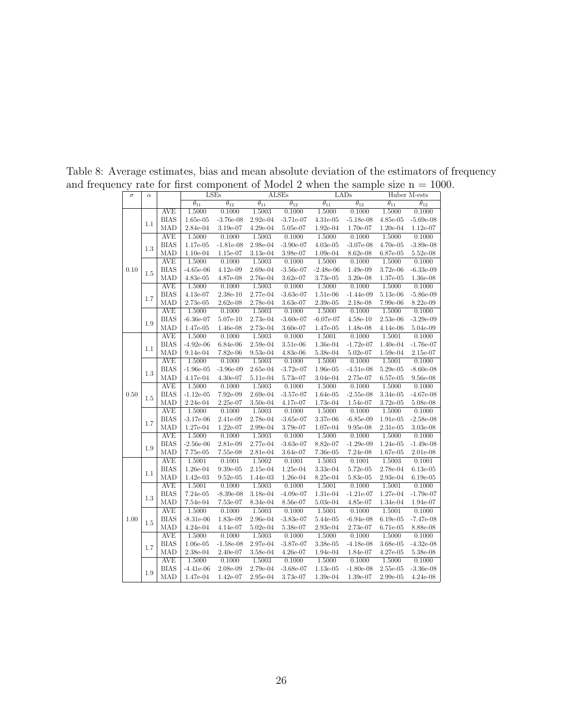| $\sigma$ | $\alpha$ |             |                          | LSEs                     |                          | <b>ALSEs</b>             |                          | LADs                     |                          | Huber M-ests             |
|----------|----------|-------------|--------------------------|--------------------------|--------------------------|--------------------------|--------------------------|--------------------------|--------------------------|--------------------------|
|          |          |             | $\overline{\theta_{11}}$ | $\overline{\theta_{12}}$ | $\overline{\theta_{11}}$ | $\overline{\theta_{12}}$ | $\overline{\theta_{11}}$ | $\overline{\theta_{12}}$ | $\overline{\theta_{11}}$ | $\overline{\theta_{12}}$ |
|          |          | <b>AVE</b>  | 1.5000                   | 0.1000                   | 1.5003                   | 0.1000                   | 1.5000                   | 0.1000                   | 1.5000                   | 0.1000                   |
| 0.10     | 1.1      | <b>BIAS</b> | 1.65e-05                 | $-3.76e-08$              | 2.92e-04                 | $-3.71e-07$              | $4.31e-05$               | $-5.18e-08$              | $4.85e-05$               | $-5.69e-08$              |
|          |          | MAD         | 2.84e-04                 | 3.19e-07                 | 4.29e-04                 | 5.05e-07                 | 1.92e-04                 | 1.70e-07                 | $1.20e-04$               | $1.12e-07$               |
|          |          | <b>AVE</b>  | 1.5000                   | 0.1000                   | 1.5003                   | 0.1000                   | 1.5000                   | 0.1000                   | 1.5000                   | 0.1000                   |
|          | 1.3      | <b>BIAS</b> | 1.17e-05                 | $-1.81e-08$              | 2.98e-04                 | $-3.90e-07$              | $4.03e-05$               | $-3.07e-08$              | 4.70e-05                 | $-3.89e-08$              |
|          |          | MAD         | $1.10e-04$               | 1.15e-07                 | 3.13e-04                 | 3.98e-07                 | 1.09e-04                 | 8.62e-08                 | 6.87e-05                 | 5.52e-08                 |
|          |          | <b>AVE</b>  | 1.5000                   | 0.1000                   | 1.5003                   | 0.1000                   | 1.5000                   | 0.1000                   | 1.5000                   | 0.1000                   |
|          | 1.5      | <b>BIAS</b> | $-4.65e-06$              | $4.12e-09$               | $2.69e-04$               | $-3.56e-07$              | $-2.48e-06$              | 1.49e-09                 | 3.72e-06                 | $-6.33e-09$              |
|          |          | MAD         | 4.83e-05                 | 4.87e-08                 | 2.76e-04                 | 3.62e-07                 | 3.73e-05                 | 3.20e-08                 | 1.37e-05                 | 1.36e-08                 |
|          |          | <b>AVE</b>  | 1.5000                   | 0.1000                   | 1.5003                   | 0.1000                   | 1.5000                   | 0.1000                   | 1.5000                   | 0.1000                   |
|          | 1.7      | <b>BIAS</b> | 4.13e-07                 | 2.38e-10                 | 2.77e-04                 | $-3.63e-07$              | 1.51e-06                 | $-1.44e-09$              | 5.13e-06                 | $-5.86e-09$              |
|          |          | MAD         | 2.73e-05                 | $2.62e-08$               | 2.78e-04                 | 3.63e-07                 | 2.39e-05                 | 2.18e-08                 | 7.99e-06                 | 8.22e-09                 |
|          |          | <b>AVE</b>  | 1.5000                   | 0.1000                   | 1.5003                   | 0.1000                   | 1.5000                   | 0.1000                   | 1.5000                   | 0.1000                   |
|          | 1.9      | <b>BIAS</b> | $-6.36e-07$              | $5.07e-10$               | 2.73e-04                 | $-3.60e-07$              | $-6.07e-07$              | $4.58e-10$               | $2.53e-06$               | $-3.29e-09$              |
|          |          | MAD         | 1.47e-05                 | 1.46e-08                 | 2.73e-04                 | 3.60e-07                 | 1.47e-05                 | 1.48e-08                 | $4.14e-06$               | 5.04e-09                 |
|          |          | <b>AVE</b>  | 1.5000                   | 0.1000                   | 1.5003                   | 0.1000                   | 1.5001                   | 0.1000                   | 1.5001                   | 0.1000                   |
|          | 1.1      | <b>BIAS</b> | $-4.92e-06$              | $6.84e-06$               | $2.59e-04$               | 3.51e-06                 | 1.36e-04                 | $-1.72e-07$              | 1.40e-04                 | $-1.76e-07$              |
|          |          | MAD         | 9.14e-04                 | 7.82e-06                 | 9.53e-04                 | 4.83e-06                 | 5.38e-04                 | 5.02e-07                 | $1.59e-04$               | 2.15e-07                 |
|          |          | <b>AVE</b>  | 1.5000                   | 0.1000                   | 1.5003                   | 0.1000                   | 1.5000                   | 0.1000                   | 1.5001                   | 0.1000                   |
|          | 1.3      | <b>BIAS</b> | $-1.96e-05$              | $-3.96e-09$              | 2.65e-04                 | $-3.72e-07$              | 1.96e-05                 | $-4.51e-08$              | 5.29e-05                 | $-8.60e-08$              |
|          |          | MAD         | 4.17e-04                 | 4.30e-07                 | 5.11e-04                 | 5.73e-07                 | 3.04e-04                 | 2.75e-07                 | 6.57e-05                 | $9.56e-08$               |
|          |          | <b>AVE</b>  | 1.5000                   | 0.1000                   | 1.5003                   | 0.1000                   | 1.5000                   | 0.1000                   | 1.5000                   | 0.1000                   |
| 0.50     | 1.5      | <b>BIAS</b> | $-1.12e-05$              | 7.92e-09                 | 2.69e-04                 | $-3.57e-07$              | 1.64e-05                 | $-2.55e-08$              | 3.34e-05                 | $-4.67e-08$              |
|          |          | MAD         | 2.24e-04                 | $2.25e-07$               | 3.50e-04                 | 4.17e-07                 | 1.73e-04                 | 1.54e-07                 | 3.72e-05                 | 5.08e-08                 |
|          |          | <b>AVE</b>  | 1.5000                   | 0.1000                   | 1.5003                   | 0.1000                   | 1.5000                   | 0.1000                   | 1.5000                   | 0.1000                   |
|          | 1.7      | <b>BIAS</b> | $-3.17e-06$              | 2.41e-09                 | 2.78e-04                 | $-3.65e-07$              | 3.37e-06                 | $-6.85e-09$              | $1.91e-05$               | $-2.58e-08$              |
|          |          | MAD         | 1.27e-04                 | 1.22e-07                 | $2.99e-04$               | 3.79e-07                 | $1.07e-04$               | 9.95e-08                 | 2.31e-05                 | 3.03e-08                 |
|          |          | <b>AVE</b>  | 1.5000                   | 0.1000                   | 1.5003                   | 0.1000                   | 1.5000                   | 0.1000                   | 1.5000                   | 0.1000                   |
|          | 1.9      | <b>BIAS</b> | $-2.56e-06$              | 2.81e-09                 | 2.77e-04                 | $-3.63e-07$              | 8.82e-07                 | $-1.29e-09$              | 1.24e-05                 | $-1.49e-08$              |
|          |          | MAD         | 7.75e-05                 | 7.55e-08                 | 2.81e-04                 | 3.64e-07                 | 7.36e-05                 | 7.24e-08                 | 1.67e-05                 | 2.01e-08                 |
|          |          | <b>AVE</b>  | 1.5001                   | 0.1001                   | 1.5002                   | 0.1001                   | 1.5003                   | 0.1001                   | 1.5003                   | 0.1001                   |
|          | 1.1      | <b>BIAS</b> | 1.26e-04                 | 9.39e-05                 | 2.15e-04                 | 1.25e-04                 | 3.33e-04                 | 5.72e-05                 | 2.78e-04                 | $6.13e-05$               |
|          |          | MAD         | 1.42e-03                 | $9.52e-05$               | 1.44e-03                 | 1.26e-04                 | 8.25e-04                 | 5.83e-05                 | 2.93e-04                 | $6.19e-05$               |
|          |          | <b>AVE</b>  | 1.5001                   | 0.1000                   | 1.5003                   | 0.1000                   | 1.5001                   | 0.1000                   | 1.5001                   | 0.1000                   |
|          | 1.3      | <b>BIAS</b> | 7.24e-05                 | $-8.39e-08$              | 3.18e-04                 | $-4.09e-07$              | 1.31e-04                 | $-1.21e-07$              | 1.27e-04                 | $-1.79e-07$              |
|          |          | MAD         | 7.54e-04                 | $7.53e-07$               | 8.34e-04                 | 8.56e-07                 | 5.03e-04                 | 4.85e-07                 | 1.34e-04                 | 1.94e-07                 |
|          |          | <b>AVE</b>  | 1.5000                   | 0.1000                   | 1.5003                   | 0.1000                   | 1.5001                   | 0.1000                   | 1.5001                   | 0.1000                   |
| 1.00     | 1.5      | <b>BIAS</b> | $-8.31e-06$              | 1.83e-09                 | 2.96e-04                 | $-3.83e-07$              | 5.44e-05                 | $-6.94e-08$              | $6.19e-05$               | $-7.47e-08$              |
|          |          | MAD         | $4.24e-04$               | 4.14e-07                 | 5.02e-04                 | 5.38e-07                 | 2.93e-04                 | 2.73e-07                 | $6.71e-05$               | 8.88e-08                 |
|          |          | <b>AVE</b>  | 1.5000                   | 0.1000                   | 1.5003                   | 0.1000                   | 1.5000                   | 0.1000                   | 1.5000                   | 0.1000                   |
|          | 1.7      | <b>BIAS</b> | 1.06e-05                 | $-1.58e-08$              | 2.97e-04                 | $-3.87e-07$              | 3.38e-05                 | $-4.18e-08$              | $3.68e-05$               | $-4.32e-08$              |
|          |          | MAD         | 2.38e-04                 | 2.40e-07                 | 3.58e-04                 | 4.26e-07                 | 1.94e-04                 | 1.84e-07                 | 4.27e-05                 | 5.38e-08                 |
|          |          | <b>AVE</b>  | 1.5000                   | 0.1000                   | 1.5003                   | 0.1000                   | 1.5000                   | 0.1000                   | 1.5000                   | 0.1000                   |
|          | 1.9      | <b>BIAS</b> | $-4.41e-06$              | 2.08e-09                 | 2.79e-04                 | $-3.68e-07$              | $1.13e-05$               | $-1.80e-08$              | $2.55e-05$               | $-3.36e-08$              |
|          |          | MAD         | 1.47e-04                 | 1.42e-07                 | 2.95e-04                 | 3.73e-07                 | 1.39e-04                 | 1.39e-07                 | $2.99e-05$               | $4.24e-08$               |

Table 8: Average estimates, bias and mean absolute deviation of the estimators of frequency and frequency rate for first component of Model 2 when the sample size  $n = 1000$ .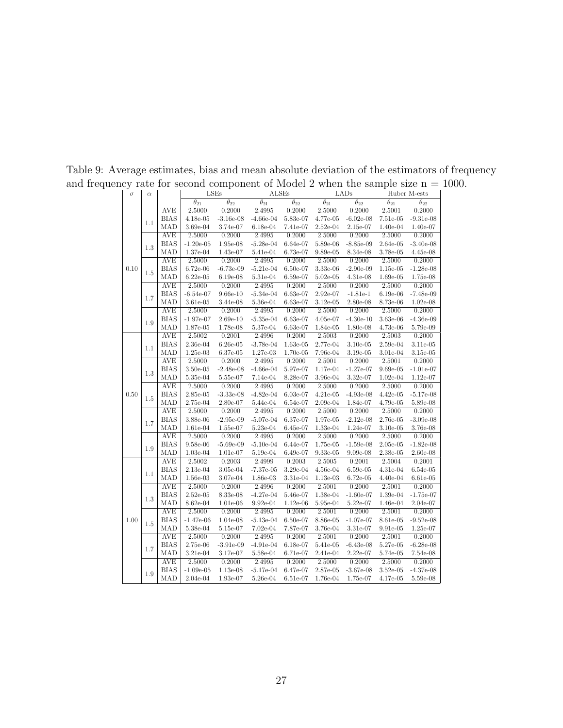<span id="page-26-0"></span>

| $\sigma$ | $\alpha$ |             |                          | LSEs                     | <b>ALSEs</b>             |                          |                          | LADs                     |               | Huber M-ests                 |
|----------|----------|-------------|--------------------------|--------------------------|--------------------------|--------------------------|--------------------------|--------------------------|---------------|------------------------------|
|          |          |             | $\overline{\theta_{21}}$ | $\overline{\theta_{22}}$ | $\overline{\theta_{21}}$ | $\overline{\theta_{22}}$ | $\overline{\theta_{21}}$ | $\overline{\theta_{22}}$ | $\theta_{21}$ | $\overline{\theta_{22}}$     |
|          |          | AVE         | 2.5000                   | 0.2000                   | 2.4995                   | 0.2000                   | 2.5000                   | 0.2000                   | 2.5001        | 0.2000                       |
| 0.10     | 1.1      | <b>BIAS</b> | $4.18e-05$               | $-3.16e-08$              | $-4.66e-04$              | 5.83e-07                 | 4.77e-05                 | $-6.02e-08$              | $7.51e-05$    | $-9.31e-08$                  |
|          |          | MAD         | 3.69e-04                 | 3.74e-07                 | $6.18e-04$               | 7.41e-07                 | $2.52e-04$               | 2.15e-07                 | 1.40e-04      | 1.40e-07                     |
|          |          | <b>AVE</b>  | 2.5000                   | 0.2000                   | 2.4995                   | 0.2000                   | 2.5000                   | 0.2000                   | 2.5000        | 0.2000                       |
|          | 1.3      | <b>BIAS</b> | $-1.20e-05$              | 1.95e-08                 | $-5.28e-04$              | 6.64e-07                 | $5.89e-06$               | $-8.85e-09$              | 2.64e-05      | $-3.40e-08$                  |
|          |          | MAD         | 1.37e-04                 | 1.43e-07                 | 5.41e-04                 | 6.73e-07                 | 9.89e-05                 | 8.34e-08                 | 3.78e-05      | $4.45e-08$                   |
|          |          | <b>AVE</b>  | 2.5000                   | 0.2000                   | 2.4995                   | 0.2000                   | 2.5000                   | 0.2000                   | 2.5000        | 0.2000                       |
|          | 1.5      | <b>BIAS</b> | $6.72e-06$               | $-6.73e-09$              | $-5.21e-04$              | $6.50e-07$               | 3.33e-06                 | $-2.90e-09$              | 1.15e-05      | $-1.28e-08$                  |
|          |          | MAD         | $6.22e-05$               | $6.19e-08$               | 5.31e-04                 | 6.59e-07                 | $5.02e-05$               | 4.31e-08                 | 1.69e-05      | 1.75e-08                     |
|          |          | <b>AVE</b>  | 2.5000                   | 0.2000                   | 2.4995                   | 0.2000                   | 2.5000                   | 0.2000                   | 2.5000        | 0.2000                       |
|          | 1.7      | <b>BIAS</b> | $-6.54e-07$              | $9.66e-10$               | $-5.34e-04$              | 6.63e-07                 | 2.92e-07                 | $-1.81e-1$               | $6.19e-06$    | $-7.48e-09$                  |
|          |          | MAD         | $3.61e-05$               | $3.44e-08$               | 5.36e-04                 | 6.63e-07                 | $3.12e-05$               | 2.80e-08                 | 8.73e-06      | $1.02e-08$                   |
|          |          | <b>AVE</b>  | 2.5000                   | 0.2000                   | 2.4995                   | 0.2000                   | 2.5000                   | 0.2000                   | 2.5000        | 0.2000                       |
|          | 1.9      | <b>BIAS</b> | $-1.97e-07$              | $2.69e-10$               | $-5.35e-04$              | $6.63e-07$               | 4.05e-07                 | $-4.30e-10$              | 3.63e-06      | $-4.36e-09$                  |
|          |          | MAD         | 1.87e-05                 | 1.78e-08                 | 5.37e-04                 | 6.63e-07                 | 1.84e-05                 | 1.80e-08                 | 4.73e-06      | 5.79e-09                     |
|          |          | <b>AVE</b>  | 2.5002                   | 0.2001                   | 2.4996                   | 0.2000                   | 2.5003                   | 0.2000                   | 2.5003        | 0.2000                       |
|          | 1.1      | <b>BIAS</b> | 2.36e-04                 | $6.26e-05$               | $-3.78e-04$              | $1.63e-05$               | 2.77e-04                 | $3.10e-05$               | 2.59e-04      | $3.11e-05$                   |
| 0.50     |          | MAD         | $1.25e-03$               | $6.37e-05$               | 1.27e-03                 | 1.70e-05                 | $7.96e-04$               | $3.19e-05$               | 3.01e-04      | $3.15e-05$                   |
|          |          | AVE         | 2.5000                   | 0.2000                   | 2.4995                   | 0.2000                   | 2.5001                   | 0.2000                   | 2.5001        | 0.2000                       |
|          | $1.3\,$  | <b>BIAS</b> | $3.50e-05$               | $-2.48e-08$              | $-4.66e-04$              | 5.97e-07                 | 1.17e-04                 | $-1.27e-07$              | $9.69e-05$    | $-1.01e-07$                  |
|          |          | MAD         | 5.35e-04                 | 5.55e-07                 | 7.14e-04                 | 8.28e-07                 | 3.96e-04                 | $3.32e-07$               | $1.02e-04$    | $1.12e-07$                   |
|          |          | <b>AVE</b>  | 2.5000                   | 0.2000                   | 2.4995                   | 0.2000                   | 2.5000                   | 0.2000                   | 2.5000        | 0.2000                       |
|          | 1.5      | <b>BIAS</b> | 2.85e-05                 | $-3.33e-08$              | $-4.82e-04$              | 6.03e-07                 | $4.21e-05$               | $-4.93e-08$              | $4.42e-05$    | $-5.17e-08$                  |
|          |          | MAD         | 2.75e-04                 | 2.80e-07                 | 5.44e-04                 | $6.54e-07$               | 2.09e-04                 | 1.84e-07                 | 4.79e-05      | 5.89e-08                     |
|          | 1.7      | <b>AVE</b>  | 2.5000                   | 0.2000                   | 2.4995                   | 0.2000                   | 2.5000                   | 0.2000                   | 2.5000        | 0.2000                       |
|          |          | <b>BIAS</b> | 3.88e-06                 | $-2.95e-09$              | $-5.07e-04$              | 6.37e-07                 | 1.97e-05                 | $-2.12e-08$              | 2.76e-05      | $-3.09e-08$                  |
|          |          | MAD         | 1.61e-04                 | 1.55e-07                 | 5.23e-04                 | 6.45e-07                 | 1.33e-04                 | 1.24e-07                 | $3.10e-05$    | 3.76e-08                     |
|          |          | <b>AVE</b>  | 2.5000                   | 0.2000                   | 2.4995                   | 0.2000                   | 2.5000                   | 0.2000                   | 2.5000        | 0.2000                       |
|          | 1.9      | <b>BIAS</b> | 9.58e-06                 | $-5.69e-09$              | $-5.10e-04$              | 6.44e-07                 | 1.75e-05                 | $-1.59e-08$              | $2.05e-05$    | $-1.82e-08$                  |
|          |          | MAD         | 1.03e-04                 | $1.01e-07$               | 5.19e-04                 | $6.49e-07$               | 9.33e-05                 | $9.09e-08$               | $2.38e-0.5$   | $2.60e-08$                   |
|          |          | <b>AVE</b>  | 2.5002                   | 0.2003                   | 2.4999                   | 0.2003                   | 2.5005                   | 0.2001                   | 2.5004        | 0.2001                       |
|          | 1.1      | <b>BIAS</b> | 2.13e-04                 | 3.05e-04                 | $-7.37e-05$              | 3.29e-04                 | $4.56e-04$               | $6.59e-05$               | 4.31e-04      | $6.54e-05$                   |
|          |          | MAD         | $1.56e-03$               | 3.07e-04                 | 1.86e-03                 | 3.31e-04                 | 1.13e-03                 | $6.72e-05$               | $4.40e-04$    | $6.61e-05$                   |
|          |          | <b>AVE</b>  | 2.5000                   | 0.2000                   | 2.4996                   | 0.2000                   | 2.5001                   | 0.2000                   | 2.5001        | 0.2000                       |
|          | 1.3      | <b>BIAS</b> | $2.52e-05$               | 8.33e-08                 | $-4.27e-04$              | 5.46e-07                 | 1.38e-04                 | $-1.60e-07$              | 1.39e-04      | $-1.75e-07$                  |
|          |          | MAD         | 8.62e-04                 | $1.01e-06$               | $9.92e-04$               | $1.12e-06$               | 5.95e-04                 | 5.22e-07                 | 1.46e-04      | $2.04e-07$                   |
|          |          | <b>AVE</b>  | 2.5000                   | 0.2000                   | 2.4995                   | 0.2000                   | 2.5001                   | 0.2000                   | 2.5001        | 0.2000                       |
| 1.00     | 1.5      | <b>BIAS</b> | $-1.47e-06$              | $1.04e-08$               | $-5.13e-04$              | $6.50e-07$               | 8.86e-05                 | $-1.07e-07$              | 8.61e-05      | $-9.52e-08$                  |
|          |          | MAD         | 5.38e-04                 | 5.15e-07                 | 7.02e-04                 | 7.87e-07                 | 3.76e-04                 | 3.31e-07                 | 9.91e-05      | $1.25\mathrm{e}{\text{-}}07$ |
|          |          | <b>AVE</b>  | 2.5000                   | 0.2000                   | 2.4995                   | 0.2000                   | 2.5001                   | 0.2000                   | 2.5001        | 0.2000                       |
|          | 1.7      | <b>BIAS</b> | 2.75e-06                 | $-3.91e-09$              | $-4.91e-04$              | $6.18e-07$               | 5.41e-05                 | $-6.43e-08$              | 5.27e-05      | $-6.28e-08$                  |
|          |          | MAD         | 3.21e-04                 | 3.17e-07                 | 5.58e-04                 | 6.71e-07                 | $2.41e-04$               | $2.22e-07$               | 5.74e-05      | 7.54e-08                     |
|          |          | AVE         | 2.5000                   | 0.2000                   | 2.4995                   | 0.2000                   | 2.5000                   | 0.2000                   | 2.5000        | 0.2000                       |
|          | 1.9      | <b>BIAS</b> | $-1.09e-05$              | 1.13e-08                 | $-5.17e-04$              | $6.47e-07$               | 2.87e-05                 | $-3.67e-08$              | $3.52e-05$    | $-4.37e-08$                  |
|          |          | MAD         | $2.04e-04$               | 1.93e-07                 | 5.26e-04                 | $6.51e-07$               | 1.76e-04                 | 1.75e-07                 | 4.17e-05      | 5.59e-08                     |

Table 9: Average estimates, bias and mean absolute deviation of the estimators of frequency and frequency rate for second component of Model 2 when the sample size  $n = 1000$ .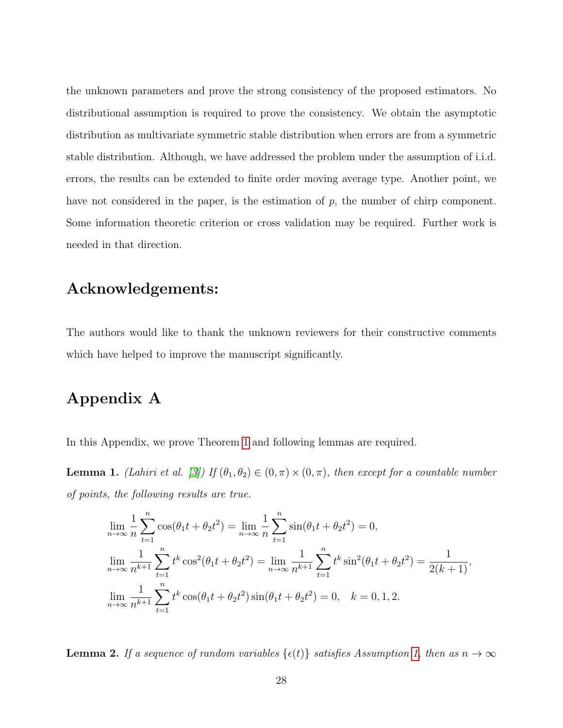the unknown parameters and prove the strong consistency of the proposed estimators. No distributional assumption is required to prove the consistency. We obtain the asymptotic distribution as multivariate symmetric stable distribution when errors are from a symmetric stable distribution. Although, we have addressed the problem under the assumption of i.i.d. errors, the results can be extended to finite order moving average type. Another point, we have not considered in the paper, is the estimation of  $p$ , the number of chirp component. Some information theoretic criterion or cross validation may be required. Further work is needed in that direction.

#### Acknowledgements:

The authors would like to thank the unknown reviewers for their constructive comments which have helped to improve the manuscript significantly.

#### Appendix A

In this Appendix, we prove Theorem [1](#page-5-0) and following lemmas are required.

<span id="page-27-0"></span>**Lemma 1.** (Lahiri et al. [\[3\]](#page-37-6)) If  $(\theta_1, \theta_2) \in (0, \pi) \times (0, \pi)$ , then except for a countable number of points, the following results are true.

$$
\lim_{n \to \infty} \frac{1}{n} \sum_{t=1}^{n} \cos(\theta_1 t + \theta_2 t^2) = \lim_{n \to \infty} \frac{1}{n} \sum_{t=1}^{n} \sin(\theta_1 t + \theta_2 t^2) = 0,
$$
\n
$$
\lim_{n \to \infty} \frac{1}{n^{k+1}} \sum_{t=1}^{n} t^k \cos^2(\theta_1 t + \theta_2 t^2) = \lim_{n \to \infty} \frac{1}{n^{k+1}} \sum_{t=1}^{n} t^k \sin^2(\theta_1 t + \theta_2 t^2) = \frac{1}{2(k+1)},
$$
\n
$$
\lim_{n \to \infty} \frac{1}{n^{k+1}} \sum_{t=1}^{n} t^k \cos(\theta_1 t + \theta_2 t^2) \sin(\theta_1 t + \theta_2 t^2) = 0, \quad k = 0, 1, 2.
$$

<span id="page-27-1"></span>**Lemma 2.** If a sequence of random variables  $\{\epsilon(t)\}$  satisfies Assumption [1,](#page-2-0) then as  $n \to \infty$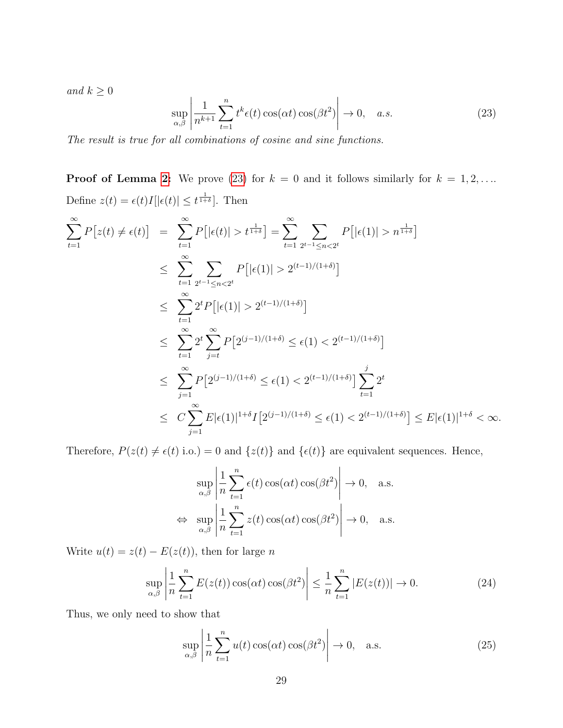and  $k \geq 0$ 

<span id="page-28-0"></span>
$$
\sup_{\alpha,\beta} \left| \frac{1}{n^{k+1}} \sum_{t=1}^n t^k \epsilon(t) \cos(\alpha t) \cos(\beta t^2) \right| \to 0, \quad a.s. \tag{23}
$$

The result is true for all combinations of cosine and sine functions.

**Proof of Lemma [2:](#page-27-1)** We prove [\(23\)](#page-28-0) for  $k = 0$  and it follows similarly for  $k = 1, 2, ...$ Define  $z(t) = \epsilon(t)I[|\epsilon(t)| \leq t^{\frac{1}{1+\delta}}]$ . Then

$$
\sum_{t=1}^{\infty} P[z(t) \neq \epsilon(t)] = \sum_{t=1}^{\infty} P[|\epsilon(t)| > t^{\frac{1}{1+\delta}}] = \sum_{t=1}^{\infty} \sum_{2^{t-1} \leq n < 2^{t}} P[|\epsilon(1)| > n^{\frac{1}{1+\delta}}]
$$
\n
$$
\leq \sum_{t=1}^{\infty} \sum_{2^{t-1} \leq n < 2^{t}} P[|\epsilon(1)| > 2^{(t-1)/(1+\delta)}]
$$
\n
$$
\leq \sum_{t=1}^{\infty} 2^{t} P[|\epsilon(1)| > 2^{(t-1)/(1+\delta)}]
$$
\n
$$
\leq \sum_{t=1}^{\infty} 2^{t} \sum_{j=t}^{\infty} P[2^{(j-1)/(1+\delta)} \leq \epsilon(1) < 2^{(t-1)/(1+\delta)}]
$$
\n
$$
\leq \sum_{j=1}^{\infty} P[2^{(j-1)/(1+\delta)} \leq \epsilon(1) < 2^{(t-1)/(1+\delta)}] \sum_{t=1}^{j} 2^{t}
$$
\n
$$
\leq C \sum_{j=1}^{\infty} E[\epsilon(1)|^{1+\delta} I[2^{(j-1)/(1+\delta)} \leq \epsilon(1) < 2^{(t-1)/(1+\delta)}] \leq E|\epsilon(1)|^{1+\delta} < \infty.
$$

Therefore,  $P(z(t) \neq \epsilon(t)$  i.o.) = 0 and  $\{z(t)\}\$ and  $\{\epsilon(t)\}\$ are equivalent sequences. Hence,

$$
\sup_{\alpha,\beta} \left| \frac{1}{n} \sum_{t=1}^{n} \epsilon(t) \cos(\alpha t) \cos(\beta t^{2}) \right| \to 0, \text{ a.s.}
$$
  

$$
\Leftrightarrow \sup_{\alpha,\beta} \left| \frac{1}{n} \sum_{t=1}^{n} z(t) \cos(\alpha t) \cos(\beta t^{2}) \right| \to 0, \text{ a.s.}
$$

Write  $u(t) = z(t) - E(z(t))$ , then for large n

$$
\sup_{\alpha,\beta} \left| \frac{1}{n} \sum_{t=1}^n E(z(t)) \cos(\alpha t) \cos(\beta t^2) \right| \leq \frac{1}{n} \sum_{t=1}^n |E(z(t))| \to 0. \tag{24}
$$

Thus, we only need to show that

<span id="page-28-1"></span>
$$
\sup_{\alpha,\beta} \left| \frac{1}{n} \sum_{t=1}^{n} u(t) \cos(\alpha t) \cos(\beta t^2) \right| \to 0, \quad \text{a.s.}
$$
 (25)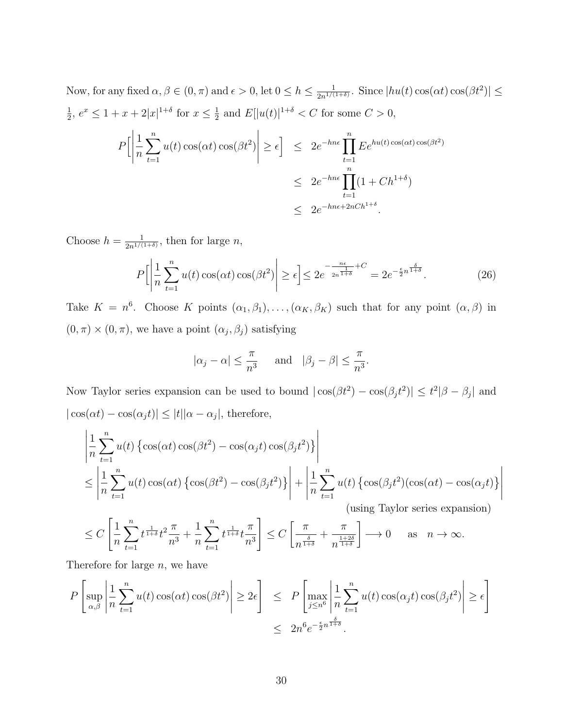Now, for any fixed  $\alpha, \beta \in (0, \pi)$  and  $\epsilon > 0$ , let  $0 \le h \le \frac{1}{2n^{1/3}}$  $\frac{1}{2n^{1/(1+\delta)}}$ . Since  $|hu(t)\cos(\alpha t)\cos(\beta t^2)| \leq$ 1  $\frac{1}{2}$ ,  $e^x \leq 1 + x + 2|x|^{1+\delta}$  for  $x \leq \frac{1}{2}$  $\frac{1}{2}$  and  $E[|u(t)|^{1+\delta} < C$  for some  $C > 0$ ,

$$
P\left[\left|\frac{1}{n}\sum_{t=1}^{n}u(t)\cos(\alpha t)\cos(\beta t^{2})\right|\geq\epsilon\right] \leq 2e^{-hn\epsilon}\prod_{t=1}^{n}E e^{hu(t)\cos(\alpha t)\cos(\beta t^{2})}
$$
  

$$
\leq 2e^{-hn\epsilon}\prod_{t=1}^{n}(1+Ch^{1+\delta})
$$
  

$$
\leq 2e^{-hn\epsilon+2nCh^{1+\delta}}.
$$

Choose  $h = \frac{1}{2n^{1/3}}$  $\frac{1}{2n^{1/(1+\delta)}},$  then for large n,

$$
P\left[\left|\frac{1}{n}\sum_{t=1}^{n}u(t)\cos(\alpha t)\cos(\beta t^{2})\right|\geq\epsilon\right]\leq 2e^{-\frac{n\epsilon}{2n^{\frac{1}{1+\delta}}+C}}=2e^{-\frac{\epsilon}{2}n^{\frac{\delta}{1+\delta}}}. \tag{26}
$$

Take  $K = n^6$ . Choose K points  $(\alpha_1, \beta_1), \ldots, (\alpha_K, \beta_K)$  such that for any point  $(\alpha, \beta)$  in  $(0, \pi) \times (0, \pi)$ , we have a point  $(\alpha_j, \beta_j)$  satisfying

$$
|\alpha_j - \alpha| \le \frac{\pi}{n^3}
$$
 and  $|\beta_j - \beta| \le \frac{\pi}{n^3}$ .

Now Taylor series expansion can be used to bound  $|\cos(\beta t^2) - \cos(\beta_j t^2)| \le t^2 |\beta - \beta_j|$  and  $|\cos(\alpha t) - \cos(\alpha_j t)| \leq |t||\alpha - \alpha_j|$ , therefore,

$$
\begin{aligned}\n&\left|\frac{1}{n}\sum_{t=1}^{n}u(t)\left\{\cos(\alpha t)\cos(\beta t^{2})-\cos(\alpha_{j}t)\cos(\beta_{j}t^{2})\right\}\right| \\
&\leq \left|\frac{1}{n}\sum_{t=1}^{n}u(t)\cos(\alpha t)\left\{\cos(\beta t^{2})-\cos(\beta_{j}t^{2})\right\}\right| + \left|\frac{1}{n}\sum_{t=1}^{n}u(t)\left\{\cos(\beta_{j}t^{2})(\cos(\alpha t)-\cos(\alpha_{j}t)\right\}\right|\n\\ &\text{(using Taylor series expansion)}\n\end{aligned}
$$

$$
\leq C\left[\frac{1}{n}\sum_{t=1}^{n}t^{\frac{1}{1+\delta}}t^2\frac{\pi}{n^3}+\frac{1}{n}\sum_{t=1}^{n}t^{\frac{1}{1+\delta}}t\frac{\pi}{n^3}\right]\leq C\left[\frac{\pi}{n^{\frac{\delta}{1+\delta}}}+\frac{\pi}{n^{\frac{1+2\delta}{1+\delta}}}\right]\longrightarrow 0\quad \ \, \text{as}\ \ \, n\to\infty.
$$

Therefore for large  $n$ , we have

$$
P\left[\sup_{\alpha,\beta} \left| \frac{1}{n} \sum_{t=1}^n u(t) \cos(\alpha t) \cos(\beta t^2) \right| \ge 2\epsilon \right] \le P\left[\max_{j \le n^6} \left| \frac{1}{n} \sum_{t=1}^n u(t) \cos(\alpha_j t) \cos(\beta_j t^2) \right| \ge \epsilon \right]
$$
  

$$
\le 2n^6 e^{-\frac{\epsilon}{2}n^{\frac{\delta}{1+\delta}}}.
$$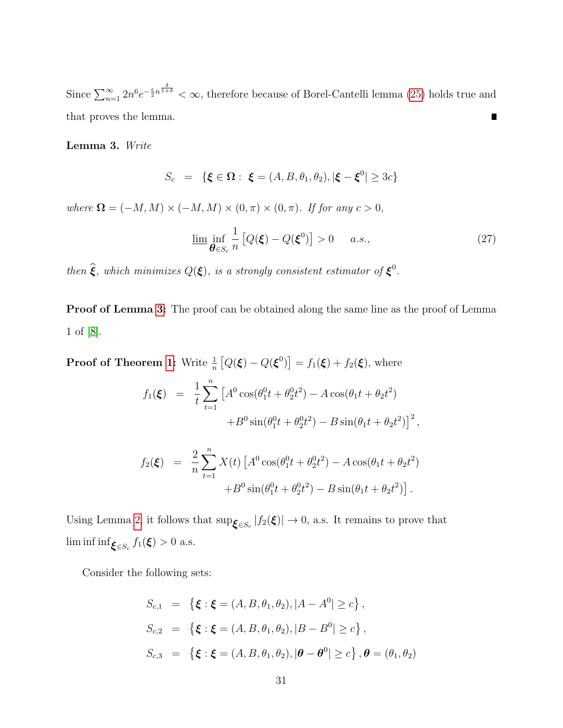Since  $\sum_{n=1}^{\infty} 2n^6 e^{-\frac{\epsilon}{2}n^{\frac{\delta}{1+\delta}}} < \infty$ , therefore because of Borel-Cantelli lemma [\(25\)](#page-28-1) holds true and that proves the lemma.  $\blacksquare$ 

<span id="page-30-0"></span>Lemma 3. Write

$$
S_c = \{ \xi \in \Omega : \xi = (A, B, \theta_1, \theta_2), |\xi - \xi^0| \ge 3c \}
$$

where  $\mathbf{\Omega} = (-M, M) \times (-M, M) \times (0, \pi) \times (0, \pi)$ . If for any  $c > 0$ ,

$$
\underline{\lim_{\theta \in S_c} \frac{1}{n} \left[ Q(\xi) - Q(\xi^0) \right] > 0 \quad a.s., \tag{27}
$$

then  $\widehat{\xi}$ , which minimizes  $Q(\xi)$ , is a strongly consistent estimator of  $\xi^0$ .

Proof of Lemma [3:](#page-30-0) The proof can be obtained along the same line as the proof of Lemma 1 of [\[8\]](#page-37-7).

**Proof of Theorem [1:](#page-5-0)** Write  $\frac{1}{n} [Q(\boldsymbol{\xi}) - Q(\boldsymbol{\xi}^0)] = f_1(\boldsymbol{\xi}) + f_2(\boldsymbol{\xi})$ , where

$$
f_1(\boldsymbol{\xi}) = \frac{1}{t} \sum_{t=1}^n \left[ A^0 \cos(\theta_1^0 t + \theta_2^0 t^2) - A \cos(\theta_1 t + \theta_2 t^2) + B^0 \sin(\theta_1^0 t + \theta_2^0 t^2) - B \sin(\theta_1 t + \theta_2 t^2) \right]^2,
$$

$$
f_2(\xi) = \frac{2}{n} \sum_{t=1}^n X(t) \left[ A^0 \cos(\theta_1^0 t + \theta_2^0 t^2) - A \cos(\theta_1 t + \theta_2 t^2) + B^0 \sin(\theta_1^0 t + \theta_2^0 t^2) - B \sin(\theta_1 t + \theta_2 t^2) \right].
$$

Using Lemma [2,](#page-27-1) it follows that  $\sup_{\xi \in S_c} |f_2(\xi)| \to 0$ , a.s. It remains to prove that lim inf inf $\mathbf{\xi}_{\in S_c} f_1(\mathbf{\xi}) > 0$  a.s.

Consider the following sets:

$$
S_{c,1} = \{ \xi : \xi = (A, B, \theta_1, \theta_2), |A - A^0| \ge c \},
$$
  
\n
$$
S_{c,2} = \{ \xi : \xi = (A, B, \theta_1, \theta_2), |B - B^0| \ge c \},
$$
  
\n
$$
S_{c,3} = \{ \xi : \xi = (A, B, \theta_1, \theta_2), |\theta - \theta^0| \ge c \}, \theta = (\theta_1, \theta_2)
$$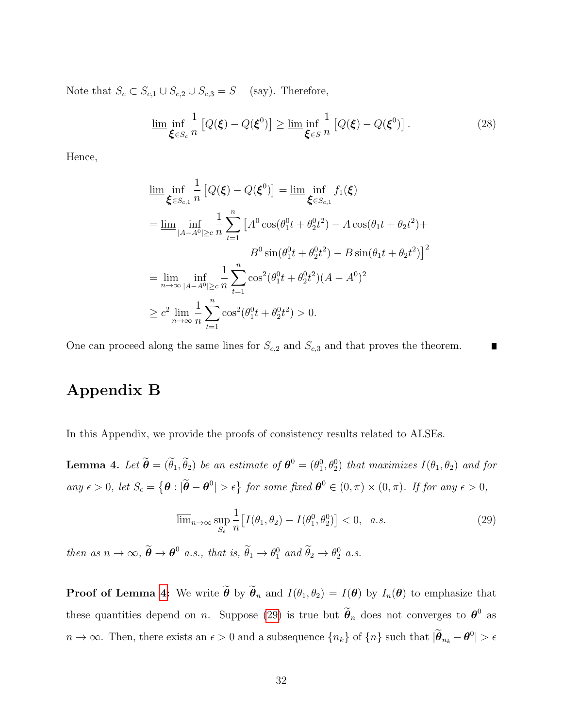Note that  $S_c \subset S_{c,1} \cup S_{c,2} \cup S_{c,3} = S$  (say). Therefore,

$$
\underline{\lim_{\xi \in S_c} \frac{1}{n} \left[ Q(\xi) - Q(\xi^0) \right]} \ge \underline{\lim_{\xi \in S} \frac{1}{n} \left[ Q(\xi) - Q(\xi^0) \right]}.
$$
\n(28)

Hence,

$$
\lim_{\xi \in S_{c,1}} \inf_{n} \frac{1}{n} \left[ Q(\xi) - Q(\xi^{0}) \right] = \lim_{\xi \in S_{c,1}} \inf_{f_{1}(\xi)} f_{1}(\xi)
$$
\n
$$
= \lim_{|A-A^{0}| \geq c} \inf_{n} \frac{1}{n} \sum_{t=1}^{n} \left[ A^{0} \cos(\theta_{1}^{0}t + \theta_{2}^{0}t^{2}) - A \cos(\theta_{1}t + \theta_{2}t^{2}) + B^{0} \sin(\theta_{1}^{0}t + \theta_{2}^{0}t^{2}) - B \sin(\theta_{1}t + \theta_{2}t^{2}) \right]^{2}
$$
\n
$$
= \lim_{n \to \infty} \inf_{|A-A^{0}| \geq c} \frac{1}{n} \sum_{t=1}^{n} \cos^{2}(\theta_{1}^{0}t + \theta_{2}^{0}t^{2})(A - A^{0})^{2}
$$
\n
$$
\geq c^{2} \lim_{n \to \infty} \frac{1}{n} \sum_{t=1}^{n} \cos^{2}(\theta_{1}^{0}t + \theta_{2}^{0}t^{2}) > 0.
$$

One can proceed along the same lines for  $S_{c,2}$  and  $S_{c,3}$  and that proves the theorem. Г

#### Appendix B

In this Appendix, we provide the proofs of consistency results related to ALSEs.

<span id="page-31-0"></span>**Lemma 4.** Let  $\widetilde{\boldsymbol{\theta}} = (\widetilde{\theta}_1, \widetilde{\theta}_2)$  be an estimate of  $\boldsymbol{\theta}^0 = (\theta_1^0, \theta_2^0)$  that maximizes  $I(\theta_1, \theta_2)$  and for any  $\epsilon > 0$ , let  $S_{\epsilon} = \{ \theta : |\tilde{\theta} - \theta^0| > \epsilon \}$  for some fixed  $\theta^0 \in (0, \pi) \times (0, \pi)$ . If for any  $\epsilon > 0$ ,

<span id="page-31-1"></span>
$$
\overline{\lim}_{n \to \infty} \sup_{S_{\epsilon}} \frac{1}{n} \left[ I(\theta_1, \theta_2) - I(\theta_1^0, \theta_2^0) \right] < 0, \quad a.s. \tag{29}
$$

then as  $n \to \infty$ ,  $\widetilde{\boldsymbol{\theta}} \to \boldsymbol{\theta}^0$  a.s., that is,  $\widetilde{\theta}_1 \to \theta_1^0$  and  $\widetilde{\theta}_2 \to \theta_2^0$  a.s.

**Proof of Lemma [4:](#page-31-0)** We write  $\tilde{\theta}$  by  $\tilde{\theta}_n$  and  $I(\theta_1, \theta_2) = I(\theta)$  by  $I_n(\theta)$  to emphasize that these quantities depend on *n*. Suppose [\(29\)](#page-31-1) is true but  $\tilde{\theta}_n$  does not converges to  $\theta^0$  as  $n \to \infty$ . Then, there exists an  $\epsilon > 0$  and a subsequence  $\{n_k\}$  of  $\{n\}$  such that  $|\tilde{\theta}_{n_k} - \theta^0| > \epsilon$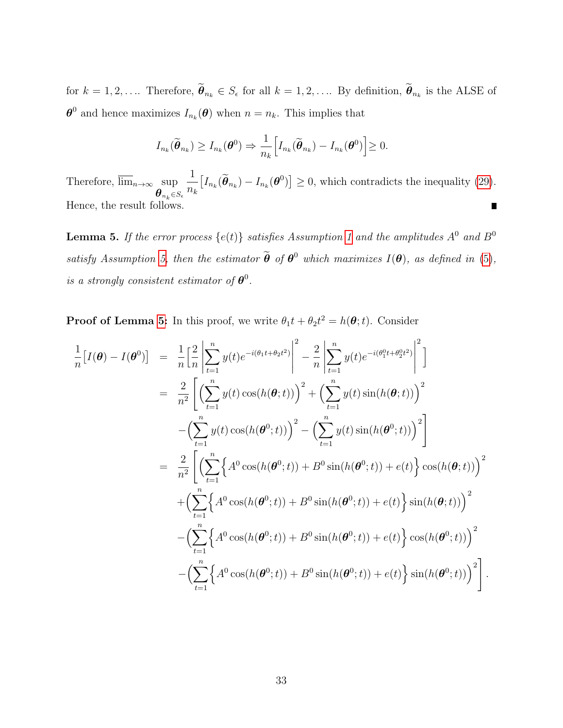for  $k = 1, 2, \ldots$  Therefore,  $\theta_{n_k} \in S_{\epsilon}$  for all  $k = 1, 2, \ldots$  By definition,  $\theta_{n_k}$  is the ALSE of  $\boldsymbol{\theta}^0$  and hence maximizes  $I_{n_k}(\boldsymbol{\theta})$  when  $n = n_k$ . This implies that

$$
I_{n_k}(\widetilde{\boldsymbol{\theta}}_{n_k}) \geq I_{n_k}(\boldsymbol{\theta}^0) \Rightarrow \frac{1}{n_k} \Big[ I_{n_k}(\widetilde{\boldsymbol{\theta}}_{n_k}) - I_{n_k}(\boldsymbol{\theta}^0) \Big] \geq 0.
$$

1  $[I_{n_k}(\tilde{\theta}_{n_k}) - I_{n_k}(\theta^0)] \geq 0$ , which contradicts the inequality [\(29\)](#page-31-1). Therefore,  $\lim_{n\to\infty}$  sup  $n_k$  $\bm{\theta}_{n_k}$  $\in$ Se Hence, the result follows.  $\blacksquare$ 

<span id="page-32-0"></span>**Lemma 5.** If the error process  $\{e(t)\}\$  satisfies Assumption [1](#page-2-0) and the amplitudes  $A^0$  and  $B^0$ satisfy Assumption [5,](#page-5-2) then the estimator  $\tilde{\theta}$  of  $\theta^0$  which maximizes  $I(\theta)$ , as defined in [\(5\)](#page-4-0), is a strongly consistent estimator of  $\boldsymbol{\theta}^0$ .

**Proof of Lemma [5:](#page-32-0)** In this proof, we write  $\theta_1 t + \theta_2 t^2 = h(\theta; t)$ . Consider

$$
\frac{1}{n}[I(\theta) - I(\theta^{0})] = \frac{1}{n} \Big[ \frac{2}{n} \Big| \sum_{t=1}^{n} y(t) e^{-i(\theta_{1}t + \theta_{2}t^{2})} \Big|^{2} - \frac{2}{n} \Big| \sum_{t=1}^{n} y(t) e^{-i(\theta_{1}^{0}t + \theta_{2}^{0}t^{2})} \Big|^{2} \Big]
$$
\n
$$
= \frac{2}{n^{2}} \Bigg[ \Big( \sum_{t=1}^{n} y(t) \cos(h(\theta; t)) \Big)^{2} + \Big( \sum_{t=1}^{n} y(t) \sin(h(\theta; t)) \Big)^{2} - \Big( \sum_{t=1}^{n} y(t) \sin(h(\theta^{0}; t)) \Big)^{2} \Big]
$$
\n
$$
= \frac{2}{n^{2}} \Bigg[ \Big( \sum_{t=1}^{n} \Big\{ A^{0} \cos(h(\theta^{0}; t)) + B^{0} \sin(h(\theta^{0}; t)) + e(t) \Big\} \cos(h(\theta; t)) \Big)^{2} + \Big( \sum_{t=1}^{n} \Big\{ A^{0} \cos(h(\theta^{0}; t)) + B^{0} \sin(h(\theta^{0}; t)) + e(t) \Big\} \sin(h(\theta; t)) \Big)^{2} - \Big( \sum_{t=1}^{n} \Big\{ A^{0} \cos(h(\theta^{0}; t)) + B^{0} \sin(h(\theta^{0}; t)) + e(t) \Big\} \cos(h(\theta^{0}; t)) \Big)^{2} - \Big( \sum_{t=1}^{n} \Big\{ A^{0} \cos(h(\theta^{0}; t)) + B^{0} \sin(h(\theta^{0}; t)) + e(t) \Big\} \cos(h(\theta^{0}; t)) \Big)^{2} \Bigg].
$$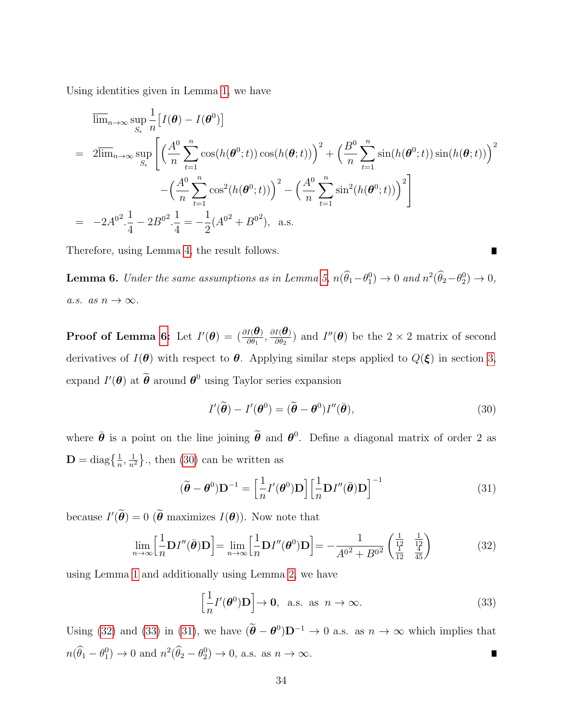Using identities given in Lemma [1,](#page-27-0) we have

$$
\overline{\lim}_{n\to\infty} \sup_{S_{\epsilon}} \frac{1}{n} [I(\theta) - I(\theta^{0})]
$$
\n
$$
= 2\overline{\lim}_{n\to\infty} \sup_{S_{\epsilon}} \left[ \left( \frac{A^{0}}{n} \sum_{t=1}^{n} \cos(h(\theta^{0}; t)) \cos(h(\theta; t)) \right)^{2} + \left( \frac{B^{0}}{n} \sum_{t=1}^{n} \sin(h(\theta^{0}; t)) \sin(h(\theta; t)) \right)^{2} - \left( \frac{A^{0}}{n} \sum_{t=1}^{n} \cos^{2}(h(\theta^{0}; t)) \right)^{2} - \left( \frac{A^{0}}{n} \sum_{t=1}^{n} \sin^{2}(h(\theta^{0}; t)) \right)^{2} \right]
$$
\n
$$
= -2A^{0^{2}} \cdot \frac{1}{4} - 2B^{0^{2}} \cdot \frac{1}{4} = -\frac{1}{2} (A^{0^{2}} + B^{0^{2}}), \text{ a.s.}
$$

<span id="page-33-0"></span>Therefore, using Lemma [4,](#page-31-0) the result follows.

**Lemma 6.** Under the same assumptions as in Lemma [5,](#page-32-0)  $n(\hat{\theta}_1 - \theta_1^0) \to 0$  and  $n^2(\hat{\theta}_2 - \theta_2^0) \to 0$ , a.s. as  $n \to \infty$ .

**Proof of Lemma [6:](#page-33-0)** Let  $I'(\theta) = (\frac{\partial I(\theta)}{\partial \theta_1}, \frac{\partial I(\theta)}{\partial \theta_2})$  $\frac{I(\mathbf{\Theta})}{\partial \theta_2}$  and  $I''(\mathbf{\Theta})$  be the  $2 \times 2$  matrix of second derivatives of  $I(\theta)$  with respect to  $\theta$ . Applying similar steps applied to  $Q(\xi)$  in section [3,](#page-6-0) expand  $I'(\theta)$  at  $\widetilde{\theta}$  around  $\theta^0$  using Taylor series expansion

<span id="page-33-1"></span>
$$
I'(\tilde{\boldsymbol{\theta}}) - I'(\boldsymbol{\theta}^0) = (\tilde{\boldsymbol{\theta}} - \boldsymbol{\theta}^0)I''(\bar{\boldsymbol{\theta}}),
$$
\n(30)

where  $\bar{\theta}$  is a point on the line joining  $\tilde{\theta}$  and  $\theta^0$ . Define a diagonal matrix of order 2 as  $\mathbf{D} = \text{diag}\left\{\frac{1}{n}, \frac{1}{n^2}\right\}$  $\frac{1}{n^2}$ , then [\(30\)](#page-33-1) can be written as

<span id="page-33-4"></span>
$$
(\tilde{\boldsymbol{\theta}} - \boldsymbol{\theta}^0) \mathbf{D}^{-1} = \left[\frac{1}{n} I'(\boldsymbol{\theta}^0) \mathbf{D}\right] \left[\frac{1}{n} \mathbf{D} I''(\bar{\boldsymbol{\theta}}) \mathbf{D}\right]^{-1} \tag{31}
$$

because  $I'(\hat{\theta}) = 0$  ( $\hat{\theta}$  maximizes  $I(\theta)$ ). Now note that

<span id="page-33-2"></span>
$$
\lim_{n \to \infty} \left[ \frac{1}{n} \mathbf{D} I''(\bar{\boldsymbol{\theta}}) \mathbf{D} \right] = \lim_{n \to \infty} \left[ \frac{1}{n} \mathbf{D} I''(\boldsymbol{\theta}^0) \mathbf{D} \right] = -\frac{1}{A^{02} + B^{02}} \begin{pmatrix} \frac{1}{12} & \frac{1}{12} \\ \frac{1}{12} & \frac{4}{45} \end{pmatrix}
$$
(32)

using Lemma [1](#page-27-0) and additionally using Lemma [2,](#page-27-1) we have

<span id="page-33-3"></span>
$$
\left[\frac{1}{n}I'(\boldsymbol{\theta}^{0})\mathbf{D}\right] \to \mathbf{0}, \text{ a.s. as } n \to \infty.
$$
 (33)

Using [\(32\)](#page-33-2) and [\(33\)](#page-33-3) in [\(31\)](#page-33-4), we have  $(\tilde{\theta} - \theta^0)\mathbf{D}^{-1} \to 0$  a.s. as  $n \to \infty$  which implies that  $n(\hat{\theta}_1 - \theta_1^0) \to 0$  and  $n^2(\hat{\theta}_2 - \theta_2^0) \to 0$ , a.s. as  $n \to \infty$ .  $\blacksquare$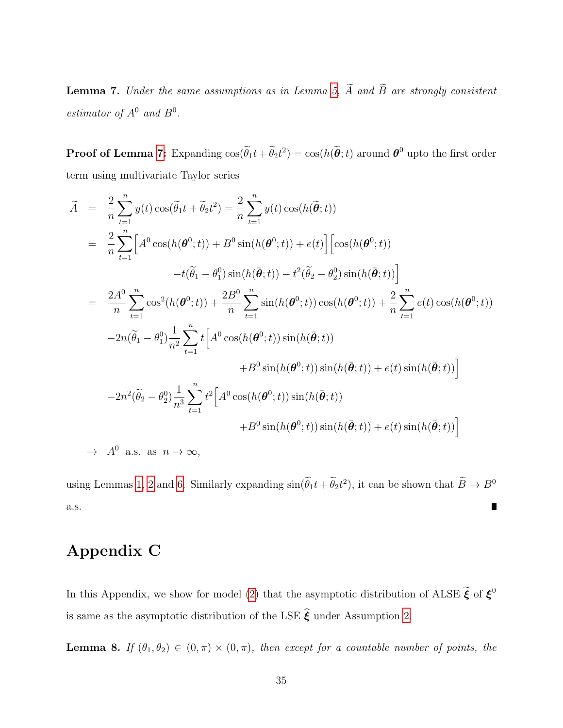<span id="page-34-0"></span>**Lemma 7.** Under the same assumptions as in Lemma [5,](#page-32-0)  $\widetilde{A}$  and  $\widetilde{B}$  are strongly consistent estimator of  $A^0$  and  $B^0$ .

**Proof of Lemma [7:](#page-34-0)** Expanding  $\cos(\tilde{\theta}_1 t + \tilde{\theta}_2 t^2) = \cos(h(\tilde{\theta}; t))$  around  $\theta^0$  upto the first order term using multivariate Taylor series

$$
\widetilde{A} = \frac{2}{n} \sum_{t=1}^{n} y(t) \cos(\widetilde{\theta}_{1}t + \widetilde{\theta}_{2}t^{2}) = \frac{2}{n} \sum_{t=1}^{n} y(t) \cos(h(\widetilde{\theta};t))
$$
\n
$$
= \frac{2}{n} \sum_{t=1}^{n} \left[ A^{0} \cos(h(\theta^{0};t)) + B^{0} \sin(h(\theta^{0};t)) + e(t) \right] \left[ \cos(h(\theta^{0};t)) - t(\widetilde{\theta}_{1} - \theta_{1}^{0}) \sin(h(\widetilde{\theta};t)) - t^{2}(\widetilde{\theta}_{2} - \theta_{2}^{0}) \sin(h(\widetilde{\theta};t)) \right]
$$
\n
$$
= \frac{2A^{0}}{n} \sum_{t=1}^{n} \cos^{2}(h(\theta^{0};t)) + \frac{2B^{0}}{n} \sum_{t=1}^{n} \sin(h(\theta^{0};t)) \cos(h(\theta^{0};t)) + \frac{2}{n} \sum_{t=1}^{n} e(t) \cos(h(\theta^{0};t))
$$
\n
$$
-2n(\widetilde{\theta}_{1} - \theta_{1}^{0}) \frac{1}{n^{2}} \sum_{t=1}^{n} t \left[ A^{0} \cos(h(\theta^{0};t)) \sin(h(\widetilde{\theta};t)) + B^{0} \sin(h(\theta^{0};t)) \sin(h(\widetilde{\theta};t)) + e(t) \sin(h(\widetilde{\theta};t)) \right]
$$
\n
$$
-2n^{2}(\widetilde{\theta}_{2} - \theta_{2}^{0}) \frac{1}{n^{3}} \sum_{t=1}^{n} t^{2} \left[ A^{0} \cos(h(\theta^{0};t)) \sin(h(\widetilde{\theta};t)) + B^{0} \sin(h(\theta^{0};t)) \sin(h(\widetilde{\theta};t)) + B^{0} \sin(h(\theta^{0};t)) \sin(h(\widetilde{\theta};t)) + e(t) \sin(h(\widetilde{\theta};t)) \right]
$$
\n
$$
\rightarrow A^{0} \text{ a.s. as } n \rightarrow \infty,
$$

using Lemmas [1,](#page-27-0) [2](#page-27-1) and [6.](#page-33-0) Similarly expanding  $sin(\theta_1 t + \theta_2 t^2)$ , it can be shown that  $B \to B^0$ a.s.  $\blacksquare$ 

### Appendix C

In this Appendix, we show for model [\(2\)](#page-3-2) that the asymptotic distribution of ALSE  $\tilde{\boldsymbol{\xi}}$  of  $\boldsymbol{\xi}^0$ is same as the asymptotic distribution of the LSE  $\hat{\boldsymbol{\xi}}$  under Assumption [2.](#page-2-1)

<span id="page-34-1"></span>**Lemma 8.** If  $(\theta_1, \theta_2) \in (0, \pi) \times (0, \pi)$ , then except for a countable number of points, the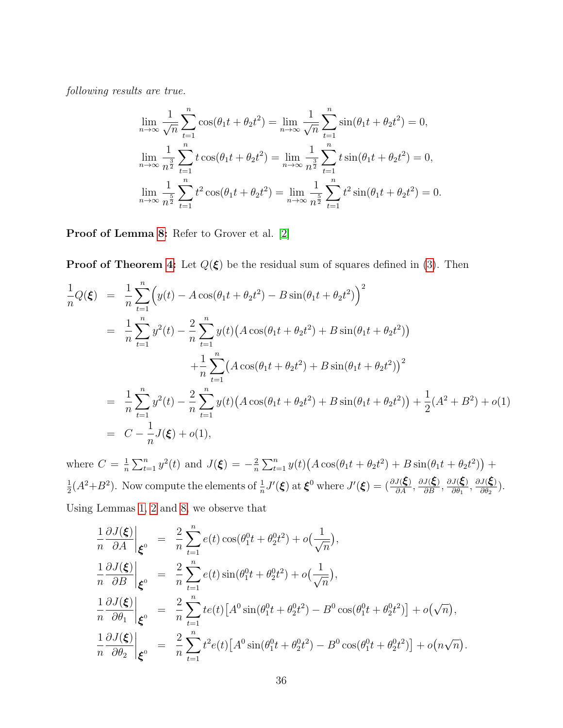following results are true.

$$
\lim_{n \to \infty} \frac{1}{\sqrt{n}} \sum_{t=1}^{n} \cos(\theta_1 t + \theta_2 t^2) = \lim_{n \to \infty} \frac{1}{\sqrt{n}} \sum_{t=1}^{n} \sin(\theta_1 t + \theta_2 t^2) = 0,
$$
  
\n
$$
\lim_{n \to \infty} \frac{1}{n^{\frac{3}{2}}} \sum_{t=1}^{n} t \cos(\theta_1 t + \theta_2 t^2) = \lim_{n \to \infty} \frac{1}{n^{\frac{3}{2}}} \sum_{t=1}^{n} t \sin(\theta_1 t + \theta_2 t^2) = 0,
$$
  
\n
$$
\lim_{n \to \infty} \frac{1}{n^{\frac{5}{2}}} \sum_{t=1}^{n} t^2 \cos(\theta_1 t + \theta_2 t^2) = \lim_{n \to \infty} \frac{1}{n^{\frac{5}{2}}} \sum_{t=1}^{n} t^2 \sin(\theta_1 t + \theta_2 t^2) = 0.
$$

Proof of Lemma [8:](#page-34-1) Refer to Grover et al. [\[2\]](#page-37-8)

**Proof of Theorem [4:](#page-10-1)** Let  $Q(\xi)$  be the residual sum of squares defined in [\(3\)](#page-3-1). Then

$$
\frac{1}{n}Q(\xi) = \frac{1}{n}\sum_{t=1}^{n} \left( y(t) - A\cos(\theta_1 t + \theta_2 t^2) - B\sin(\theta_1 t + \theta_2 t^2) \right)^2
$$
\n
$$
= \frac{1}{n}\sum_{t=1}^{n} y^2(t) - \frac{2}{n}\sum_{t=1}^{n} y(t) \left( A\cos(\theta_1 t + \theta_2 t^2) + B\sin(\theta_1 t + \theta_2 t^2) \right)
$$
\n
$$
+ \frac{1}{n}\sum_{t=1}^{n} \left( A\cos(\theta_1 t + \theta_2 t^2) + B\sin(\theta_1 t + \theta_2 t^2) \right)^2
$$
\n
$$
= \frac{1}{n}\sum_{t=1}^{n} y^2(t) - \frac{2}{n}\sum_{t=1}^{n} y(t) \left( A\cos(\theta_1 t + \theta_2 t^2) + B\sin(\theta_1 t + \theta_2 t^2) \right) + \frac{1}{2}(A^2 + B^2) + o(1)
$$
\n
$$
= C - \frac{1}{n}J(\xi) + o(1),
$$

where  $C=\frac{1}{n}$  $\frac{1}{n}\sum_{t=1}^{n} y^{2}(t)$  and  $J(\xi) = -\frac{2}{n}$  $\frac{2}{n}\sum_{t=1}^{n}y(t)(A\cos(\theta_1 t + \theta_2 t^2) + B\sin(\theta_1 t + \theta_2 t^2)) +$ 1  $\frac{1}{2}(A^2+B^2)$ . Now compute the elements of  $\frac{1}{n}J'(\boldsymbol{\xi})$  at  $\boldsymbol{\xi}^0$  where  $J'(\boldsymbol{\xi}) = (\frac{\partial J(\boldsymbol{\xi})}{\partial A}, \frac{\partial J(\boldsymbol{\xi})}{\partial B}, \frac{\partial J(\boldsymbol{\xi})}{\partial \theta_1})$  $\frac{J(\boldsymbol{\xi})}{\partial \theta_1}, \frac{\partial J(\boldsymbol{\xi})}{\partial \theta_2}$  $rac{\partial(\boldsymbol{\zeta})}{\partial\theta_2}$ . Using Lemmas [1,](#page-27-0) [2](#page-27-1) and [8,](#page-34-1) we observe that

$$
\frac{1}{n} \frac{\partial J(\boldsymbol{\xi})}{\partial A} \Big|_{\boldsymbol{\xi}^0} = \frac{2}{n} \sum_{t=1}^n e(t) \cos(\theta_1^0 t + \theta_2^0 t^2) + o(\frac{1}{\sqrt{n}}),
$$
  
\n
$$
\frac{1}{n} \frac{\partial J(\boldsymbol{\xi})}{\partial B} \Big|_{\boldsymbol{\xi}^0} = \frac{2}{n} \sum_{t=1}^n e(t) \sin(\theta_1^0 t + \theta_2^0 t^2) + o(\frac{1}{\sqrt{n}}),
$$
  
\n
$$
\frac{1}{n} \frac{\partial J(\boldsymbol{\xi})}{\partial \theta_1} \Big|_{\boldsymbol{\xi}^0} = \frac{2}{n} \sum_{t=1}^n t e(t) \left[ A^0 \sin(\theta_1^0 t + \theta_2^0 t^2) - B^0 \cos(\theta_1^0 t + \theta_2^0 t^2) \right] + o(\sqrt{n}),
$$
  
\n
$$
\frac{1}{n} \frac{\partial J(\boldsymbol{\xi})}{\partial \theta_2} \Big|_{\boldsymbol{\xi}^0} = \frac{2}{n} \sum_{t=1}^n t^2 e(t) \left[ A^0 \sin(\theta_1^0 t + \theta_2^0 t^2) - B^0 \cos(\theta_1^0 t + \theta_2^0 t^2) \right] + o(n\sqrt{n}).
$$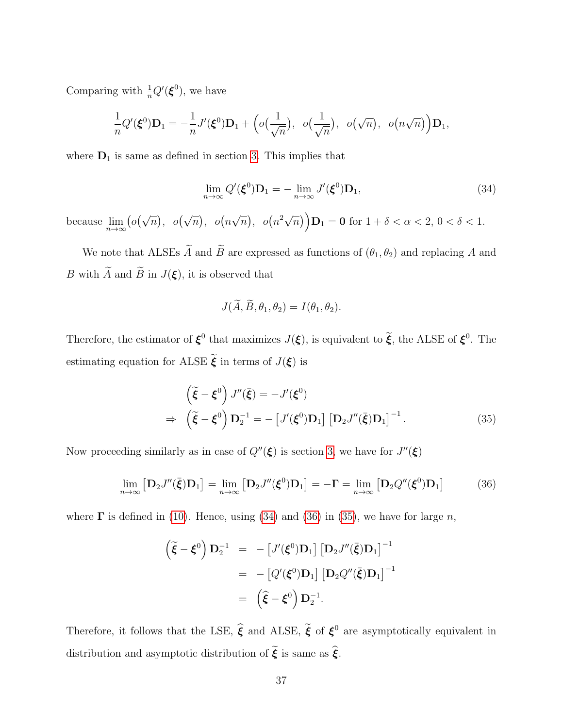Comparing with  $\frac{1}{n}Q'(\boldsymbol{\xi}^0)$ , we have

$$
\frac{1}{n}Q'(\boldsymbol{\xi}^0)\mathbf{D}_1=-\frac{1}{n}J'(\boldsymbol{\xi}^0)\mathbf{D}_1+\Big(o\big(\frac{1}{\sqrt{n}}\big), o\big(\frac{1}{\sqrt{n}}\big), o\big(\sqrt{n}\big), o\big(n\sqrt{n}\big)\Big)\mathbf{D}_1,
$$

where  $D_1$  is same as defined in section [3.](#page-6-0) This implies that

<span id="page-36-0"></span>
$$
\lim_{n \to \infty} Q'(\boldsymbol{\xi}^0) \mathbf{D}_1 = -\lim_{n \to \infty} J'(\boldsymbol{\xi}^0) \mathbf{D}_1,\tag{34}
$$

because  $\lim_{n\to\infty} (o(\sqrt{n}), o(\sqrt{n}), o(n))$ √  $\overline{n}$ ,  $o(n^2\sqrt{n})$   $D_1 = 0$  for  $1 + \delta < \alpha < 2, 0 < \delta < 1$ .

We note that ALSEs  $\widetilde{A}$  and  $\widetilde{B}$  are expressed as functions of  $(\theta_1, \theta_2)$  and replacing A and B with  $\widetilde{A}$  and  $\widetilde{B}$  in  $J(\xi)$ , it is observed that

$$
J(\widetilde{A}, \widetilde{B}, \theta_1, \theta_2) = I(\theta_1, \theta_2).
$$

Therefore, the estimator of  $\xi^0$  that maximizes  $J(\xi)$ , is equivalent to  $\tilde{\xi}$ , the ALSE of  $\xi^0$ . The estimating equation for ALSE  $\widetilde{\boldsymbol{\xi}}$  in terms of  $J(\boldsymbol{\xi})$  is

<span id="page-36-2"></span>
$$
\begin{aligned}\n\left(\tilde{\xi} - \xi^0\right) J''(\bar{\xi}) &= -J'(\xi^0) \\
\Rightarrow \left(\tilde{\xi} - \xi^0\right) \mathbf{D}_2^{-1} &= -\left[J'(\xi^0) \mathbf{D}_1\right] \left[\mathbf{D}_2 J''(\bar{\xi}) \mathbf{D}_1\right]^{-1}.\n\end{aligned} \tag{35}
$$

Now proceeding similarly as in case of  $Q''(\xi)$  is section [3,](#page-6-0) we have for  $J''(\xi)$ 

<span id="page-36-1"></span>
$$
\lim_{n \to \infty} \left[ \mathbf{D}_2 J''(\bar{\boldsymbol{\xi}}) \mathbf{D}_1 \right] = \lim_{n \to \infty} \left[ \mathbf{D}_2 J''(\boldsymbol{\xi}^0) \mathbf{D}_1 \right] = -\mathbf{\Gamma} = \lim_{n \to \infty} \left[ \mathbf{D}_2 Q''(\boldsymbol{\xi}^0) \mathbf{D}_1 \right] \tag{36}
$$

where  $\Gamma$  is defined in [\(10\)](#page-7-0). Hence, using [\(34\)](#page-36-0) and [\(36\)](#page-36-1) in [\(35\)](#page-36-2), we have for large n,

$$
\begin{aligned}\n\left(\tilde{\boldsymbol{\xi}} - \boldsymbol{\xi}^0\right) \mathbf{D}_2^{-1} &=& -\left[J'(\boldsymbol{\xi}^0) \mathbf{D}_1\right] \left[\mathbf{D}_2 J''(\bar{\boldsymbol{\xi}}) \mathbf{D}_1\right]^{-1} \\
&= & -\left[Q'(\boldsymbol{\xi}^0) \mathbf{D}_1\right] \left[\mathbf{D}_2 Q''(\bar{\boldsymbol{\xi}}) \mathbf{D}_1\right]^{-1} \\
&= & \left(\widehat{\boldsymbol{\xi}} - \boldsymbol{\xi}^0\right) \mathbf{D}_2^{-1}.\n\end{aligned}
$$

Therefore, it follows that the LSE,  $\hat{\xi}$  and ALSE,  $\tilde{\xi}$  of  $\xi^0$  are asymptotically equivalent in distribution and asymptotic distribution of  $\tilde{\xi}$  is same as  $\hat{\xi}$ .